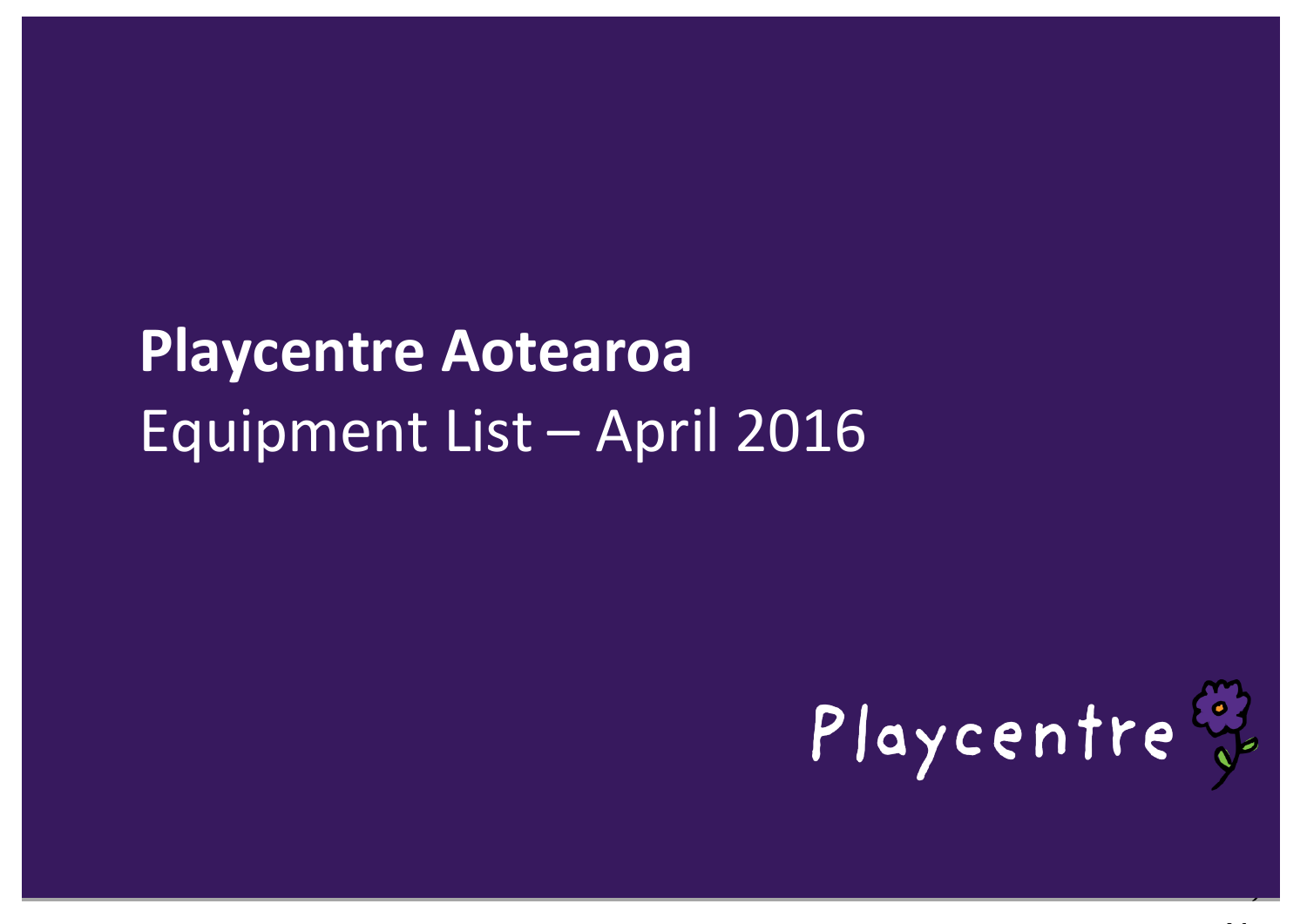# **Playcentre Aotearoa** Equipment List – April 2016

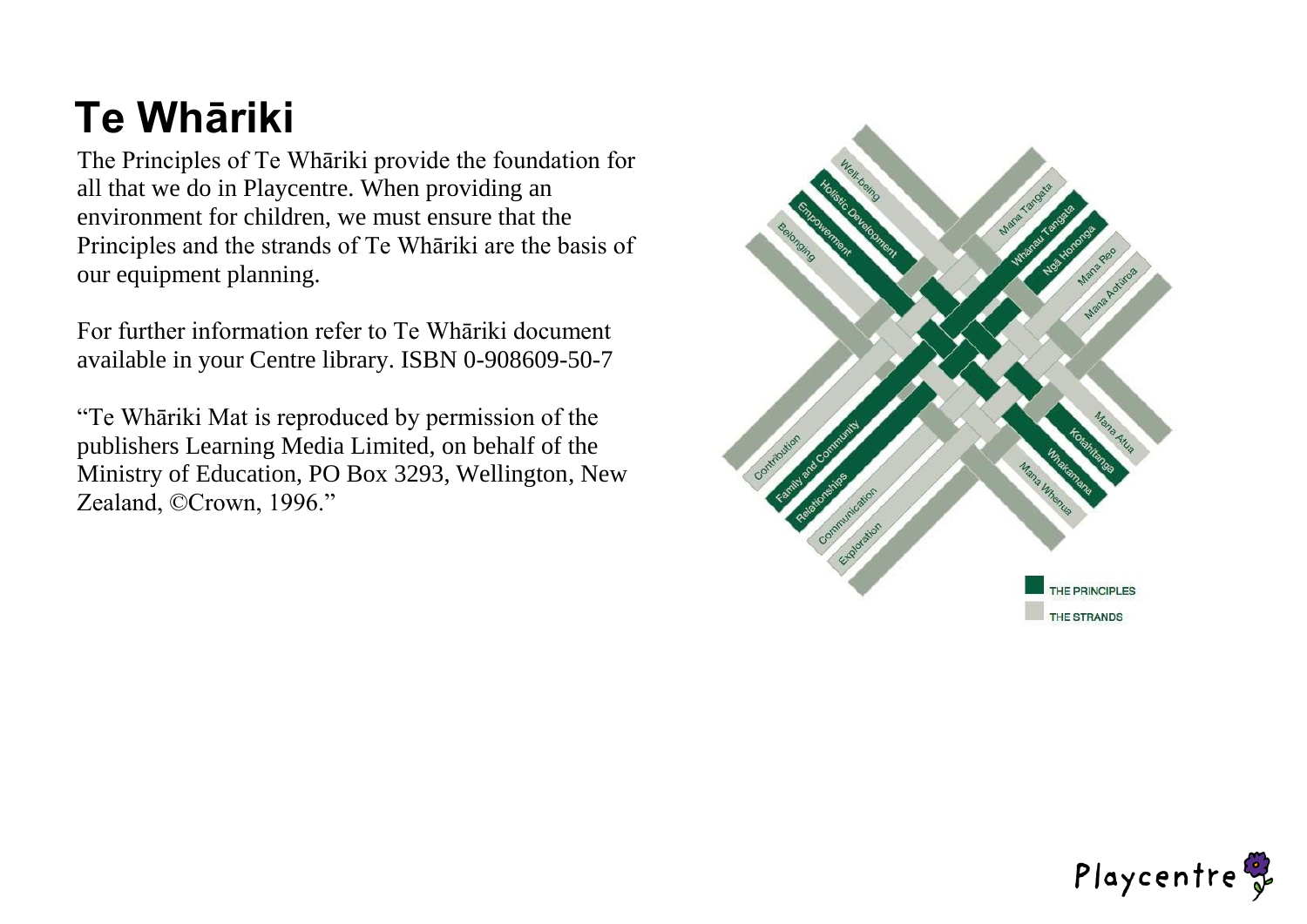## **Te Whāriki**

The Principles of Te Whāriki provide the foundation for all that we do in Playcentre. When providing an environment for children, we must ensure that the Principles and the strands of Te Whāriki are the basis of our equipment planning.

For further information refer to Te Whāriki document available in your Centre library. ISBN 0-908609-50-7

"Te Whāriki Mat is reproduced by permission of the publishers Learning Media Limited, on behalf of the Ministry of Education, PO Box 3293, Wellington, New Zealand, ©Crown, 1996."



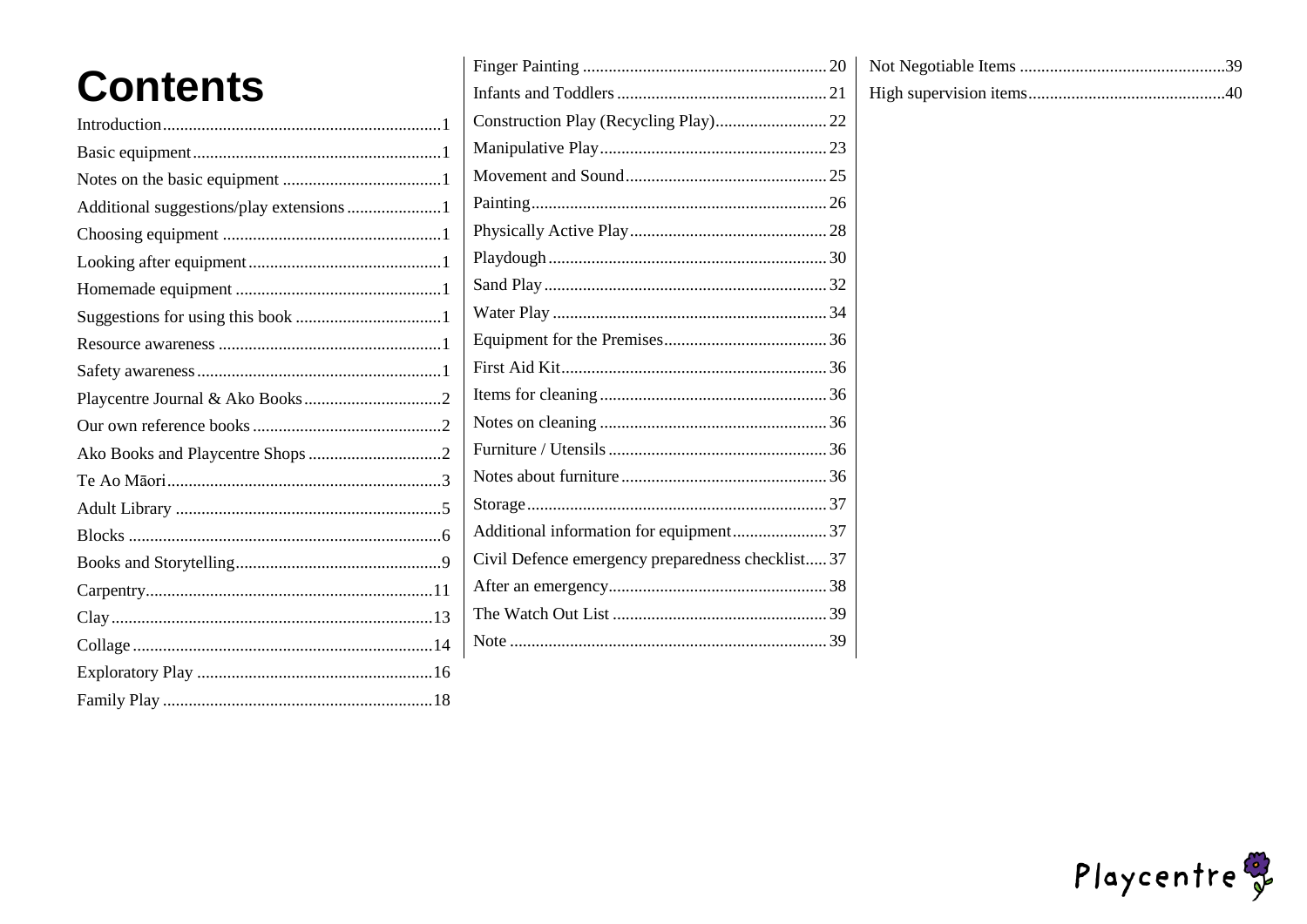|          | F |
|----------|---|
| Contents | Ŀ |
|          | C |
|          | N |
|          | N |
|          | P |
|          | P |
|          | P |
|          | S |
|          | V |
|          | F |
|          | F |
|          | I |
|          | Ŋ |
|          | F |
|          | Ŋ |
|          | S |
|          | А |
|          | C |
|          | А |
|          | Ί |
|          | Ŋ |
|          |   |
|          |   |

|                                                   | Not Negotiable Items  |
|---------------------------------------------------|-----------------------|
|                                                   | High supervision iten |
|                                                   |                       |
|                                                   |                       |
|                                                   |                       |
|                                                   |                       |
|                                                   |                       |
|                                                   |                       |
|                                                   |                       |
|                                                   |                       |
|                                                   |                       |
|                                                   |                       |
|                                                   |                       |
|                                                   |                       |
|                                                   |                       |
|                                                   |                       |
|                                                   |                       |
| Additional information for equipment37            |                       |
| Civil Defence emergency preparedness checklist 37 |                       |
|                                                   |                       |
|                                                   |                       |
|                                                   |                       |
|                                                   |                       |

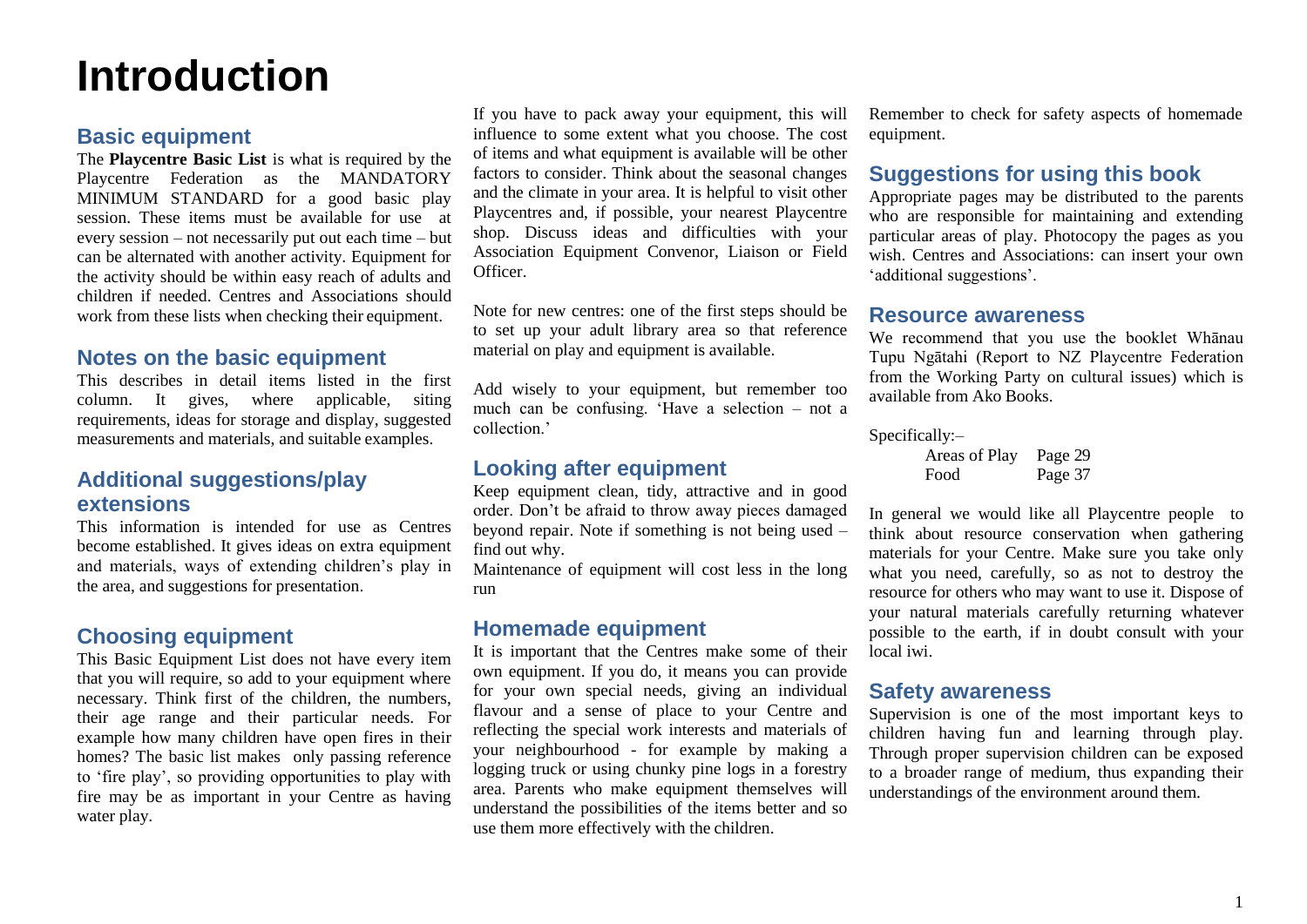## <span id="page-3-0"></span>**Introduction**

### <span id="page-3-1"></span>**Basic equipment**

The **Playcentre Basic List** is what is required by the Playcentre Federation as the MANDATORY MINIMUM STANDARD for a good basic play session. These items must be available for use at every session – not necessarily put out each time – but can be alternated with another activity. Equipment for the activity should be within easy reach of adults and children if needed. Centres and Associations should work from these lists when checking their equipment.

### <span id="page-3-2"></span>**Notes on the basic equipment**

This describes in detail items listed in the first column. It gives, where applicable, siting requirements, ideas for storage and display, suggested measurements and materials, and suitable examples.

## <span id="page-3-3"></span>**Additional suggestions/play extensions**

This information is intended for use as Centres become established. It gives ideas on extra equipment and materials, ways of extending children's play in the area, and suggestions for presentation.

## <span id="page-3-4"></span>**Choosing equipment**

This Basic Equipment List does not have every item that you will require, so add to your equipment where necessary. Think first of the children, the numbers, their age range and their particular needs. For example how many children have open fires in their homes? The basic list makes only passing reference to 'fire play', so providing opportunities to play with fire may be as important in your Centre as having water play.

If you have to pack away your equipment, this will influence to some extent what you choose. The cost of items and what equipment is available will be other factors to consider. Think about the seasonal changes and the climate in your area. It is helpful to visit other Playcentres and, if possible, your nearest Playcentre shop. Discuss ideas and difficulties with your Association Equipment Convenor, Liaison or Field Officer.

Note for new centres: one of the first steps should be to set up your adult library area so that reference material on play and equipment is available.

Add wisely to your equipment, but remember too much can be confusing. 'Have a selection – not a collection.'

### <span id="page-3-5"></span>**Looking after equipment**

Keep equipment clean, tidy, attractive and in good order. Don't be afraid to throw away pieces damaged beyond repair. Note if something is not being used – find out why.

Maintenance of equipment will cost less in the long run

### <span id="page-3-6"></span>**Homemade equipment**

It is important that the Centres make some of their own equipment. If you do, it means you can provide for your own special needs, giving an individual flavour and a sense of place to your Centre and reflecting the special work interests and materials of your neighbourhood - for example by making a logging truck or using chunky pine logs in a forestry area. Parents who make equipment themselves will understand the possibilities of the items better and so use them more effectively with the children.

Remember to check for safety aspects of homemade equipment.

## <span id="page-3-7"></span>**Suggestions for using this book**

Appropriate pages may be distributed to the parents who are responsible for maintaining and extending particular areas of play. Photocopy the pages as you wish. Centres and Associations: can insert your own 'additional suggestions'.

### <span id="page-3-8"></span>**Resource awareness**

We recommend that you use the booklet Whānau Tupu Ngātahi (Report to NZ Playcentre Federation from the Working Party on cultural issues) which is available from Ako Books.

Specifically:–

Areas of Play Page 29 Food Page 37

In general we would like all Playcentre people to think about resource conservation when gathering materials for your Centre. Make sure you take only what you need, carefully, so as not to destroy the resource for others who may want to use it. Dispose of your natural materials carefully returning whatever possible to the earth, if in doubt consult with your local iwi.

### <span id="page-3-9"></span>**Safety awareness**

Supervision is one of the most important keys to children having fun and learning through play. Through proper supervision children can be exposed to a broader range of medium, thus expanding their understandings of the environment around them.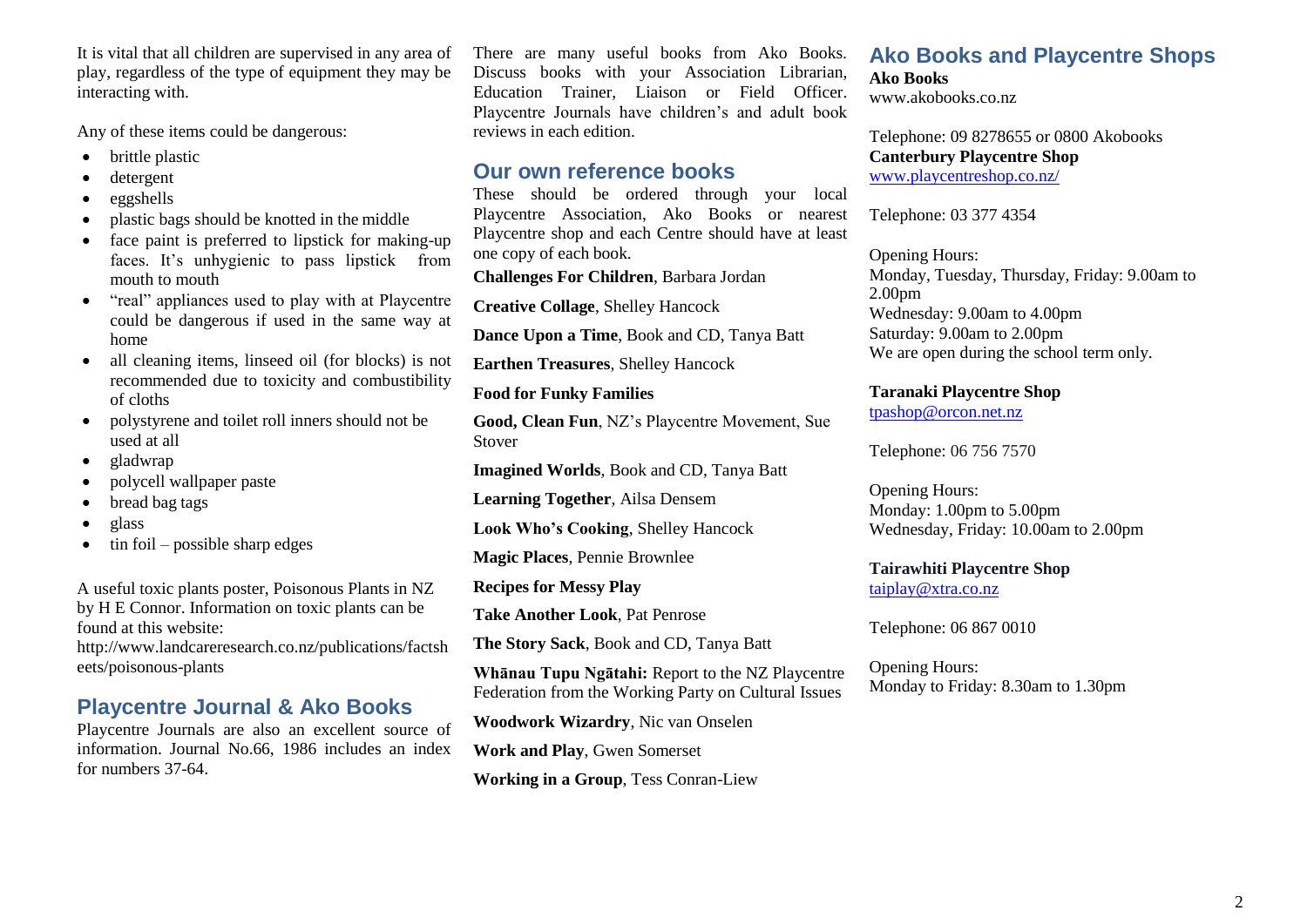It is vital that all children are supervised in any area of play, regardless of the type of equipment they may be interacting with.

Any of these items could be dangerous:

- brittle plastic
- detergent
- eggshells
- plastic bags should be knotted in the middle
- face paint is preferred to lipstick for making-up faces. It's unhygienic to pass lipstick from mouth to mouth
- "real" appliances used to play with at Playcentre could be dangerous if used in the same way at home
- all cleaning items, linseed oil (for blocks) is not recommended due to toxicity and combustibility of cloths
- polystyrene and toilet roll inners should not be used at all
- gladwrap
- polycell wallpaper paste
- bread bag tags
- glass
- $\sin$  foil possible sharp edges

A useful toxic plants poster, Poisonous Plants in NZ by H E Connor. Information on toxic plants can be found at this website:

<http://www.landcareresearch.co.nz/publications/factsh> eets/poisonous-plants

## <span id="page-4-0"></span>**Playcentre Journal & Ako Books**

Playcentre Journals are also an excellent source of information. Journal No.66, 1986 includes an index for numbers 37-64.

There are many useful books from Ako Books. Discuss books with your Association Librarian, Education Trainer, Liaison or Field Officer. Playcentre Journals have children's and adult book reviews in each edition.

### <span id="page-4-1"></span>**Our own reference books**

These should be ordered through your local Playcentre Association, Ako Books or nearest Playcentre shop and each Centre should have at least one copy of each book.

**Challenges For Children**, Barbara Jordan

**Creative Collage**, Shelley Hancock

**Dance Upon a Time**, Book and CD, Tanya Batt

**Earthen Treasures**, Shelley Hancock

**Food for Funky Families**

**Good, Clean Fun**, NZ's Playcentre Movement, Sue Stover

**Imagined Worlds**, Book and CD, Tanya Batt

**Learning Together**, Ailsa Densem

**Look Who's Cooking**, Shelley Hancock

**Magic Places**, Pennie Brownlee

**Recipes for Messy Play**

**Take Another Look**, Pat Penrose

**The Story Sack**, Book and CD, Tanya Batt

**Whānau Tupu Ngātahi:** Report to the NZ Playcentre Federation from the Working Party on Cultural Issues

**Woodwork Wizardry**, Nic van Onselen

**Work and Play**, Gwen Somerset

<span id="page-4-2"></span>**Working in a Group**, Tess Conran-Liew

### **Ako Books and Playcentre Shops Ako Books**

[www.akobooks.co.nz](http://www.akobooks.co.nz/)

Telephone: 09 8278655 or 0800 Akobooks **Canterbury Playcentre Shop**  [www.playcentreshop.co.nz/](http://www.playcentreshop.co.nz/)

Telephone: 03 377 4354

Opening Hours: Monday, Tuesday, Thursday, Friday: 9.00am to 2.00pm Wednesday: 9.00am to 4.00pm Saturday: 9.00am to 2.00pm We are open during the school term only.

**Taranaki Playcentre Shop** [tpashop@orcon.net.nz](mailto:tpashop@orcon.net.nz)

Telephone: 06 756 7570

Opening Hours: Monday: 1.00pm to 5.00pm Wednesday, Friday: 10.00am to 2.00pm

**Tairawhiti Playcentre Shop** [taiplay@xtra.co.nz](mailto:taiplay@xtra.co.nz)

Telephone: 06 867 0010

Opening Hours: Monday to Friday: 8.30am to 1.30pm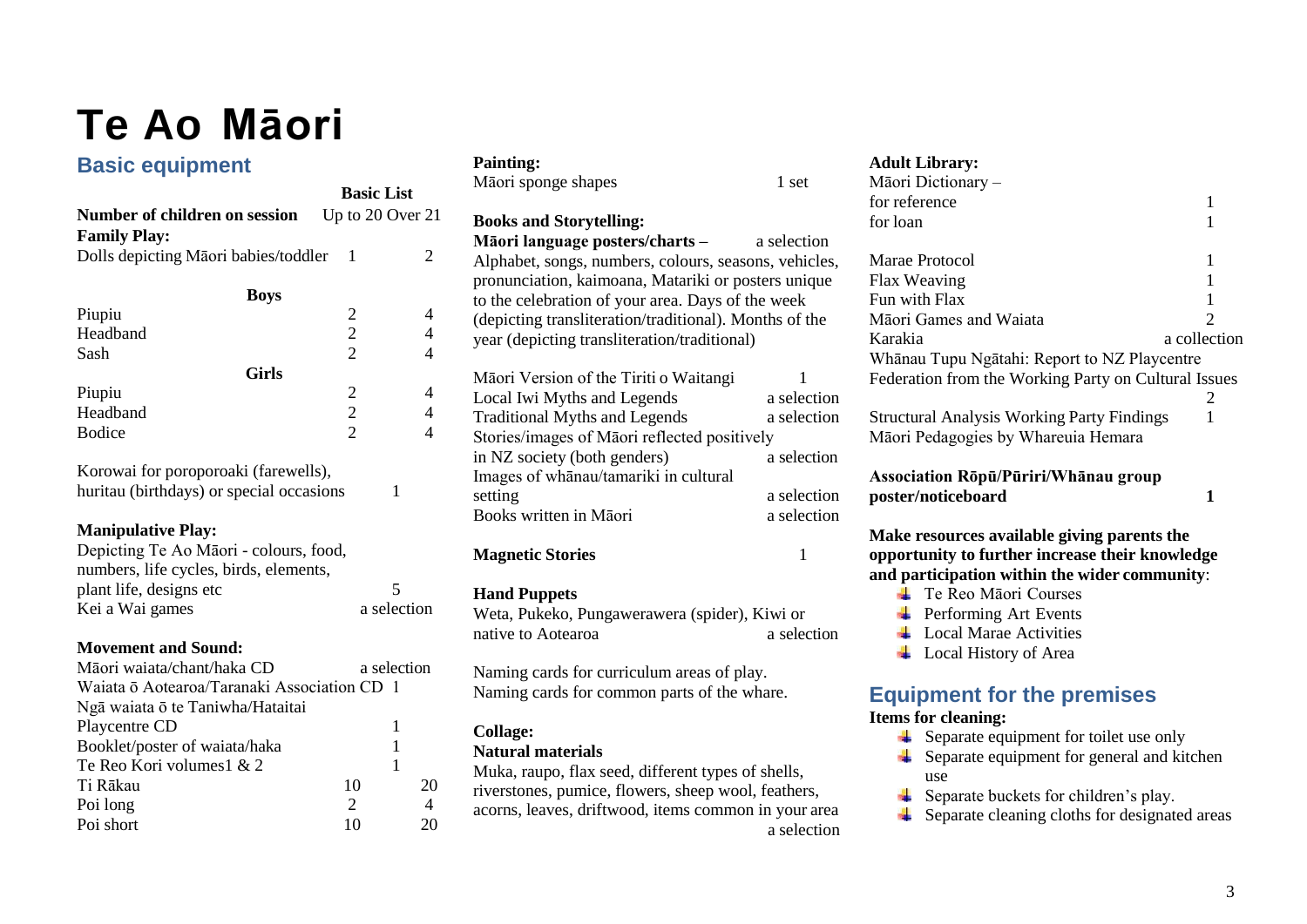## <span id="page-5-0"></span>**Te Ao Māori**

## **Basic equipment**

| <b>Basic List</b>                           |                                            |                |  |
|---------------------------------------------|--------------------------------------------|----------------|--|
| Number of children on session               | Up to 20 Over 21                           |                |  |
| <b>Family Play:</b>                         |                                            |                |  |
| Dolls depicting Māori babies/toddler        | 1                                          | 2              |  |
|                                             |                                            |                |  |
| Boys                                        |                                            |                |  |
| Piupiu                                      |                                            | 4              |  |
| Headband                                    | $\begin{array}{c} 2 \\ 2 \\ 2 \end{array}$ | 4              |  |
| Sash                                        |                                            | $\overline{4}$ |  |
| <b>Girls</b>                                |                                            |                |  |
| Piupiu                                      |                                            | 4              |  |
| Headband                                    | $\begin{array}{c} 2 \\ 2 \\ 2 \end{array}$ | $\overline{4}$ |  |
| <b>Bodice</b>                               |                                            | $\overline{4}$ |  |
| Korowai for poroporoaki (farewells),        |                                            |                |  |
| huritau (birthdays) or special occasions    | 1                                          |                |  |
| <b>Manipulative Play:</b>                   |                                            |                |  |
| Depicting Te Ao Māori - colours, food,      |                                            |                |  |
| numbers, life cycles, birds, elements,      |                                            |                |  |
| plant life, designs etc                     | 5                                          |                |  |
| Kei a Wai games                             | a selection                                |                |  |
|                                             |                                            |                |  |
| <b>Movement and Sound:</b>                  |                                            |                |  |
| Māori waiata/chant/haka CD                  | a selection                                |                |  |
| Waiata ō Aotearoa/Taranaki Association CD 1 |                                            |                |  |
| Ngā waiata ō te Taniwha/Hataitai            |                                            |                |  |
| Playcentre CD                               | 1                                          |                |  |
| Booklet/poster of waiata/haka               | 1                                          |                |  |
| Te Reo Kori volumes1 & 2                    | 1                                          |                |  |
| Ti Rākau                                    | 10                                         | 20             |  |

Poi short 10 20

| <b>Basic List</b><br>Up to 20 Over 21<br>Number of children on session<br><b>Books and Storytelling:</b><br><b>Family Play:</b><br>Māori language posters/charts -<br>a selection<br>$\overline{2}$<br>Dolls depicting Māori babies/toddler<br>- 1<br>Alphabet, songs, numbers, colours, seasons, vehicles,<br>pronunciation, kaimoana, Matariki or posters unique<br><b>Boys</b><br>to the celebration of your area. Days of the week<br>Piupiu<br>$\overline{\mathbf{c}}$<br>$\overline{4}$<br>(depicting transliteration/traditional). Months of the<br>$\overline{c}$<br>Headband<br>$\overline{\mathcal{A}}$<br>year (depicting transliteration/traditional)<br>$\overline{2}$<br>$\overline{4}$<br>Sash<br><b>Girls</b><br>Māori Version of the Tiriti o Waitangi<br>$\overline{c}$<br>Piupiu<br>4<br>Local Iwi Myths and Legends<br>a selection<br>$\overline{c}$<br>$\overline{4}$<br>Headband<br><b>Traditional Myths and Legends</b><br>a selection<br>$\overline{2}$<br>Bodice<br>4<br>Stories/images of Māori reflected positively |  |  | Māori sponge shapes | 1 set       |
|------------------------------------------------------------------------------------------------------------------------------------------------------------------------------------------------------------------------------------------------------------------------------------------------------------------------------------------------------------------------------------------------------------------------------------------------------------------------------------------------------------------------------------------------------------------------------------------------------------------------------------------------------------------------------------------------------------------------------------------------------------------------------------------------------------------------------------------------------------------------------------------------------------------------------------------------------------------------------------------------------------------------------------------------|--|--|---------------------|-------------|
|                                                                                                                                                                                                                                                                                                                                                                                                                                                                                                                                                                                                                                                                                                                                                                                                                                                                                                                                                                                                                                                |  |  |                     |             |
|                                                                                                                                                                                                                                                                                                                                                                                                                                                                                                                                                                                                                                                                                                                                                                                                                                                                                                                                                                                                                                                |  |  |                     |             |
|                                                                                                                                                                                                                                                                                                                                                                                                                                                                                                                                                                                                                                                                                                                                                                                                                                                                                                                                                                                                                                                |  |  |                     |             |
|                                                                                                                                                                                                                                                                                                                                                                                                                                                                                                                                                                                                                                                                                                                                                                                                                                                                                                                                                                                                                                                |  |  |                     |             |
|                                                                                                                                                                                                                                                                                                                                                                                                                                                                                                                                                                                                                                                                                                                                                                                                                                                                                                                                                                                                                                                |  |  |                     |             |
|                                                                                                                                                                                                                                                                                                                                                                                                                                                                                                                                                                                                                                                                                                                                                                                                                                                                                                                                                                                                                                                |  |  |                     |             |
|                                                                                                                                                                                                                                                                                                                                                                                                                                                                                                                                                                                                                                                                                                                                                                                                                                                                                                                                                                                                                                                |  |  |                     |             |
|                                                                                                                                                                                                                                                                                                                                                                                                                                                                                                                                                                                                                                                                                                                                                                                                                                                                                                                                                                                                                                                |  |  |                     |             |
|                                                                                                                                                                                                                                                                                                                                                                                                                                                                                                                                                                                                                                                                                                                                                                                                                                                                                                                                                                                                                                                |  |  |                     |             |
|                                                                                                                                                                                                                                                                                                                                                                                                                                                                                                                                                                                                                                                                                                                                                                                                                                                                                                                                                                                                                                                |  |  |                     |             |
|                                                                                                                                                                                                                                                                                                                                                                                                                                                                                                                                                                                                                                                                                                                                                                                                                                                                                                                                                                                                                                                |  |  |                     |             |
|                                                                                                                                                                                                                                                                                                                                                                                                                                                                                                                                                                                                                                                                                                                                                                                                                                                                                                                                                                                                                                                |  |  |                     |             |
|                                                                                                                                                                                                                                                                                                                                                                                                                                                                                                                                                                                                                                                                                                                                                                                                                                                                                                                                                                                                                                                |  |  |                     |             |
| in NZ society (both genders)                                                                                                                                                                                                                                                                                                                                                                                                                                                                                                                                                                                                                                                                                                                                                                                                                                                                                                                                                                                                                   |  |  |                     | a selection |
| Korowai for poroporoaki (farewells),<br>Images of whanau/tamariki in cultural                                                                                                                                                                                                                                                                                                                                                                                                                                                                                                                                                                                                                                                                                                                                                                                                                                                                                                                                                                  |  |  |                     |             |
| huritau (birthdays) or special occasions<br>1<br>setting                                                                                                                                                                                                                                                                                                                                                                                                                                                                                                                                                                                                                                                                                                                                                                                                                                                                                                                                                                                       |  |  |                     | a selection |
| Books written in Māori                                                                                                                                                                                                                                                                                                                                                                                                                                                                                                                                                                                                                                                                                                                                                                                                                                                                                                                                                                                                                         |  |  |                     | a selection |
| <b>Manipulative Play:</b>                                                                                                                                                                                                                                                                                                                                                                                                                                                                                                                                                                                                                                                                                                                                                                                                                                                                                                                                                                                                                      |  |  |                     |             |
| Depicting Te Ao Māori - colours, food,<br><b>Magnetic Stories</b><br>1                                                                                                                                                                                                                                                                                                                                                                                                                                                                                                                                                                                                                                                                                                                                                                                                                                                                                                                                                                         |  |  |                     |             |
| numbers, life cycles, birds, elements,                                                                                                                                                                                                                                                                                                                                                                                                                                                                                                                                                                                                                                                                                                                                                                                                                                                                                                                                                                                                         |  |  |                     |             |
| 5<br>plant life, designs etc<br><b>Hand Puppets</b>                                                                                                                                                                                                                                                                                                                                                                                                                                                                                                                                                                                                                                                                                                                                                                                                                                                                                                                                                                                            |  |  |                     |             |
| a selection<br>Kei a Wai games<br>Weta, Pukeko, Pungawerawera (spider), Kiwi or                                                                                                                                                                                                                                                                                                                                                                                                                                                                                                                                                                                                                                                                                                                                                                                                                                                                                                                                                                |  |  |                     |             |
| native to Aotearoa                                                                                                                                                                                                                                                                                                                                                                                                                                                                                                                                                                                                                                                                                                                                                                                                                                                                                                                                                                                                                             |  |  |                     | a selection |
| <b>Movement and Sound:</b>                                                                                                                                                                                                                                                                                                                                                                                                                                                                                                                                                                                                                                                                                                                                                                                                                                                                                                                                                                                                                     |  |  |                     |             |
| Māori waiata/chant/haka CD<br>a selection<br>Naming cards for curriculum areas of play.                                                                                                                                                                                                                                                                                                                                                                                                                                                                                                                                                                                                                                                                                                                                                                                                                                                                                                                                                        |  |  |                     |             |
| Waiata ō Aotearoa/Taranaki Association CD 1<br>Naming cards for common parts of the whare.                                                                                                                                                                                                                                                                                                                                                                                                                                                                                                                                                                                                                                                                                                                                                                                                                                                                                                                                                     |  |  |                     |             |
| Ngā waiata ō te Taniwha/Hataitai                                                                                                                                                                                                                                                                                                                                                                                                                                                                                                                                                                                                                                                                                                                                                                                                                                                                                                                                                                                                               |  |  |                     |             |
| Playcentre CD<br>$\mathbf{1}$<br><b>Collage:</b>                                                                                                                                                                                                                                                                                                                                                                                                                                                                                                                                                                                                                                                                                                                                                                                                                                                                                                                                                                                               |  |  |                     |             |
| Booklet/poster of waiata/haka<br>1<br><b>Natural materials</b>                                                                                                                                                                                                                                                                                                                                                                                                                                                                                                                                                                                                                                                                                                                                                                                                                                                                                                                                                                                 |  |  |                     |             |
| $\mathbf{1}$<br>Te Reo Kori volumes1 & 2<br>Muka, raupo, flax seed, different types of shells,                                                                                                                                                                                                                                                                                                                                                                                                                                                                                                                                                                                                                                                                                                                                                                                                                                                                                                                                                 |  |  |                     |             |
| Ti Rākau<br>10<br>20<br>riverstones, pumice, flowers, sheep wool, feathers,                                                                                                                                                                                                                                                                                                                                                                                                                                                                                                                                                                                                                                                                                                                                                                                                                                                                                                                                                                    |  |  |                     |             |
| $\overline{2}$<br>Poi long<br>$\overline{4}$<br>acorns, leaves, driftwood, items common in your area                                                                                                                                                                                                                                                                                                                                                                                                                                                                                                                                                                                                                                                                                                                                                                                                                                                                                                                                           |  |  |                     |             |

**Painting:**

### <span id="page-5-1"></span>**Adult Library:**

| Māori Dictionary -                                                                             |                |
|------------------------------------------------------------------------------------------------|----------------|
| for reference                                                                                  | 1              |
| for loan                                                                                       | 1              |
| Marae Protocol                                                                                 | 1              |
| Flax Weaving                                                                                   | 1              |
| Fun with Flax                                                                                  | 1              |
| Māori Games and Waiata                                                                         | $\overline{c}$ |
| Karakia                                                                                        | a collection   |
| Whānau Tupu Ngātahi: Report to NZ Playcentre                                                   |                |
| Federation from the Working Party on Cultural Issues                                           |                |
|                                                                                                | 2              |
| <b>Structural Analysis Working Party Findings</b>                                              | 1              |
| Māori Pedagogies by Whareuia Hemara                                                            |                |
| Association Rōpū/Pūriri/Whānau group                                                           |                |
| poster/noticeboard                                                                             | 1              |
| Make resources available giving parents the<br>opportunity to further increase their knowledge |                |

- **and participation within the wider community**:
	- **The Reo Maori Courses**
	- **Performing Art Events**
	- **Local Marae Activities**
	- **Local History of Area**

## **Equipment for the premises**

### **Items for cleaning:**

- Separate equipment for toilet use only
- **→** Separate equipment for general and kitchen use
- Separate buckets for children's play.
- Separate cleaning cloths for designated areas

a selection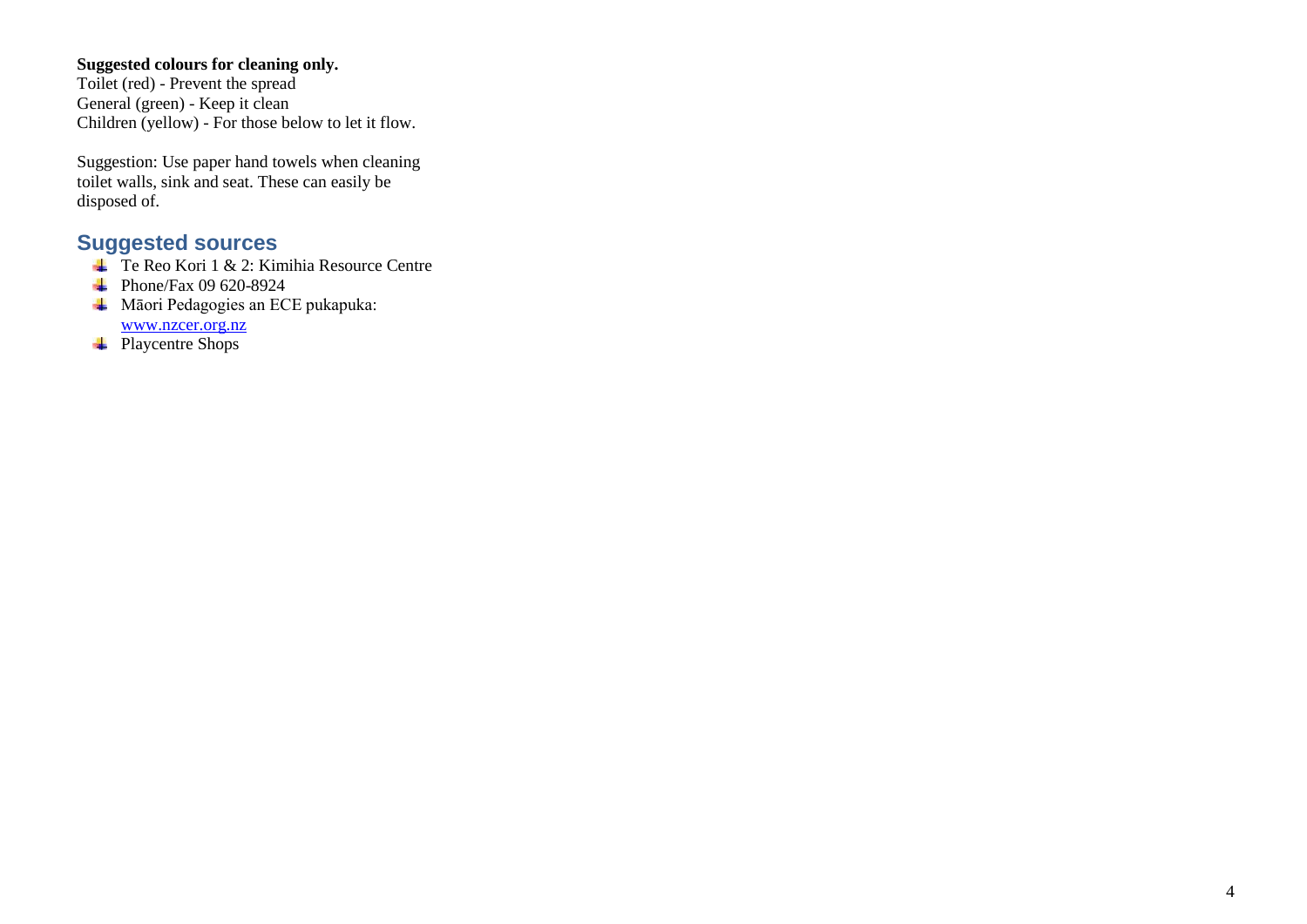### **Suggested colours for cleaning only.**

Toilet (red) - Prevent the spread General (green) - Keep it clean Children (yellow) - For those below to let it flow.

Suggestion: Use paper hand towels when cleaning toilet walls, sink and seat. These can easily be disposed of.

## **Suggested sources**

- Te Reo Kori 1 & 2: Kimihia Resource Centre
- $\text{Phone}/\text{Fax } 09\,620\text{-}8924$
- **W**āori Pedagogies an ECE pukapuka: [www.nzcer.org.nz](http://www.nzcer.org.nz/)
- Playcentre Shops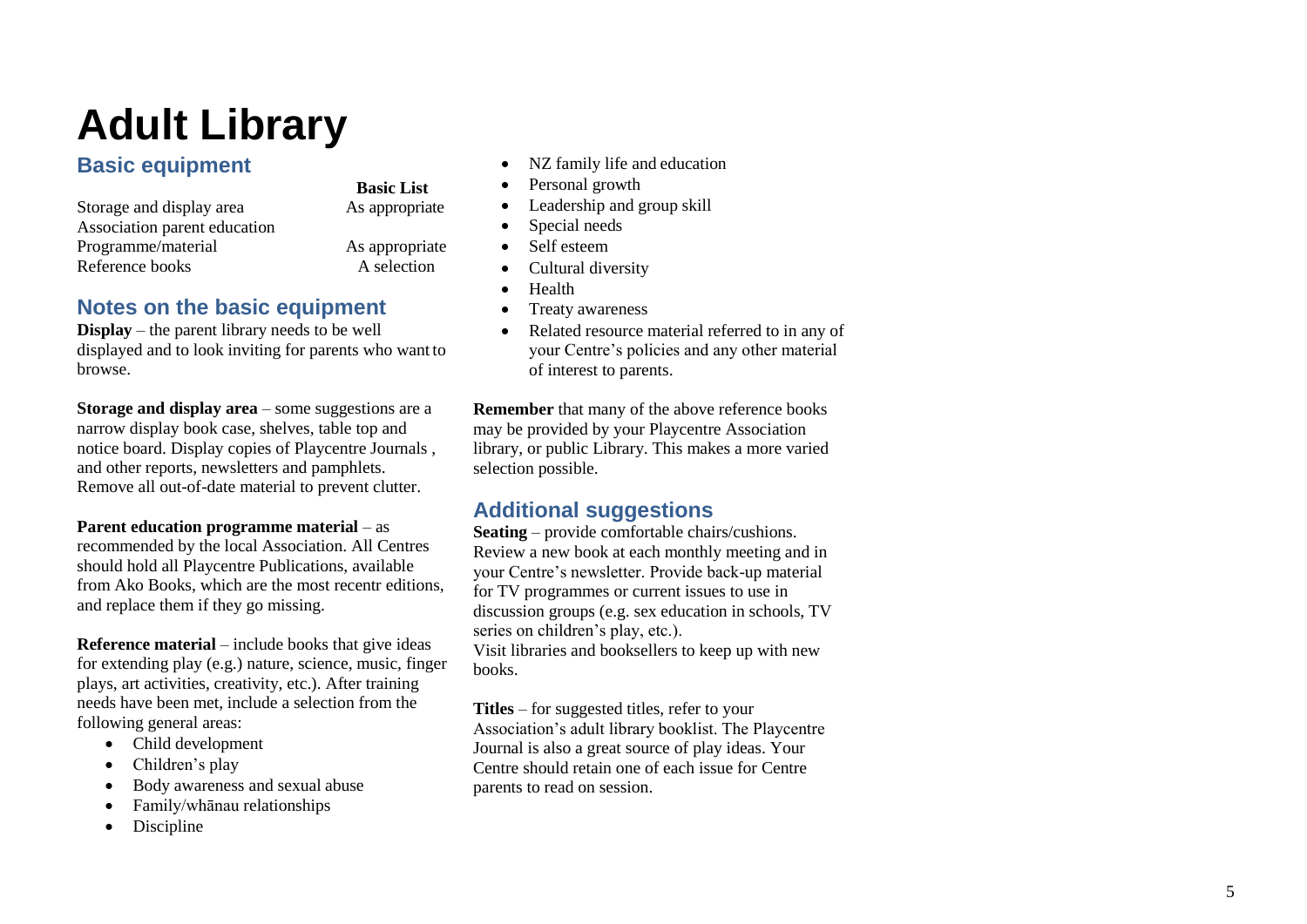## **Adult Library**

## **Basic equipment**

Storage and display area As appropriate Association parent education Programme/material As appropriate Reference books

## **Basic List**

A selection

## **Notes on the basic equipment**

**Display**  – the parent library needs to be well displayed and to look inviting for parents who want to browse.

**Storage and display area**  – some suggestions are a narrow display book case, shelves, table top and notice board. Display copies of Playcentre Journals , and other reports, newsletters and pamphlets. Remove all out -of -date material to prevent clutter.

**Parent education programme material** – as recommended by the local Association. All Centres should hold all Playcentre Publications, available from Ako Books, which are the most recentr editions, and replace them if they go missing.

**Reference material**  – include books that give ideas for extending play (e.g.) nature, science, music, finger plays, art activities, creativity, etc.). After training needs have been met, include a selection from the following general areas:

- Child development
- Children's play
- Body awareness and sexual abuse
- Family/whānau relationships
- Discipline
- NZ family life and education
- Personal growth
- Leadership and group skill
- Special needs
- Self esteem
- Cultural diversity
- Health
- Treaty awareness
- Related resource material referred to in any of your Centre's policies and any other material of interest to parents.

**Remember** that many of the above reference books may be provided by your Playcentre Association library, or public Library. This makes a more varied selection possible.

## **Additional suggestions**

**Seating**  – provide comfortable chairs/cushions. Review a new book at each monthly meeting and in your Centre's newsletter. Provide back -up material for TV programmes or current issues to use in discussion groups (e.g. sex education in schools, TV series on children's play, etc.). Visit libraries and booksellers to keep up with new books.

**Titles**  – for suggested titles, refer to your Association's adult library booklist. The Playcentre Journal is also a great source of play ideas. Your Centre should retain one of each issue for Centre parents to read on session.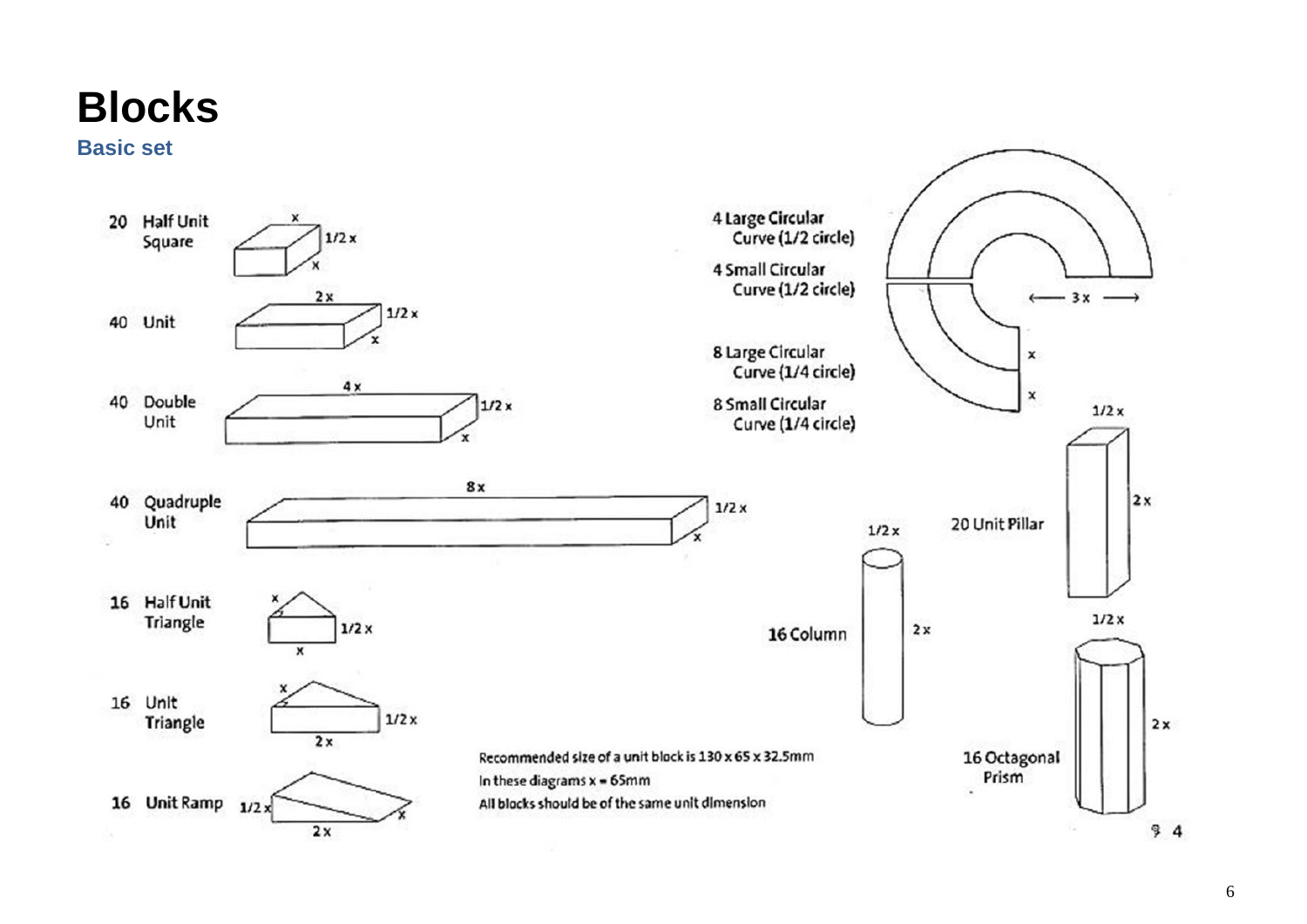## <span id="page-8-0"></span>**Blocks**

**Basic set**

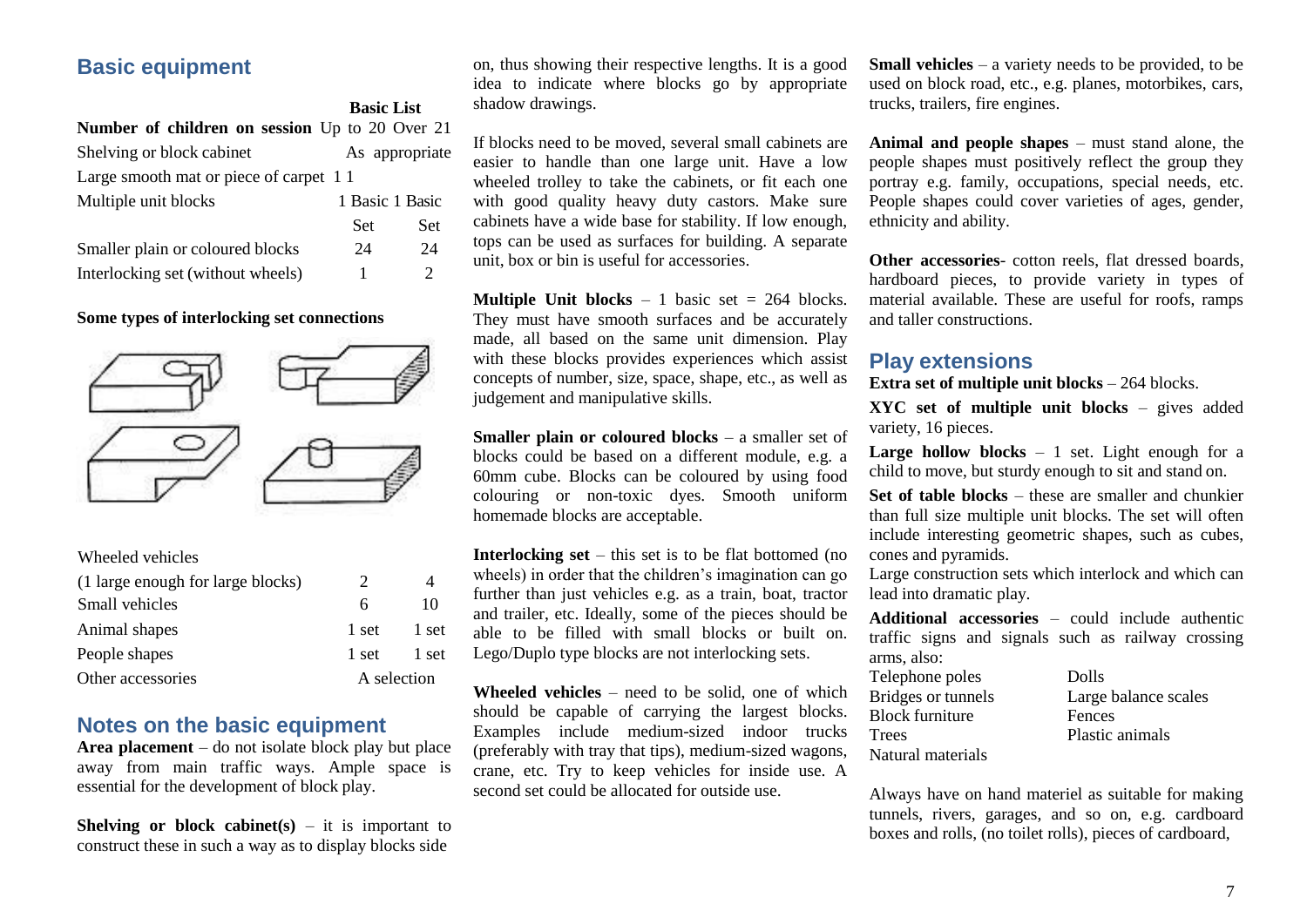## **Basic equipment**

|                                                | <b>Basic List</b> |                             |
|------------------------------------------------|-------------------|-----------------------------|
| Number of children on session Up to 20 Over 21 |                   |                             |
| Shelving or block cabinet                      |                   | As appropriate              |
| Large smooth mat or piece of carpet 11         |                   |                             |
| Multiple unit blocks                           | 1 Basic 1 Basic   |                             |
|                                                | Set               | Set                         |
| Smaller plain or coloured blocks               | 24                | 24                          |
| Interlocking set (without wheels)              | 1                 | $\mathcal{D}_{\mathcal{L}}$ |

#### **Some types of interlocking set connections**



| Wheeled vehicles                  |                       |       |
|-----------------------------------|-----------------------|-------|
| (1 large enough for large blocks) | $\mathcal{D}_{\cdot}$ | 4     |
| Small vehicles                    | 6                     | 10    |
| Animal shapes                     | 1 set                 | 1 set |
| People shapes                     | 1 set                 | 1 set |
| Other accessories                 | A selection           |       |

### **Notes on the basic equipment**

**Area placement** – do not isolate block play but place away from main traffic ways. Ample space is essential for the development of block play.

**Shelving or block cabinet(s)**  $-$  it is important to construct these in such a way as to display blocks side

on, thus showing their respective lengths. It is a good idea to indicate where blocks go by appropriate shadow drawings.

If blocks need to be moved, several small cabinets are easier to handle than one large unit. Have a low wheeled trolley to take the cabinets, or fit each one with good quality heavy duty castors. Make sure cabinets have a wide base for stability. If low enough, tops can be used as surfaces for building. A separate unit, box or bin is useful for accessories.

**Multiple Unit blocks**  $-1$  basic set  $= 264$  blocks. They must have smooth surfaces and be accurately made, all based on the same unit dimension. Play with these blocks provides experiences which assist concepts of number, size, space, shape, etc., as well as judgement and manipulative skills.

**Smaller plain or coloured blocks** – a smaller set of blocks could be based on a different module, e.g. a 60mm cube. Blocks can be coloured by using food colouring or non-toxic dyes. Smooth uniform homemade blocks are acceptable.

**Interlocking set** – this set is to be flat bottomed (no wheels) in order that the children's imagination can go further than just vehicles e.g. as a train, boat, tractor and trailer, etc. Ideally, some of the pieces should be able to be filled with small blocks or built on. Lego/Duplo type blocks are not interlocking sets.

**Wheeled vehicles** – need to be solid, one of which should be capable of carrying the largest blocks. Examples include medium-sized indoor trucks (preferably with tray that tips), medium-sized wagons, crane, etc. Try to keep vehicles for inside use. A second set could be allocated for outside use.

**Small vehicles** – a variety needs to be provided, to be used on block road, etc., e.g. planes, motorbikes, cars, trucks, trailers, fire engines.

**Animal and people shapes** – must stand alone, the people shapes must positively reflect the group they portray e.g. family, occupations, special needs, etc. People shapes could cover varieties of ages, gender, ethnicity and ability.

**Other accessories**- cotton reels, flat dressed boards, hardboard pieces, to provide variety in types of material available. These are useful for roofs, ramps and taller constructions.

### **Play extensions**

**Extra set of multiple unit blocks** – 264 blocks.

**XYC set of multiple unit blocks** – gives added variety, 16 pieces.

**Large hollow blocks** – 1 set. Light enough for a child to move, but sturdy enough to sit and stand on.

**Set of table blocks** – these are smaller and chunkier than full size multiple unit blocks. The set will often include interesting geometric shapes, such as cubes, cones and pyramids.

Large construction sets which interlock and which can lead into dramatic play.

**Additional accessories** – could include authentic traffic signs and signals such as railway crossing arms, also:

| Dolls                |
|----------------------|
| Large balance scales |
| Fences               |
| Plastic animals      |
|                      |
|                      |

Always have on hand materiel as suitable for making tunnels, rivers, garages, and so on, e.g. cardboard boxes and rolls, (no toilet rolls), pieces of cardboard,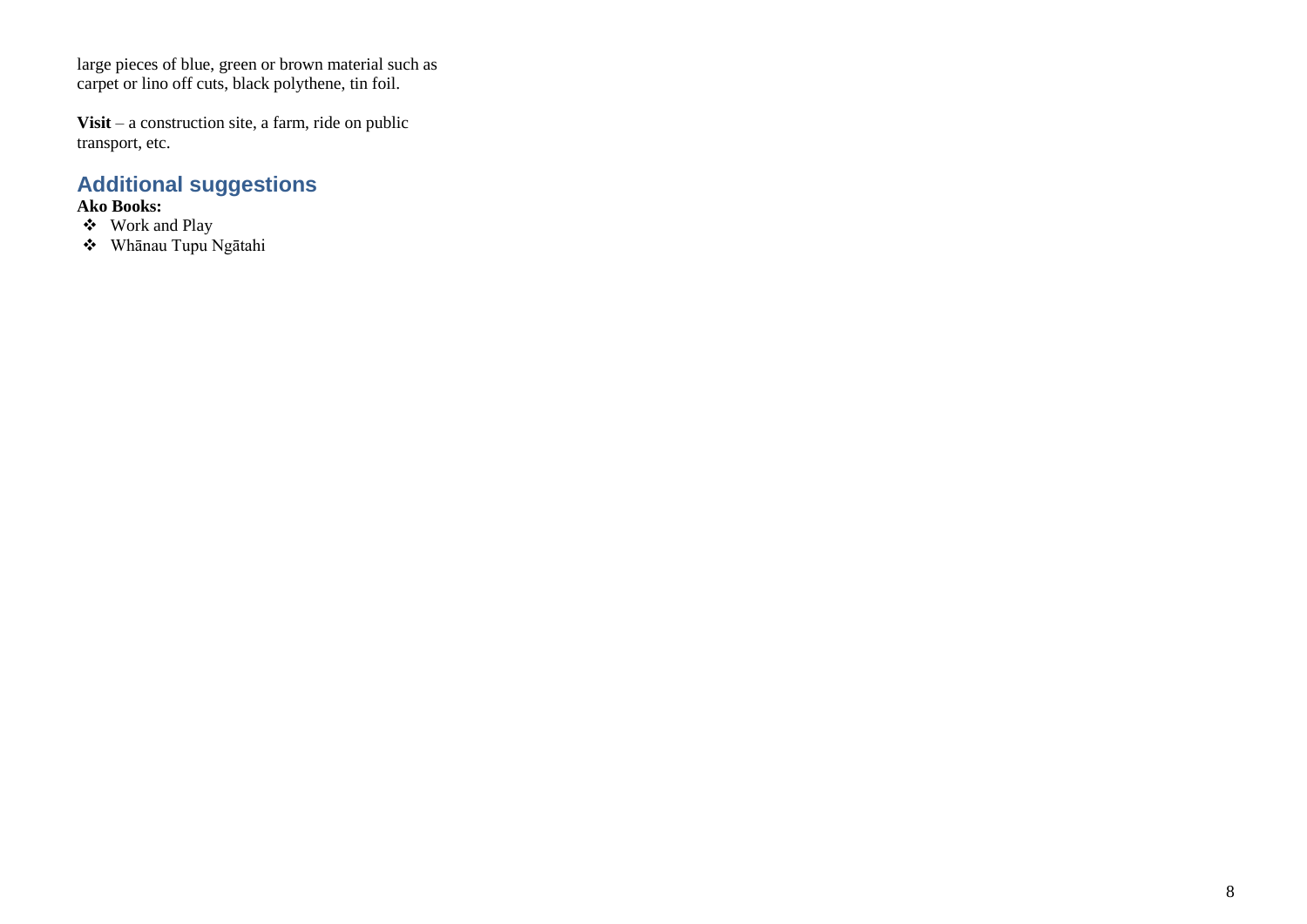large pieces of blue, green or brown material such as carpet or lino off cuts, black polythene, tin foil.

**Visit** – a construction site, a farm, ride on public transport, etc.

## **Additional suggestions**

- ❖ Work and Play
- ❖ Whānau Tupu Ngātahi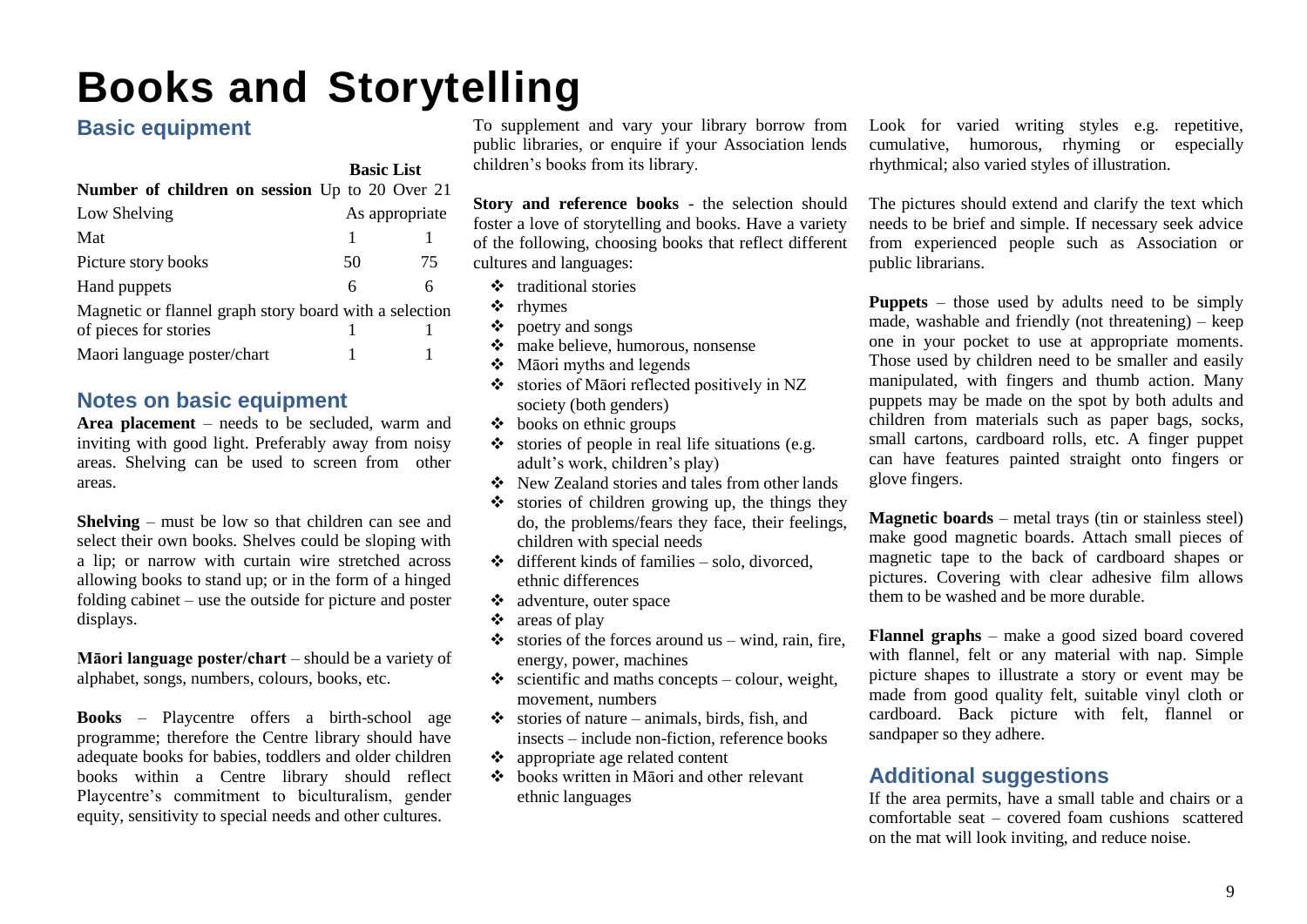## <span id="page-11-0"></span>**Books and Storytelling**

## **Basic equipment**

|                                                        | <b>Basic List</b> |                |  |
|--------------------------------------------------------|-------------------|----------------|--|
| <b>Number of children on session</b> Up to 20 Over 21  |                   |                |  |
| Low Shelving                                           |                   | As appropriate |  |
| Mat                                                    | 1                 |                |  |
| Picture story books                                    | 50                | 75             |  |
| Hand puppets                                           | 6                 | 6              |  |
| Magnetic or flannel graph story board with a selection |                   |                |  |
| of pieces for stories                                  |                   |                |  |
| Maori language poster/chart                            |                   |                |  |

### **Notes on basic equipment**

**Area placement** – needs to be secluded, warm and inviting with good light. Preferably away from noisy areas. Shelving can be used to screen from other areas.

**Shelving** – must be low so that children can see and select their own books. Shelves could be sloping with a lip; or narrow with curtain wire stretched across allowing books to stand up; or in the form of a hinged folding cabinet – use the outside for picture and poster displays.

**Māori language poster/chart** – should be a variety of alphabet, songs, numbers, colours, books, etc.

**Books** – Playcentre offers a birth-school age programme; therefore the Centre library should have adequate books for babies, toddlers and older children books within a Centre library should reflect Playcentre's commitment to biculturalism, gender equity, sensitivity to special needs and other cultures.

To supplement and vary your library borrow from public libraries, or enquire if your Association lends children's books from its library.

**Story and reference books** - the selection should foster a love of storytelling and books. Have a variety of the following, choosing books that reflect different cultures and languages:

- ❖ traditional stories
- ❖ rhymes
- ❖ poetry and songs
- ❖ make believe, humorous, nonsense
- ❖ Māori myths and legends
- ❖ stories of Māori reflected positively in NZ society (both genders)
- $\triangleleft$  books on ethnic groups
- $\bullet$  stories of people in real life situations (e.g. adult's work, children's play)
- ❖ New Zealand stories and tales from other lands
- ❖ stories of children growing up, the things they do, the problems/fears they face, their feelings, children with special needs
- ❖ different kinds of families solo, divorced, ethnic differences
- ❖ adventure, outer space
- ❖ areas of play
- $\bullet$  stories of the forces around us wind, rain, fire, energy, power, machines
- $\triangle$  scientific and maths concepts colour, weight, movement, numbers
- $\bullet$  stories of nature animals, birds, fish, and insects – include non-fiction, reference books
- ❖ appropriate age related content
- ❖ books written in Māori and other relevant ethnic languages

Look for varied writing styles e.g. repetitive, cumulative, humorous, rhyming or especially rhythmical; also varied styles of illustration.

The pictures should extend and clarify the text which needs to be brief and simple. If necessary seek advice from experienced people such as Association or public librarians.

**Puppets** – those used by adults need to be simply made, washable and friendly (not threatening) – keep one in your pocket to use at appropriate moments. Those used by children need to be smaller and easily manipulated, with fingers and thumb action. Many puppets may be made on the spot by both adults and children from materials such as paper bags, socks, small cartons, cardboard rolls, etc. A finger puppet can have features painted straight onto fingers or glove fingers.

**Magnetic boards** – metal trays (tin or stainless steel) make good magnetic boards. Attach small pieces of magnetic tape to the back of cardboard shapes or pictures. Covering with clear adhesive film allows them to be washed and be more durable.

**Flannel graphs** – make a good sized board covered with flannel, felt or any material with nap. Simple picture shapes to illustrate a story or event may be made from good quality felt, suitable vinyl cloth or cardboard. Back picture with felt, flannel or sandpaper so they adhere.

### **Additional suggestions**

If the area permits, have a small table and chairs or a comfortable seat – covered foam cushions scattered on the mat will look inviting, and reduce noise.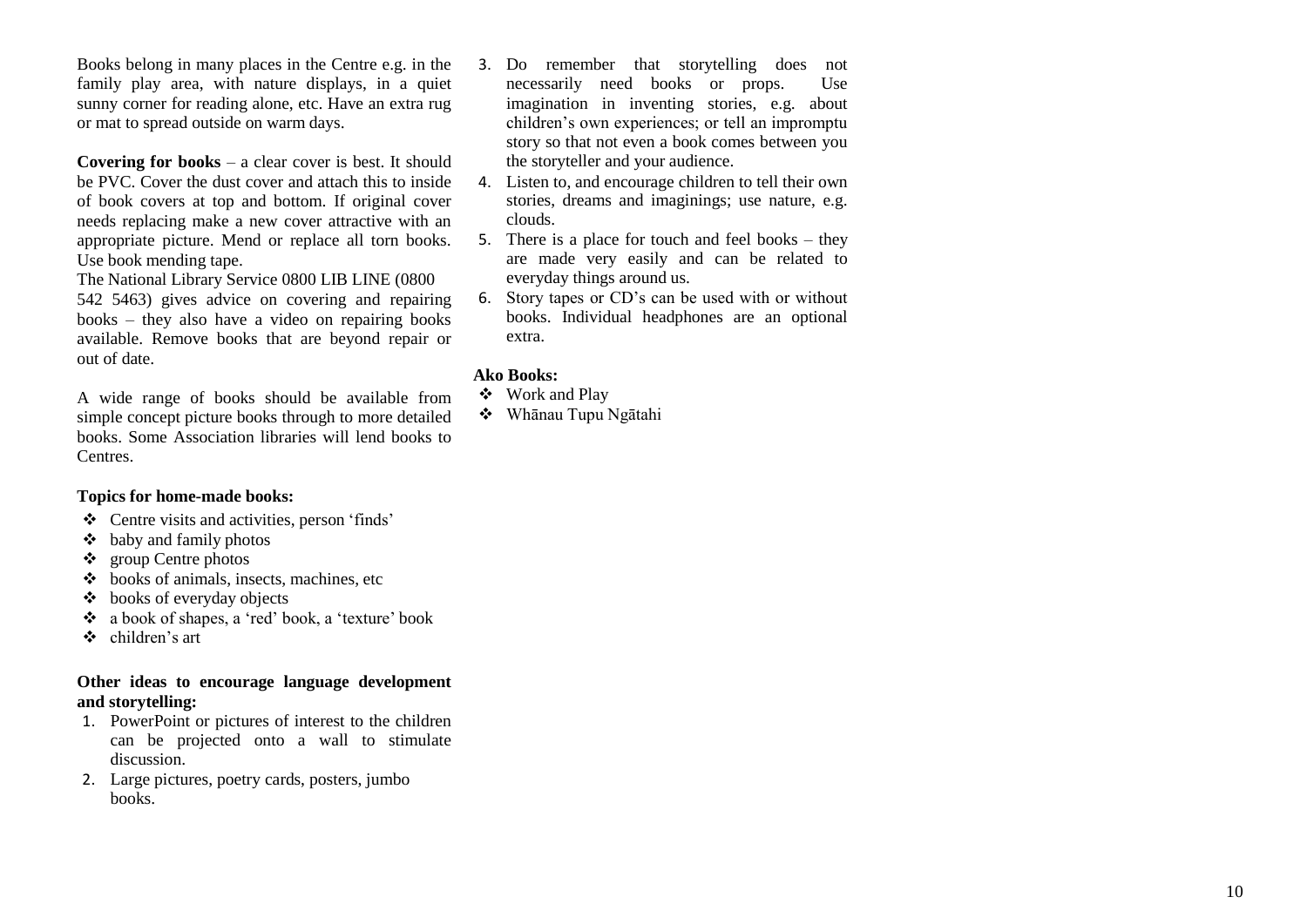Books belong in many places in the Centre e.g. in the family play area, with nature displays, in a quiet sunny corner for reading alone, etc. Have an extra rug or mat to spread outside on warm days.

**Covering for books**  – a clear cover is best. It should be PVC. Cover the dust cover and attach this to inside of book covers at top and bottom. If original cover needs replacing make a new cover attractive with an appropriate picture. Mend or replace all torn books. Use book mending tape.

The National Library Service 0800 LIB LINE (0800 542 5463) gives advice on covering and repairing books – they also have a video on repairing books available. Remove books that are beyond repair or out of date.

A wide range of books should be available from simple concept picture books through to more detailed books. Some Association libraries will lend books to Centres.

### **Topics for home -made books:**

- ❖ Centre visits and activities, person 'finds'
- $\triangleleft$  baby and family photos
- ❖ group Centre photos
- ❖ books of animals, insects, machines, etc
- ❖ books of everyday objects
- ❖ a book of shapes, a 'red' book, a 'texture' book
- ❖ children's art

### **Other ideas to encourage language development and storytelling:**

- 1. PowerPoint or pictures of interest to the children can be projected onto a wall to stimulate discussion.
- 2. Large pictures, poetry cards, posters, jumbo books.
- 3. Do remember that storytelling does not necessarily need books or props. Use imagination in inventing stories, e.g. about children's own experiences; or tell an impromptu story so that not even a book comes between you the storyteller and your audience.
- 4. Listen to, and encourage children to tell their own stories, dreams and imaginings; use nature, e.g. clouds.
- 5. There is a place for touch and feel books they are made very easily and can be related to everyday things around us.
- 6. Story tapes or CD's can be used with or without books. Individual headphones are an optional extra.

- ❖ Work and Play
- ❖ Whānau Tupu Ngātahi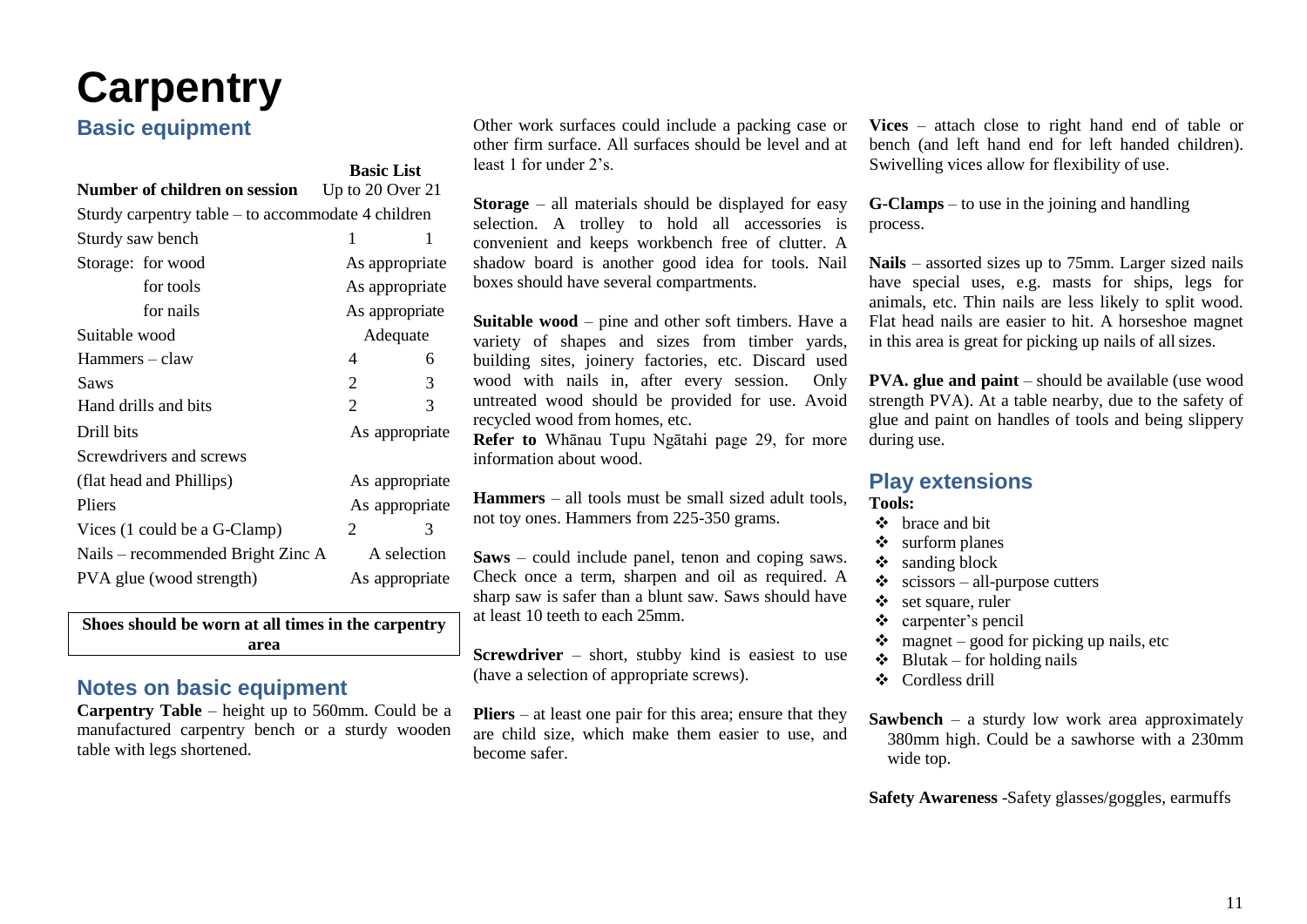## <span id="page-13-0"></span>**Carpentry**

## **Basic equipment**

|                                                    | <b>Basic List</b> |                |  |
|----------------------------------------------------|-------------------|----------------|--|
| Number of children on session                      | Up to 20 Over 21  |                |  |
| Sturdy carpentry table – to accommodate 4 children |                   |                |  |
| Sturdy saw bench                                   | 1                 | 1              |  |
| Storage: for wood                                  |                   | As appropriate |  |
| for tools                                          |                   | As appropriate |  |
| for nails                                          |                   | As appropriate |  |
| Suitable wood                                      |                   | Adequate       |  |
| Hammers – claw                                     | 4                 | 6              |  |
| <b>Saws</b>                                        | 2                 | 3              |  |
| Hand drills and bits                               | 2                 | 3              |  |
| Drill bits                                         |                   | As appropriate |  |
| Screwdrivers and screws                            |                   |                |  |
| (flat head and Phillips)                           |                   | As appropriate |  |
| Pliers                                             |                   | As appropriate |  |
| Vices (1 could be a G-Clamp)                       | 2                 | 3              |  |
| Nails – recommended Bright Zinc A                  |                   | A selection    |  |
| PVA glue (wood strength)                           |                   | As appropriate |  |

**Shoes should be worn at all times in the carpentry area**

### **Notes on basic equipment**

**Carpentry Table** – height up to 560mm. Could be a manufactured carpentry bench or a sturdy wooden table with legs shortened.

Other work surfaces could include a packing case or other firm surface. All surfaces should be level and at least 1 for under 2's.

**Storage** – all materials should be displayed for easy selection. A trolley to hold all accessories is convenient and keeps workbench free of clutter. A shadow board is another good idea for tools. Nail boxes should have several compartments.

**Suitable wood** – pine and other soft timbers. Have a variety of shapes and sizes from timber yards, building sites, joinery factories, etc. Discard used wood with nails in, after every session. Only untreated wood should be provided for use. Avoid recycled wood from homes, etc.

**Refer to** Whānau Tupu Ngātahi page 29, for more information about wood.

**Hammers** – all tools must be small sized adult tools, not toy ones. Hammers from 225-350 grams.

**Saws** – could include panel, tenon and coping saws. Check once a term, sharpen and oil as required. A sharp saw is safer than a blunt saw. Saws should have at least 10 teeth to each 25mm.

**Screwdriver** – short, stubby kind is easiest to use (have a selection of appropriate screws).

**Pliers** – at least one pair for this area; ensure that they are child size, which make them easier to use, and become safer.

**Vices** – attach close to right hand end of table or bench (and left hand end for left handed children). Swivelling vices allow for flexibility of use.

**G-Clamps** – to use in the joining and handling process.

**Nails** – assorted sizes up to 75mm. Larger sized nails have special uses, e.g. masts for ships, legs for animals, etc. Thin nails are less likely to split wood. Flat head nails are easier to hit. A horseshoe magnet in this area is great for picking up nails of allsizes.

**PVA. glue and paint** – should be available (use wood strength PVA). At a table nearby, due to the safety of glue and paint on handles of tools and being slippery during use.

#### **Play extensions Tools:**

- ❖ brace and bit
- ❖ surform planes
- ❖ sanding block
- $\triangleleft$  scissors all-purpose cutters
- ❖ set square, ruler
- ❖ carpenter's pencil
- $\bullet$  magnet good for picking up nails, etc
- $\triangleleft$  Blutak for holding nails
- ❖ Cordless drill

**Sawbench** – a sturdy low work area approximately 380mm high. Could be a sawhorse with a 230mm wide top.

**Safety Awareness** -Safety glasses/goggles, earmuffs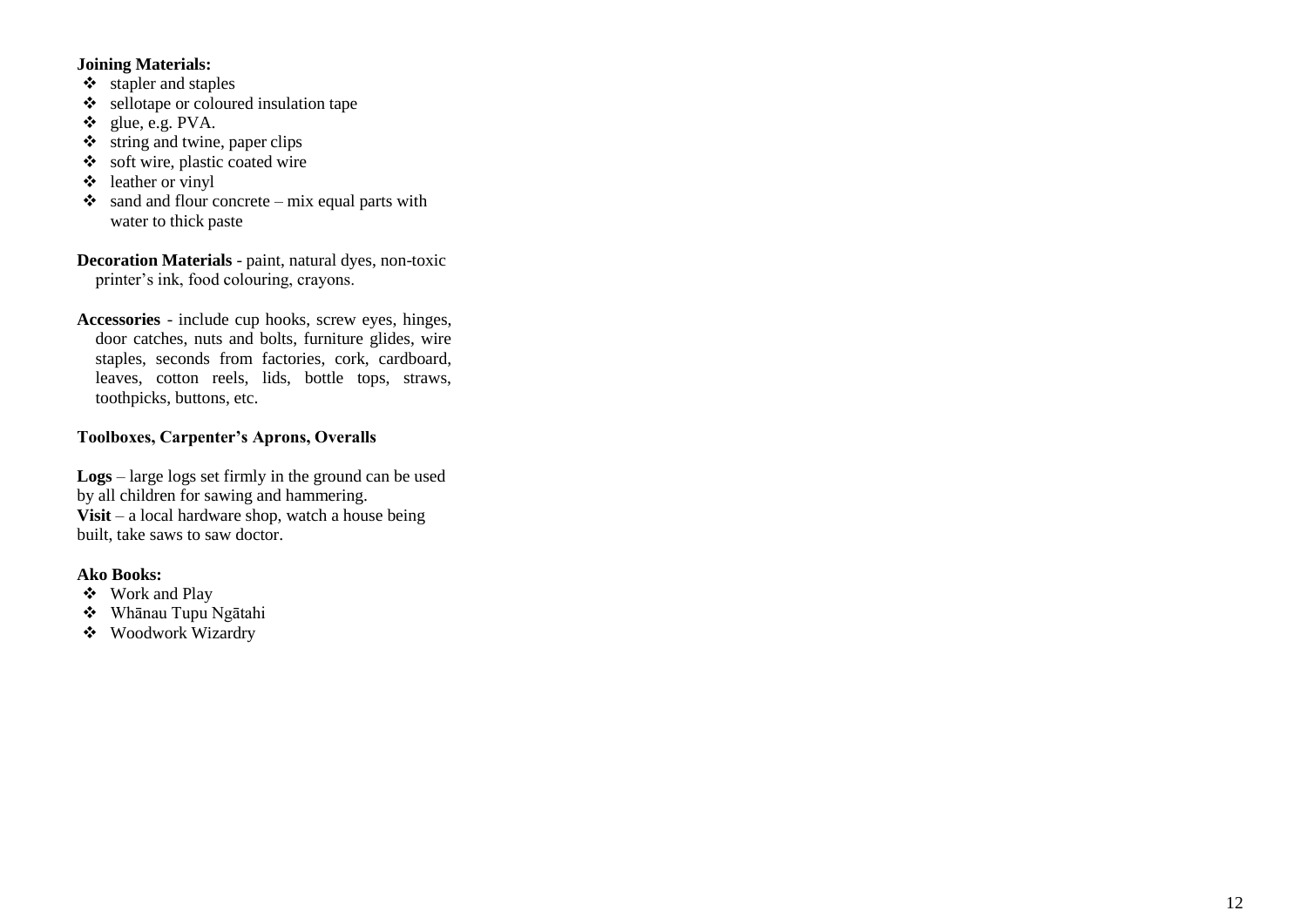### **Joining Materials:**

- ❖ stapler and staples
- ❖ sellotape or coloured insulation tape
- ❖ glue, e.g. PVA.
- $\ddot{\bullet}$  string and twine, paper clips
- ❖ soft wire, plastic coated wire
- $\triangleleft$  leather or vinyl
- $\bullet$  sand and flour concrete mix equal parts with water to thick paste
- Decoration Materials paint, natural dyes, non-toxic printer's ink, food colouring, crayons.
- **Accessories**  include cup hooks, screw eyes, hinges, door catches, nuts and bolts, furniture glides, wire staples, seconds from factories, cork, cardboard, leaves, cotton reels, lids, bottle tops, straws, toothpicks, buttons, etc.

### **Toolboxes, Carpenter's Aprons, Overalls**

**Logs**  – large logs set firmly in the ground can be used by all children for sawing and hammering. **Visit**  – a local hardware shop, watch a house being built, take saws to saw doctor.

- ❖ Work and Play
- ❖ Whānau Tupu Ngātahi
- ❖ Woodwork Wizardry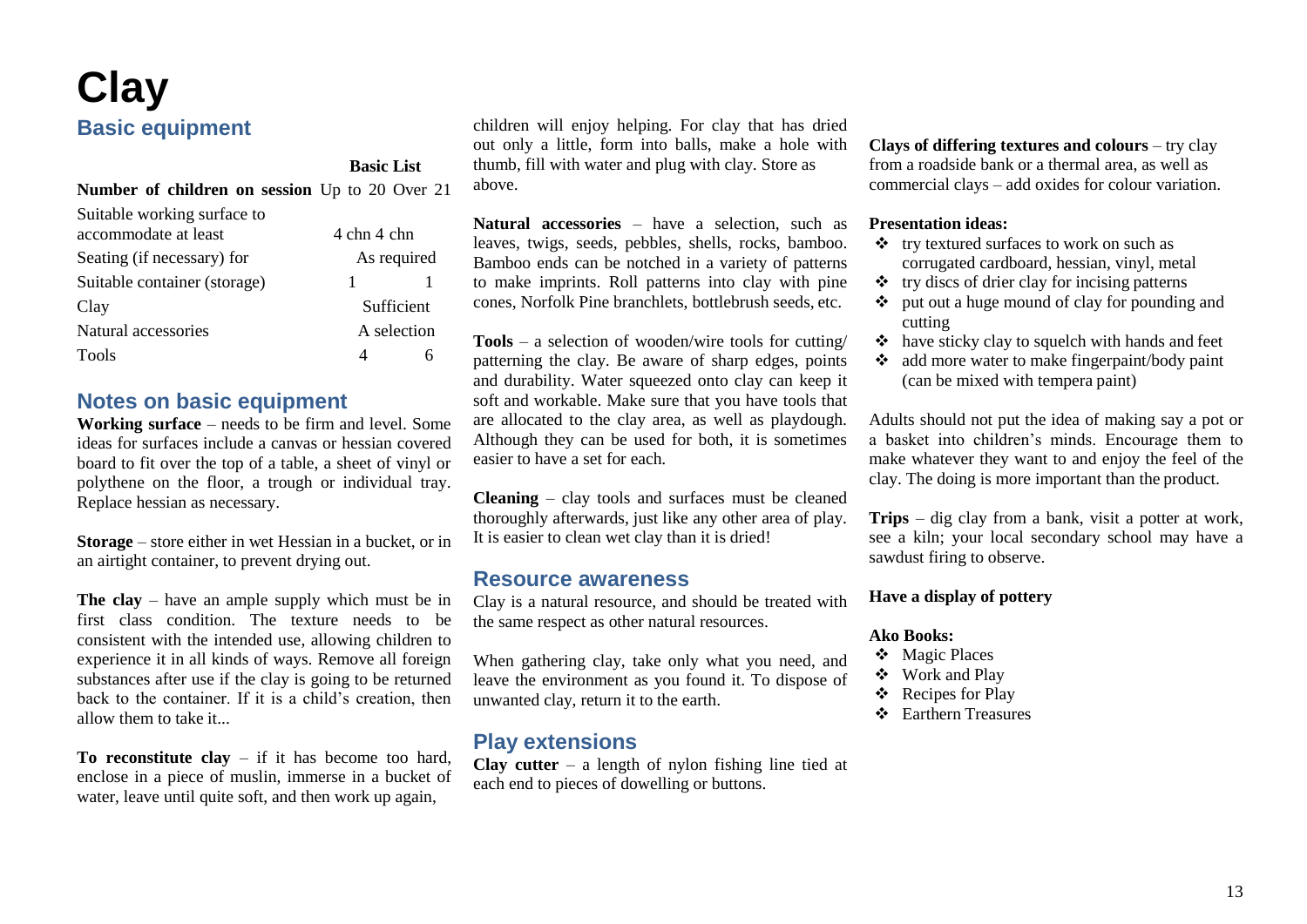## <span id="page-15-0"></span>**Clay Basic equipment**

### **Basic List**

**Number of children on session** Up to 20 Over 21

| 4 chn 4 chn |
|-------------|
| As required |
|             |
| Sufficient  |
| A selection |
|             |
|             |

### **Notes on basic equipment**

**Working surface** – needs to be firm and level. Some ideas for surfaces include a canvas or hessian covered board to fit over the top of a table, a sheet of vinyl or polythene on the floor, a trough or individual tray. Replace hessian as necessary.

**Storage** – store either in wet Hessian in a bucket, or in an airtight container, to prevent drying out.

**The clay** – have an ample supply which must be in first class condition. The texture needs to be consistent with the intended use, allowing children to experience it in all kinds of ways. Remove all foreign substances after use if the clay is going to be returned back to the container. If it is a child's creation, then allow them to take it...

**To reconstitute clay** – if it has become too hard, enclose in a piece of muslin, immerse in a bucket of water, leave until quite soft, and then work up again,

children will enjoy helping. For clay that has dried out only a little, form into balls, make a hole with thumb, fill with water and plug with clay. Store as above.

**Natural accessories** – have a selection, such as leaves, twigs, seeds, pebbles, shells, rocks, bamboo. Bamboo ends can be notched in a variety of patterns to make imprints. Roll patterns into clay with pine cones, Norfolk Pine branchlets, bottlebrush seeds, etc.

**Tools** – a selection of wooden/wire tools for cutting/ patterning the clay. Be aware of sharp edges, points and durability. Water squeezed onto clay can keep it soft and workable. Make sure that you have tools that are allocated to the clay area, as well as playdough. Although they can be used for both, it is sometimes easier to have a set for each.

**Cleaning** – clay tools and surfaces must be cleaned thoroughly afterwards, just like any other area of play. It is easier to clean wet clay than it is dried!

### **Resource awareness**

Clay is a natural resource, and should be treated with the same respect as other natural resources.

When gathering clay, take only what you need, and leave the environment as you found it. To dispose of unwanted clay, return it to the earth.

## **Play extensions**

**Clay cutter** – a length of nylon fishing line tied at each end to pieces of dowelling or buttons.

**Clays of differing textures and colours** – try clay from a roadside bank or a thermal area, as well as commercial clays – add oxides for colour variation.

### **Presentation ideas:**

- ❖ try textured surfaces to work on such as corrugated cardboard, hessian, vinyl, metal
- ❖ try discs of drier clay for incising patterns
- ❖ put out a huge mound of clay for pounding and cutting
- ❖ have sticky clay to squelch with hands and feet
- ❖ add more water to make fingerpaint/body paint (can be mixed with tempera paint)

Adults should not put the idea of making say a pot or a basket into children's minds. Encourage them to make whatever they want to and enjoy the feel of the clay. The doing is more important than the product.

**Trips** – dig clay from a bank, visit a potter at work, see a kiln; your local secondary school may have a sawdust firing to observe.

### **Have a display of pottery**

- ❖ Magic Places
- ❖ Work and Play
- ❖ Recipes for Play
- ❖ Earthern Treasures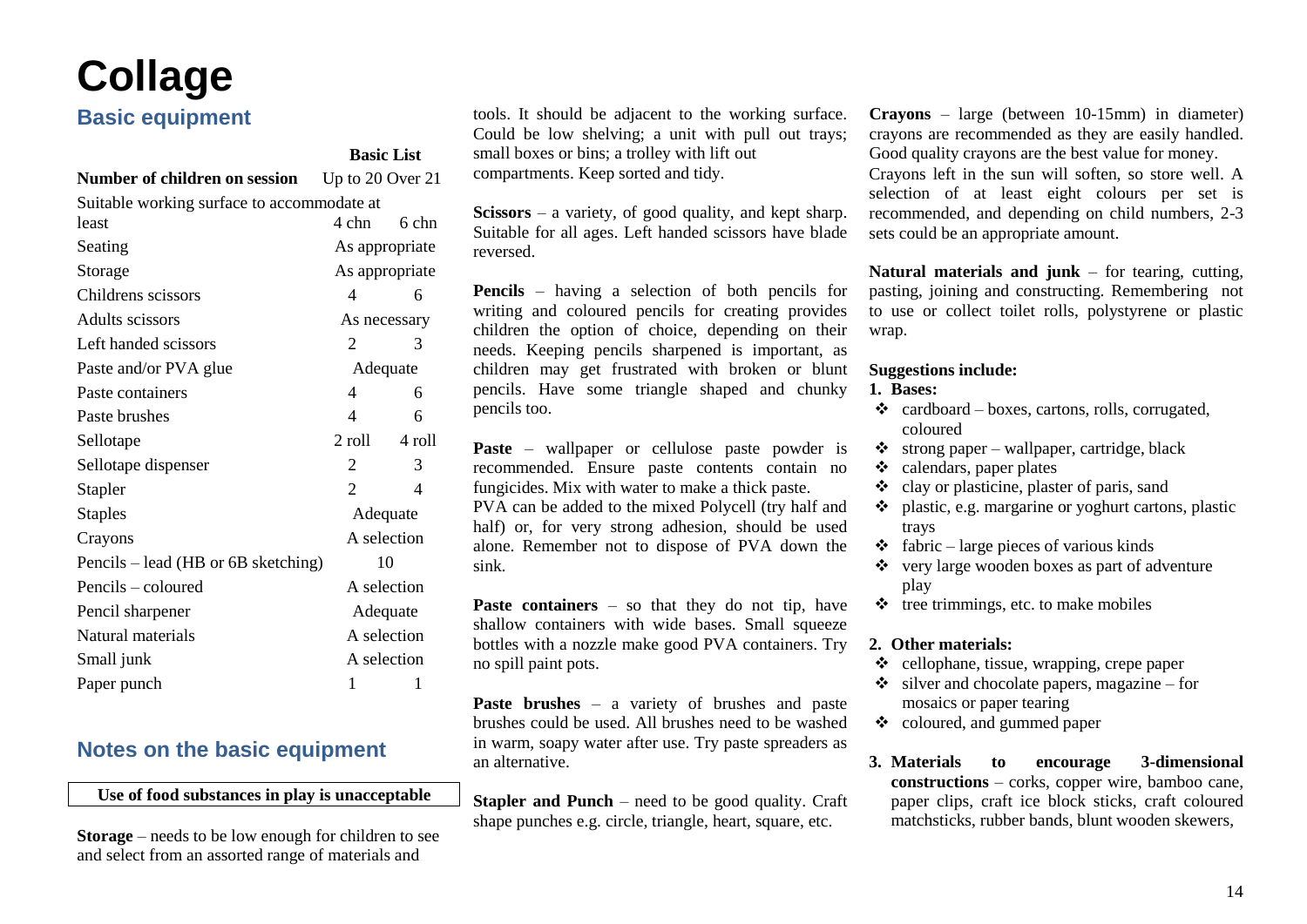# <span id="page-16-0"></span>**Collage**

## **Basic equipment**

|                                                       | <b>Basic List</b> |                |  |
|-------------------------------------------------------|-------------------|----------------|--|
| Number of children on session<br>Up to $20$ Over $21$ |                   |                |  |
| Suitable working surface to accommodate at            |                   |                |  |
| least                                                 | 4 chn             | 6 chn          |  |
| Seating                                               |                   | As appropriate |  |
| Storage                                               |                   | As appropriate |  |
| Childrens scissors                                    | 4                 | 6              |  |
| Adults scissors                                       |                   | As necessary   |  |
| Left handed scissors                                  | 2                 | 3              |  |
| Paste and/or PVA glue                                 |                   | Adequate       |  |
| Paste containers                                      | 4                 | 6              |  |
| Paste brushes                                         | 4                 | 6              |  |
| Sellotape                                             | 2 roll            | 4 roll         |  |
| Sellotape dispenser                                   | 2                 | 3              |  |
| Stapler                                               | $\mathfrak{D}$    | 4              |  |
| <b>Staples</b>                                        |                   | Adequate       |  |
| Crayons                                               |                   | A selection    |  |
| Pencils – lead (HB or 6B sketching)                   |                   | 10             |  |
| Pencils - coloured                                    |                   | A selection    |  |
| Pencil sharpener                                      |                   | Adequate       |  |
| Natural materials                                     |                   | A selection    |  |
| Small junk                                            |                   | A selection    |  |
| Paper punch                                           | 1                 | 1              |  |

## **Notes on the basic equipment**

**Use of food substances in play is unacceptable**

**Storage** – needs to be low enough for children to see and select from an assorted range of materials and

tools. It should be adjacent to the working surface. Could be low shelving; a unit with pull out trays; small boxes or bins; a trolley with lift out compartments. Keep sorted and tidy.

**Scissors** – a variety, of good quality, and kept sharp. Suitable for all ages. Left handed scissors have blade reversed.

**Pencils** – having a selection of both pencils for writing and coloured pencils for creating provides children the option of choice, depending on their needs. Keeping pencils sharpened is important, as children may get frustrated with broken or blunt pencils. Have some triangle shaped and chunky pencils too.

**Paste** – wallpaper or cellulose paste powder is recommended. Ensure paste contents contain no fungicides. Mix with water to make a thick paste.

PVA can be added to the mixed Polycell (try half and half) or, for very strong adhesion, should be used alone. Remember not to dispose of PVA down the sink.

**Paste containers** – so that they do not tip, have shallow containers with wide bases. Small squeeze bottles with a nozzle make good PVA containers. Try no spill paint pots.

**Paste brushes** – a variety of brushes and paste brushes could be used. All brushes need to be washed in warm, soapy water after use. Try paste spreaders as an alternative.

**Stapler and Punch** – need to be good quality. Craft shape punches e.g. circle, triangle, heart, square, etc.

**Crayons** – large (between 10-15mm) in diameter) crayons are recommended as they are easily handled. Good quality crayons are the best value for money. Crayons left in the sun will soften, so store well. A selection of at least eight colours per set is recommended, and depending on child numbers, 2-3 sets could be an appropriate amount.

**Natural materials and junk** – for tearing, cutting, pasting, joining and constructing. Remembering not to use or collect toilet rolls, polystyrene or plastic wrap.

### **Suggestions include:**

#### **1. Bases:**

- $\triangleleft$  cardboard boxes, cartons, rolls, corrugated, coloured
- $\triangleleft$  strong paper wallpaper, cartridge, black
- ❖ calendars, paper plates
- ❖ clay or plasticine, plaster of paris, sand
- ❖ plastic, e.g. margarine or yoghurt cartons, plastic trays
- $\triangleleft$  fabric large pieces of various kinds
- ❖ very large wooden boxes as part of adventure play
- $\div$  tree trimmings, etc. to make mobiles

### **2. Other materials:**

- ❖ cellophane, tissue, wrapping, crepe paper
- $\bullet$  silver and chocolate papers, magazine for mosaics or paper tearing
- ❖ coloured, and gummed paper
- **3. Materials to encourage 3-dimensional constructions** – corks, copper wire, bamboo cane, paper clips, craft ice block sticks, craft coloured matchsticks, rubber bands, blunt wooden skewers,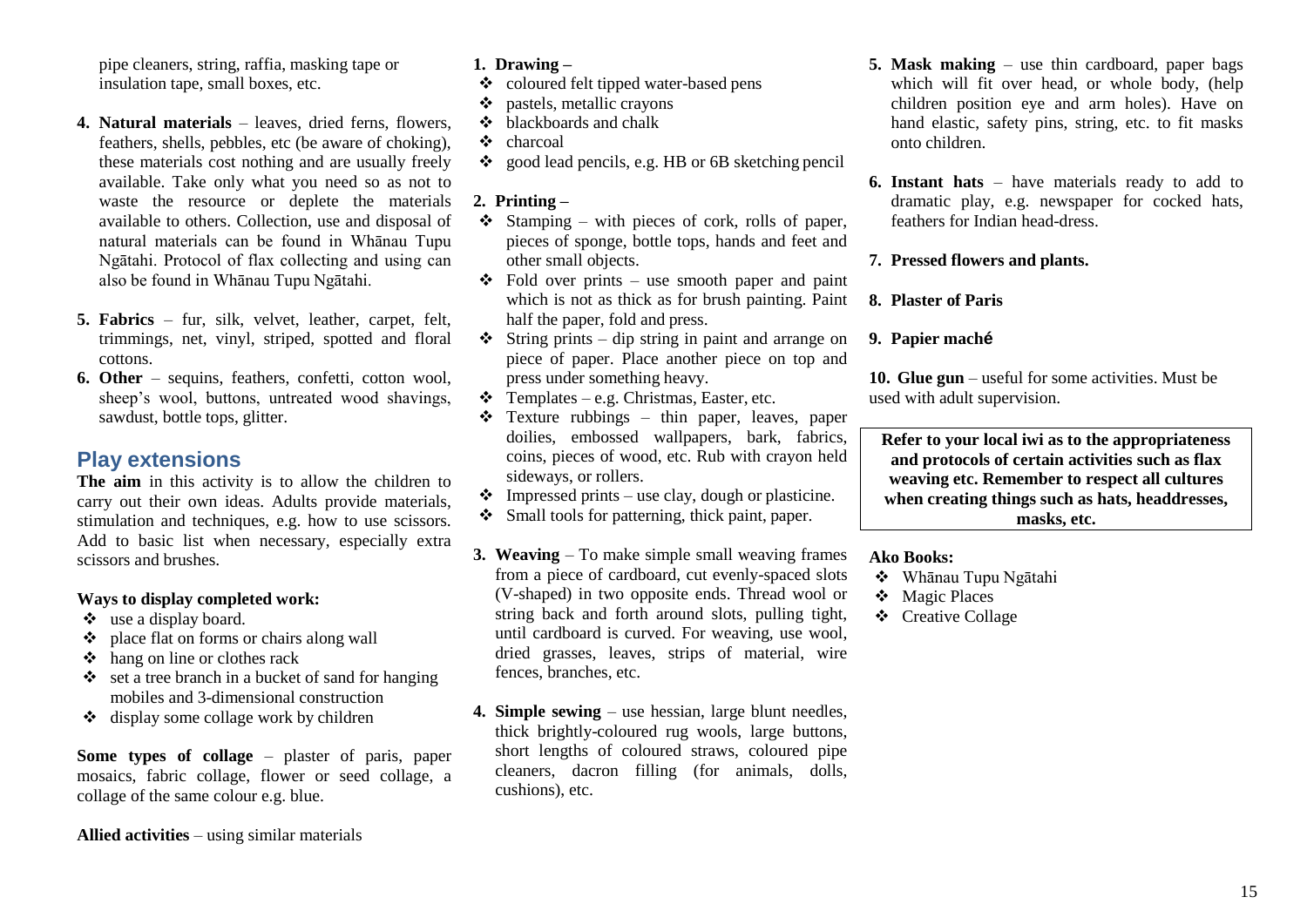pipe cleaners, string, raffia, masking tape or insulation tape, small boxes, etc.

- **4. Natural materials**  leaves, dried ferns, flowers, feathers, shells, pebbles, etc (be aware of choking), these materials cost nothing and are usually freely available. Take only what you need so as not to waste the resource or deplete the materials available to others. Collection, use and disposal of natural materials can be found in Whānau Tupu Ngātahi. Protocol of flax collecting and using can also be found in Whānau Tupu Ngātahi.
- **5. Fabrics**  fur, silk, velvet, leather, carpet, felt, trimmings, net, vinyl, striped, spotted and floral cottons.
- **6. Other**  sequins, feathers, confetti, cotton wool, sheep's wool, buttons, untreated wood shavings, sawdust, bottle tops, glitter.

### **Play extensions**

**The aim** in this activity is to allow the children to carry out their own ideas. Adults provide materials, stimulation and techniques, e.g. how to use scissors. Add to basic list when necessary, especially extra scissors and brushes.

### **Ways to display completed work:**

- ❖ use a display board.
- ❖ place flat on forms or chairs along wall
- ❖ hang on line or clothes rack
- ❖ set a tree branch in a bucket of sand for hanging mobiles and 3-dimensional construction
- ❖ display some collage work by children

**Some types of collage** – plaster of paris, paper mosaics, fabric collage, flower or seed collage, a collage of the same colour e.g. blue.

**Allied activities** – using similar materials

### **1. Drawing –**

- ❖ coloured felt tipped water-based pens
- ❖ pastels, metallic crayons
- ❖ blackboards and chalk
- ❖ charcoal
- ❖ good lead pencils, e.g. HB or 6B sketching pencil

### **2. Printing –**

- $\div$  Stamping with pieces of cork, rolls of paper, pieces of sponge, bottle tops, hands and feet and other small objects.
- $\div$  Fold over prints use smooth paper and paint which is not as thick as for brush painting. Paint half the paper, fold and press.
- $\div$  String prints dip string in paint and arrange on piece of paper. Place another piece on top and press under something heavy.
- $\div$  Templates e.g. Christmas, Easter, etc.
- ❖ Texture rubbings thin paper, leaves, paper doilies, embossed wallpapers, bark, fabrics, coins, pieces of wood, etc. Rub with crayon held sideways, or rollers.
- $\bullet$  Impressed prints use clay, dough or plasticine.
- ❖ Small tools for patterning, thick paint, paper.
- **3. Weaving**  To make simple small weaving frames from a piece of cardboard, cut evenly-spaced slots (V-shaped) in two opposite ends. Thread wool or string back and forth around slots, pulling tight, until cardboard is curved. For weaving, use wool, dried grasses, leaves, strips of material, wire fences, branches, etc.
- **4. Simple sewing**  use hessian, large blunt needles, thick brightly-coloured rug wools, large buttons, short lengths of coloured straws, coloured pipe cleaners, dacron filling (for animals, dolls, cushions), etc.
- **5. Mask making**  use thin cardboard, paper bags which will fit over head, or whole body, (help children position eye and arm holes). Have on hand elastic, safety pins, string, etc. to fit masks onto children.
- **6. Instant hats**  have materials ready to add to dramatic play, e.g. newspaper for cocked hats, feathers for Indian head-dress.

### **7. Pressed flowers and plants.**

### **8. Plaster of Paris**

### **9. Papier maché**

**10. Glue gun** – useful for some activities. Must be used with adult supervision.

**Refer to your local iwi as to the appropriateness and protocols of certain activities such as flax weaving etc. Remember to respect all cultures when creating things such as hats, headdresses, masks, etc.**

- ❖ Whānau Tupu Ngātahi
- ❖ Magic Places
- ❖ Creative Collage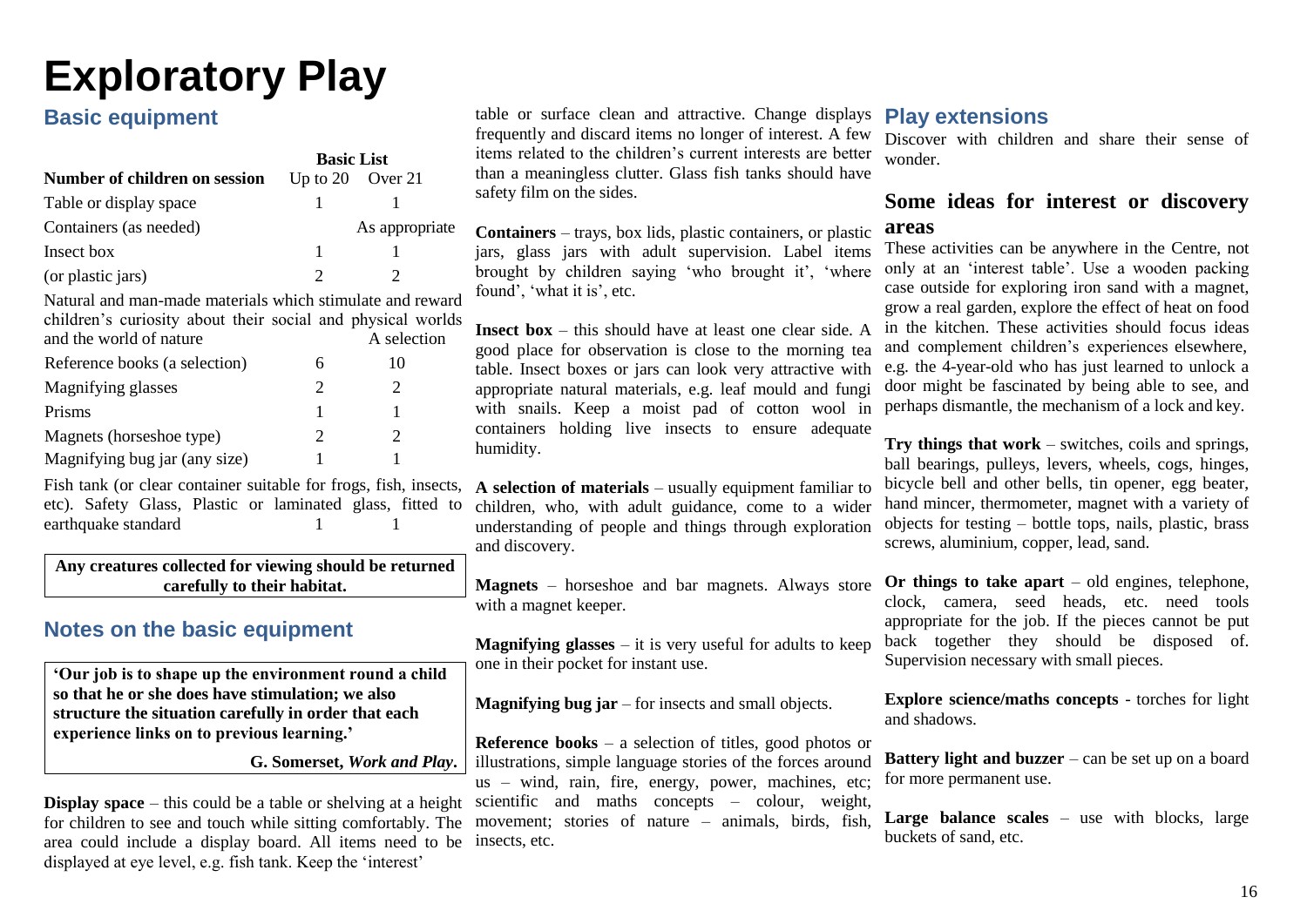## <span id="page-18-0"></span>**Exploratory Play**

## **Basic equipment**

|                               | <b>Basic List</b> |                      |
|-------------------------------|-------------------|----------------------|
| Number of children on session |                   | Up to $20$ Over $21$ |
| Table or display space        |                   |                      |
| Containers (as needed)        |                   | As appropriate       |
| Insect box                    |                   |                      |
| (or plastic jars)             |                   |                      |

Natural and man-made materials which stimulate and reward children's curiosity about their social and physical worlds and the world of nature A selection Reference books (a selection) 6 10 Magnifying glasses 2 2 2 Prisms 1 1 1 Magnets (horseshoe type) 2 2 2 Magnifying bug jar (any size)  $1$  1

Fish tank (or clear container suitable for frogs, fish, insects, A selection of materials – usually equipment familiar to etc). Safety Glass, Plastic or laminated glass, fitted to earthquake standard 1 1 1

**Any creatures collected for viewing should be returned carefully to their habitat.**

## **Notes on the basic equipment**

**'Our job is to shape up the environment round a child so that he or she does have stimulation; we also structure the situation carefully in order that each experience links on to previous learning.'**

**G. Somerset,** *Work and Play***.**

**Display space** – this could be a table or shelving at a height scientific and maths concepts – colour, weight, for children to see and touch while sitting comfortably. The movement; stories of nature – animals, birds, fish, area could include a display board. All items need to be insects, etc. displayed at eye level, e.g. fish tank. Keep the 'interest'

table or surface clean and attractive. Change displays frequently and discard items no longer of interest. A few items related to the children's current interests are better than a meaningless clutter. Glass fish tanks should have safety film on the sides.

**Containers** – trays, box lids, plastic containers, or plastic jars, glass jars with adult supervision. Label items brought by children saying 'who brought it', 'where found', 'what it is', etc.

**Insect box** – this should have at least one clear side. A good place for observation is close to the morning tea table. Insect boxes or jars can look very attractive with appropriate natural materials, e.g. leaf mould and fungi with snails. Keep a moist pad of cotton wool in containers holding live insects to ensure adequate humidity.

children, who, with adult guidance, come to a wider understanding of people and things through exploration and discovery.

**Magnets** – horseshoe and bar magnets. Always store with a magnet keeper.

**Magnifying glasses** – it is very useful for adults to keep one in their pocket for instant use.

**Magnifying bug jar** – for insects and small objects.

**Reference books** – a selection of titles, good photos or illustrations, simple language stories of the forces around us – wind, rain, fire, energy, power, machines, etc;

## **Play extensions**

Discover with children and share their sense of wonder.

### **Some ideas for interest or discovery areas**

These activities can be anywhere in the Centre, not only at an 'interest table'. Use a wooden packing case outside for exploring iron sand with a magnet, grow a real garden, explore the effect of heat on food in the kitchen. These activities should focus ideas and complement children's experiences elsewhere, e.g. the 4-year-old who has just learned to unlock a door might be fascinated by being able to see, and perhaps dismantle, the mechanism of a lock and key.

**Try things that work** – switches, coils and springs, ball bearings, pulleys, levers, wheels, cogs, hinges, bicycle bell and other bells, tin opener, egg beater, hand mincer, thermometer, magnet with a variety of objects for testing – bottle tops, nails, plastic, brass screws, aluminium, copper, lead, sand.

**Or things to take apart** – old engines, telephone, clock, camera, seed heads, etc. need tools appropriate for the job. If the pieces cannot be put back together they should be disposed of. Supervision necessary with small pieces.

**Explore science/maths concepts** - torches for light and shadows.

**Battery light and buzzer** – can be set up on a board for more permanent use.

Large balance scales – use with blocks, large buckets of sand, etc.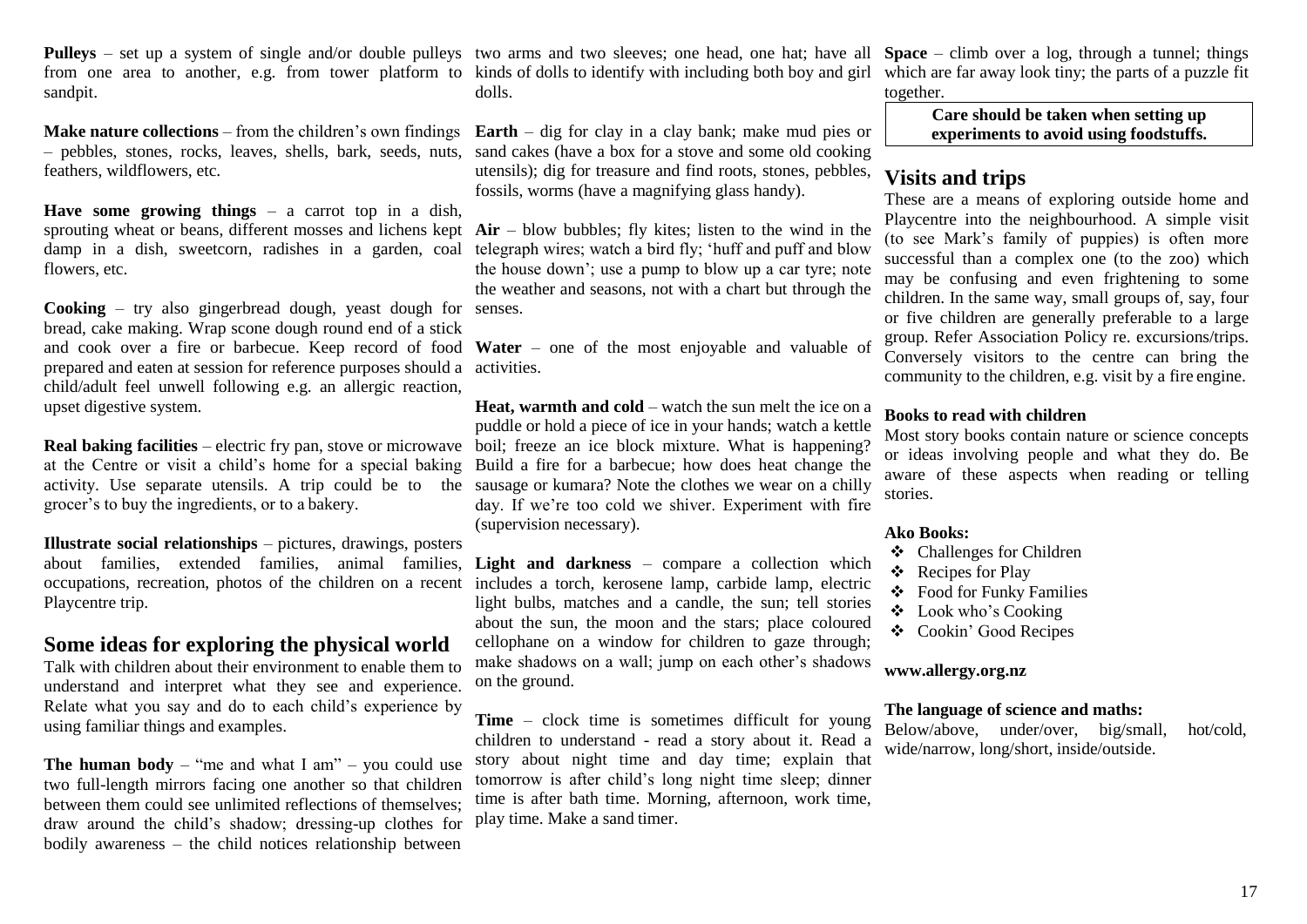Pulleys – set up a system of single and/or double pulleys two arms and two sleeves; one head, one hat; have all Space – climb over a log, through a tunnel; things from one area to another, e.g. from tower platform to kinds of dolls to identify with including both boy and girl sandpit.

**Make nature collections** – from the children's own findings – pebbles, stones, rocks, leaves, shells, bark, seeds, nuts, sand cakes (have a box for a stove and some old cooking feathers, wildflowers, etc.

**Have some growing things** – a carrot top in a dish, sprouting wheat or beans, different mosses and lichens kept **Air** – blow bubbles; fly kites; listen to the wind in the damp in a dish, sweetcorn, radishes in a garden, coal telegraph wires; watch a bird fly; 'huff and puff and blow flowers, etc.

**Cooking** – try also gingerbread dough, yeast dough for senses. bread, cake making. Wrap scone dough round end of a stick and cook over a fire or barbecue. Keep record of food **Water** – one of the most enjoyable and valuable of prepared and eaten at session for reference purposes should a activities. child/adult feel unwell following e.g. an allergic reaction, upset digestive system.

**Real baking facilities** – electric fry pan, stove or microwave boil; freeze an ice block mixture. What is happening? at the Centre or visit a child's home for a special baking activity. Use separate utensils. A trip could be to the sausage or kumara? Note the clothes we wear on a chilly grocer's to buy the ingredients, or to a bakery.

**Illustrate social relationships** – pictures, drawings, posters about families, extended families, animal families, **Light and darkness** – compare a collection which occupations, recreation, photos of the children on a recent includes a torch, kerosene lamp, carbide lamp, electric Playcentre trip.

### **Some ideas for exploring the physical world**

Talk with children about their environment to enable them to understand and interpret what they see and experience. Relate what you say and do to each child's experience by using familiar things and examples.

**The human body** – "me and what I am" – you could use two full-length mirrors facing one another so that children between them could see unlimited reflections of themselves; draw around the child's shadow; dressing-up clothes for bodily awareness – the child notices relationship between

dolls.

**Earth** – dig for clay in a clay bank; make mud pies or utensils); dig for treasure and find roots, stones, pebbles, fossils, worms (have a magnifying glass handy).

the house down'; use a pump to blow up a car tyre; note the weather and seasons, not with a chart but through the

**Heat, warmth and cold** – watch the sun melt the ice on a puddle or hold a piece of ice in your hands; watch a kettle Build a fire for a barbecue; how does heat change the day. If we're too cold we shiver. Experiment with fire (supervision necessary).

light bulbs, matches and a candle, the sun; tell stories about the sun, the moon and the stars; place coloured cellophane on a window for children to gaze through; make shadows on a wall; jump on each other's shadows on the ground.

**Time** – clock time is sometimes difficult for young children to understand - read a story about it. Read a story about night time and day time; explain that tomorrow is after child's long night time sleep; dinner time is after bath time. Morning, afternoon, work time, play time. Make a sand timer.

which are far away look tiny; the parts of a puzzle fit together.

> **Care should be taken when setting up experiments to avoid using foodstuffs.**

### **Visits and trips**

These are a means of exploring outside home and Playcentre into the neighbourhood. A simple visit (to see Mark's family of puppies) is often more successful than a complex one (to the zoo) which may be confusing and even frightening to some children. In the same way, small groups of, say, four or five children are generally preferable to a large group. Refer Association Policy re. excursions/trips. Conversely visitors to the centre can bring the community to the children, e.g. visit by a fire engine.

### **Books to read with children**

Most story books contain nature or science concepts or ideas involving people and what they do. Be aware of these aspects when reading or telling stories.

### **Ako Books:**

- ❖ Challenges for Children
- ❖ Recipes for Play
- ❖ Food for Funky Families
- ❖ Look who's Cooking
- ❖ Cookin' Good Recipes

### **[www.allergy.org.nz](http://www.allergy.org.nz/)**

### **The language of science and maths:**

Below/above, under/over, big/small, hot/cold, wide/narrow, long/short, inside/outside.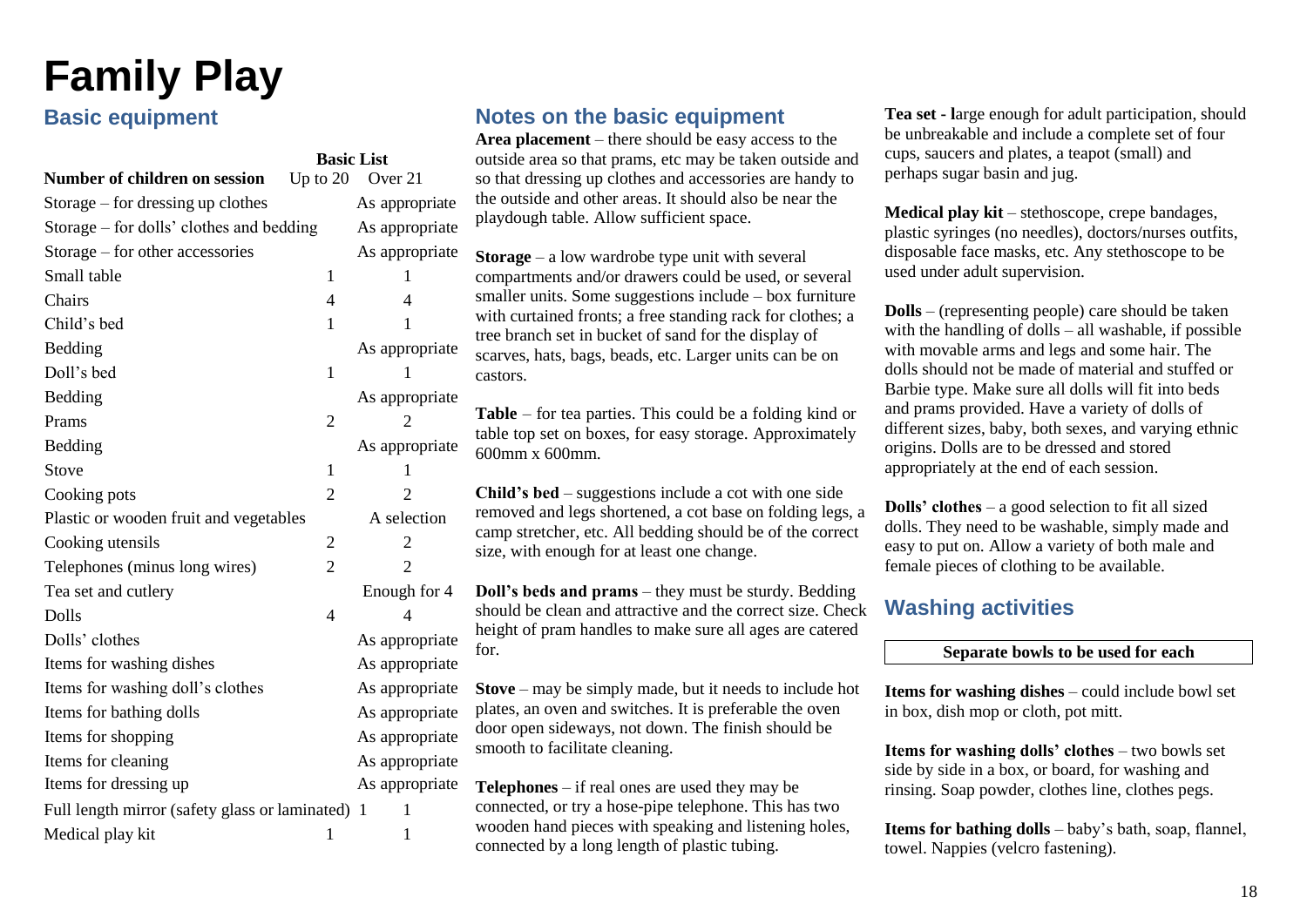## <span id="page-20-0"></span>**Family Play**

## **Basic equipment**

|                                                | <b>Basic List</b> |                      |
|------------------------------------------------|-------------------|----------------------|
| Number of children on session                  |                   | Up to $20$ Over $21$ |
| Storage $-$ for dressing up clothes            |                   | As appropriate       |
| Storage – for dolls' clothes and bedding       |                   | As appropriate       |
| Storage - for other accessories                |                   | As appropriate       |
| Small table                                    | 1                 | 1                    |
| Chairs                                         | $\overline{4}$    | $\overline{4}$       |
| Child's bed                                    | 1                 | 1                    |
| Bedding                                        |                   | As appropriate       |
| Doll's bed                                     | $\mathbf{1}$      | 1                    |
| Bedding                                        |                   | As appropriate       |
| Prams                                          | $\overline{2}$    | 2                    |
| Bedding                                        |                   | As appropriate       |
| Stove                                          | $\mathbf{1}$      | 1                    |
| Cooking pots                                   | $\overline{2}$    | $\overline{2}$       |
| Plastic or wooden fruit and vegetables         |                   | A selection          |
| Cooking utensils                               | $\overline{2}$    | 2                    |
| Telephones (minus long wires)                  | $\overline{2}$    | $\overline{2}$       |
| Tea set and cutlery                            |                   | Enough for 4         |
| Dolls                                          | $\overline{4}$    | 4                    |
| Dolls' clothes                                 |                   | As appropriate       |
| Items for washing dishes                       |                   | As appropriate       |
| Items for washing doll's clothes               |                   | As appropriate       |
| Items for bathing dolls                        |                   | As appropriate       |
| Items for shopping                             |                   | As appropriate       |
| Items for cleaning                             |                   | As appropriate       |
| Items for dressing up                          |                   | As appropriate       |
| Full length mirror (safety glass or laminated) |                   | 1<br>-1              |
| Medical play kit                               | 1                 | 1                    |

## **Notes on the basic equipment**

**Area placement** – there should be easy access to the outside area so that prams, etc may be taken outside and so that dressing up clothes and accessories are handy to the outside and other areas. It should also be near the playdough table. Allow sufficient space.

**Storage** – a low wardrobe type unit with several compartments and/or drawers could be used, or several smaller units. Some suggestions include – box furniture with curtained fronts; a free standing rack for clothes; a tree branch set in bucket of sand for the display of scarves, hats, bags, beads, etc. Larger units can be on castors.

**Table** – for tea parties. This could be a folding kind or table top set on boxes, for easy storage. Approximately 600mm x 600mm.

**Child's bed** – suggestions include a cot with one side removed and legs shortened, a cot base on folding legs, a camp stretcher, etc. All bedding should be of the correct size, with enough for at least one change.

**Doll's beds and prams** – they must be sturdy. Bedding should be clean and attractive and the correct size. Check height of pram handles to make sure all ages are catered for.

**Stove** – may be simply made, but it needs to include hot plates, an oven and switches. It is preferable the oven door open sideways, not down. The finish should be smooth to facilitate cleaning.

**Telephones** – if real ones are used they may be connected, or try a hose-pipe telephone. This has two wooden hand pieces with speaking and listening holes, connected by a long length of plastic tubing.

**Tea set - l**arge enough for adult participation, should be unbreakable and include a complete set of four cups, saucers and plates, a teapot (small) and perhaps sugar basin and jug.

**Medical play kit** – stethoscope, crepe bandages, plastic syringes (no needles), doctors/nurses outfits, disposable face masks, etc. Any stethoscope to be used under adult supervision.

**Dolls** – (representing people) care should be taken with the handling of dolls – all washable, if possible with movable arms and legs and some hair. The dolls should not be made of material and stuffed or Barbie type. Make sure all dolls will fit into beds and prams provided. Have a variety of dolls of different sizes, baby, both sexes, and varying ethnic origins. Dolls are to be dressed and stored appropriately at the end of each session.

**Dolls' clothes** – a good selection to fit all sized dolls. They need to be washable, simply made and easy to put on. Allow a variety of both male and female pieces of clothing to be available.

## **Washing activities**

#### **Separate bowls to be used for each**

**Items for washing dishes** – could include bowl set in box, dish mop or cloth, pot mitt.

**Items for washing dolls' clothes** – two bowls set side by side in a box, or board, for washing and rinsing. Soap powder, clothes line, clothes pegs.

**Items for bathing dolls** – baby's bath, soap, flannel, towel. Nappies (velcro fastening).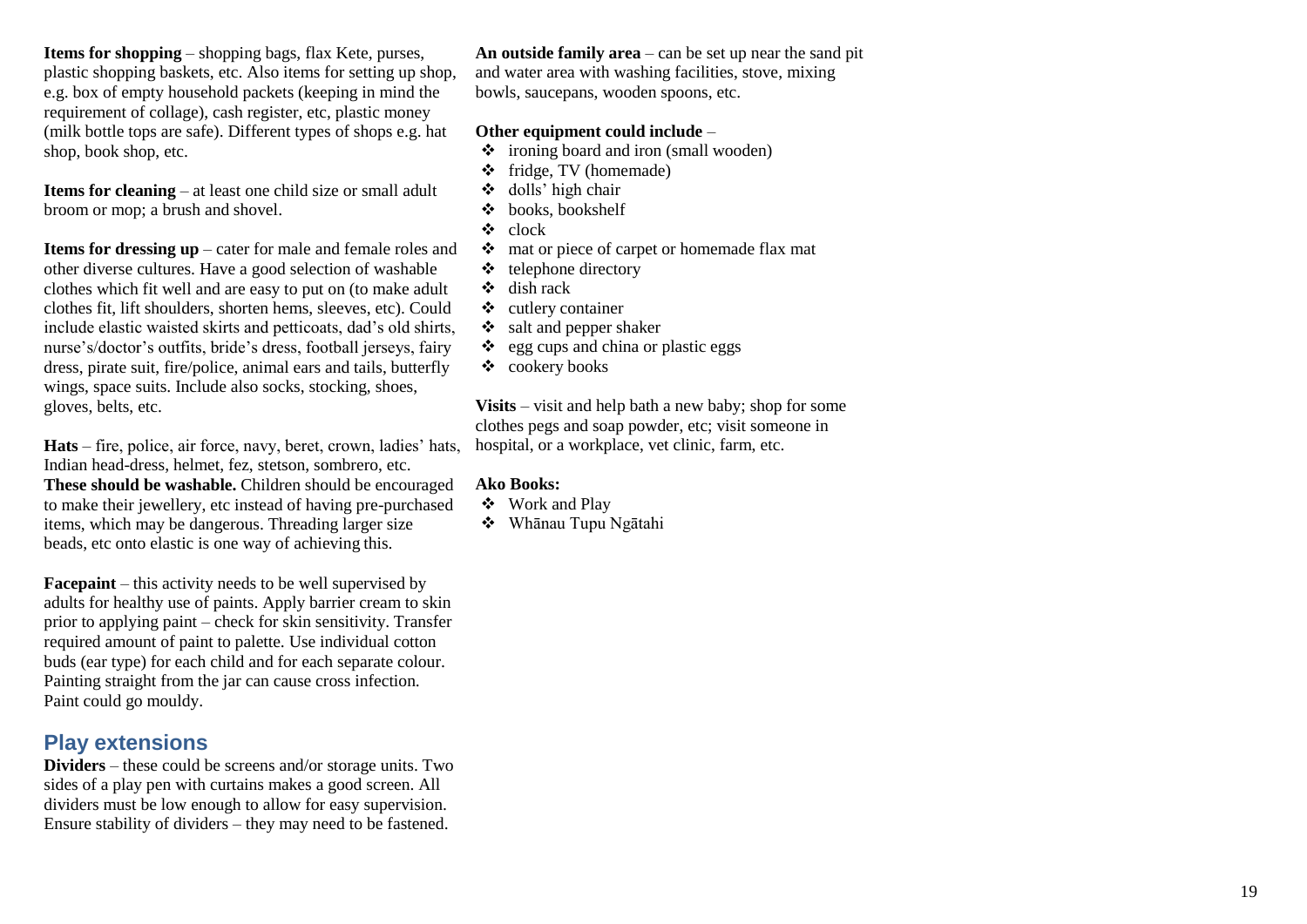**Items for shopping**  – shopping bags, flax Kete, purses, plastic shopping baskets, etc. Also items for setting up shop, e.g. box of empty household packets (keeping in mind the requirement of collage), cash register, etc, plastic money (milk bottle tops are safe). Different types of shops e.g. hat shop, book shop, etc.

**Items for cleaning**  – at least one child size or small adult broom or mop; a brush and shovel.

**Items for dressing up**  – cater for male and female roles and other diverse cultures. Have a good selection of washable clothes which fit well and are easy to put on (to make adult clothes fit, lift shoulders, shorten hems, sleeves, etc). Could include elastic waisted skirts and petticoats, dad's old shirts, nurse's/doctor's outfits, bride's dress, football jerseys, fairy dress, pirate suit, fire/police, animal ears and tails, butterfly wings, space suits. Include also socks, stocking, shoes, gloves, belts, etc.

**Hats**  – fire, police, air force, navy, beret, crown, ladies' hats, Indian head -dress, helmet, fez, stetson, sombrero, etc. **These should be washable.** Children should be encouraged to make their jewellery, etc instead of having pre -purchased items, which may be dangerous. Threading larger size beads, etc onto elastic is one way of achieving this.

**Facepaint**  – this activity needs to be well supervised by adults for healthy use of paints. Apply barrier cream to skin prior to applying paint – check for skin sensitivity. Transfer required amount of paint to palette. Use individual cotton buds (ear type) for each child and for each separate colour. Painting straight from the jar can cause cross infection. Paint could go mouldy.

## **Play extensions**

**Dividers**  – these could be screens and/or storage units. Two sides of a play pen with curtains makes a good screen. All dividers must be low enough to allow for easy supervision. Ensure stability of dividers – they may need to be fastened.

**An outside family area**  – can be set up near the sand pit and water area with washing facilities, stove, mixing bowls, saucepans, wooden spoons, etc.

### **Other equipment could include**  –

- ❖ ironing board and iron (small wooden)
- ❖ fridge, TV (homemade)
- ❖ dolls' high chair
- ❖ books, bookshelf
- ❖ clock
- ❖ mat or piece of carpet or homemade flax mat
- ❖ telephone directory
- ❖ dish rack
- ❖ cutlery container
- $\div$  salt and pepper shaker
- $\triangleleft$  egg cups and china or plastic eggs
- ❖ cookery books

**Visits**  – visit and help bath a new baby; shop for some clothes pegs and soap powder, etc; visit someone in hospital, or a workplace, vet clinic, farm, etc.

- ❖ Work and Play
- ❖ Whānau Tupu Ngātahi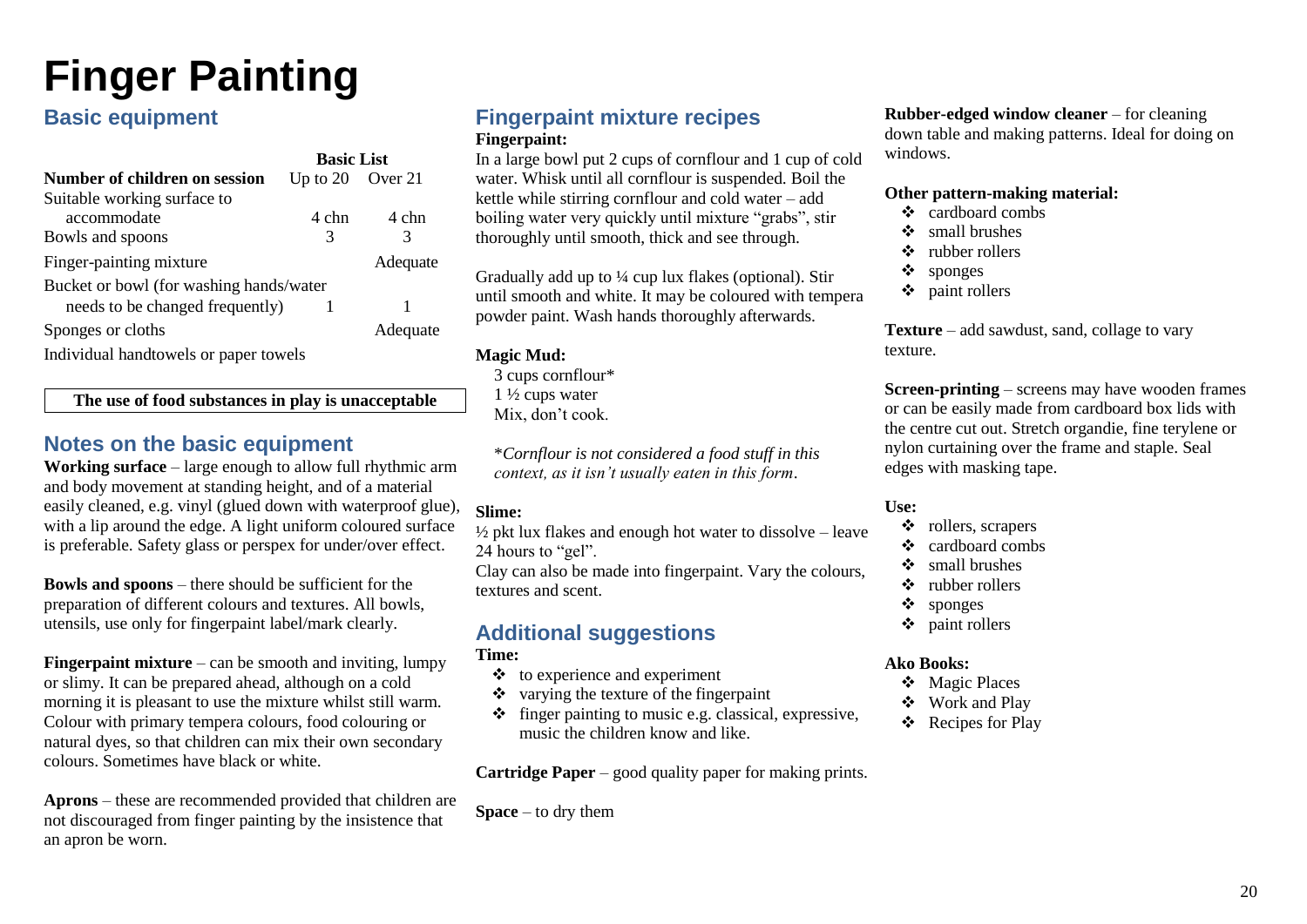## <span id="page-22-0"></span>**Finger Painting**

## **Basic equipment**

|                                         | <b>Basic List</b>    |          |
|-----------------------------------------|----------------------|----------|
| Number of children on session           | Up to $20$ Over $21$ |          |
| Suitable working surface to             |                      |          |
| accommodate                             | 4 chn                | 4 chn    |
| Bowls and spoons                        | 3                    | 3        |
| Finger-painting mixture                 |                      | Adequate |
| Bucket or bowl (for washing hands/water |                      |          |
| needs to be changed frequently)         |                      |          |
| Sponges or cloths                       |                      | Adequate |
|                                         |                      |          |

Individual handtowels or paper towels

**The use of food substances in play is unacceptable**

## **Notes on the basic equipment**

**Working surface** – large enough to allow full rhythmic arm and body movement at standing height, and of a material easily cleaned, e.g. vinyl (glued down with waterproof glue), with a lip around the edge. A light uniform coloured surface is preferable. Safety glass or perspex for under/over effect.

**Bowls and spoons** – there should be sufficient for the preparation of different colours and textures. All bowls, utensils, use only for fingerpaint label/mark clearly.

**Fingerpaint mixture** – can be smooth and inviting, lumpy or slimy. It can be prepared ahead, although on a cold morning it is pleasant to use the mixture whilst still warm. Colour with primary tempera colours, food colouring or natural dyes, so that children can mix their own secondary colours. Sometimes have black or white.

**Aprons** – these are recommended provided that children are not discouraged from finger painting by the insistence that an apron be worn.

### **Fingerpaint mixture recipes Fingerpaint:**

In a large bowl put 2 cups of cornflour and 1 cup of cold water. Whisk until all cornflour is suspended. Boil the kettle while stirring cornflour and cold water – add boiling water very quickly until mixture "grabs", stir thoroughly until smooth, thick and see through.

Gradually add up to ¼ cup lux flakes (optional). Stir until smooth and white. It may be coloured with tempera powder paint. Wash hands thoroughly afterwards.

### **Magic Mud:**

3 cups cornflour\*  $1\frac{1}{2}$  cups water Mix, don't cook.

\**Cornflour is not considered a food stuff in this context, as it isn't usually eaten in this form*.

### **Slime:**

 $\frac{1}{2}$  pkt lux flakes and enough hot water to dissolve – leave 24 hours to "gel".

Clay can also be made into fingerpaint. Vary the colours, textures and scent.

## **Additional suggestions**

**Time:**

- $\triangleleft$  to experience and experiment
- ❖ varying the texture of the fingerpaint
- ❖ finger painting to music e.g. classical, expressive, music the children know and like.

**Cartridge Paper** – good quality paper for making prints.

**Space** – to dry them

**Rubber-edged window cleaner** – for cleaning down table and making patterns. Ideal for doing on windows.

### **Other pattern-making material:**

- ❖ cardboard combs
- ❖ small brushes
- ❖ rubber rollers
- ❖ sponges
- ❖ paint rollers

**Texture** – add sawdust, sand, collage to vary texture.

**Screen-printing** – screens may have wooden frames or can be easily made from cardboard box lids with the centre cut out. Stretch organdie, fine terylene or nylon curtaining over the frame and staple. Seal edges with masking tape.

### **Use:**

- ❖ rollers, scrapers
- ❖ cardboard combs
- ❖ small brushes
- ❖ rubber rollers
- ❖ sponges
- ❖ paint rollers

- ❖ Magic Places
- ❖ Work and Play
- ❖ Recipes for Play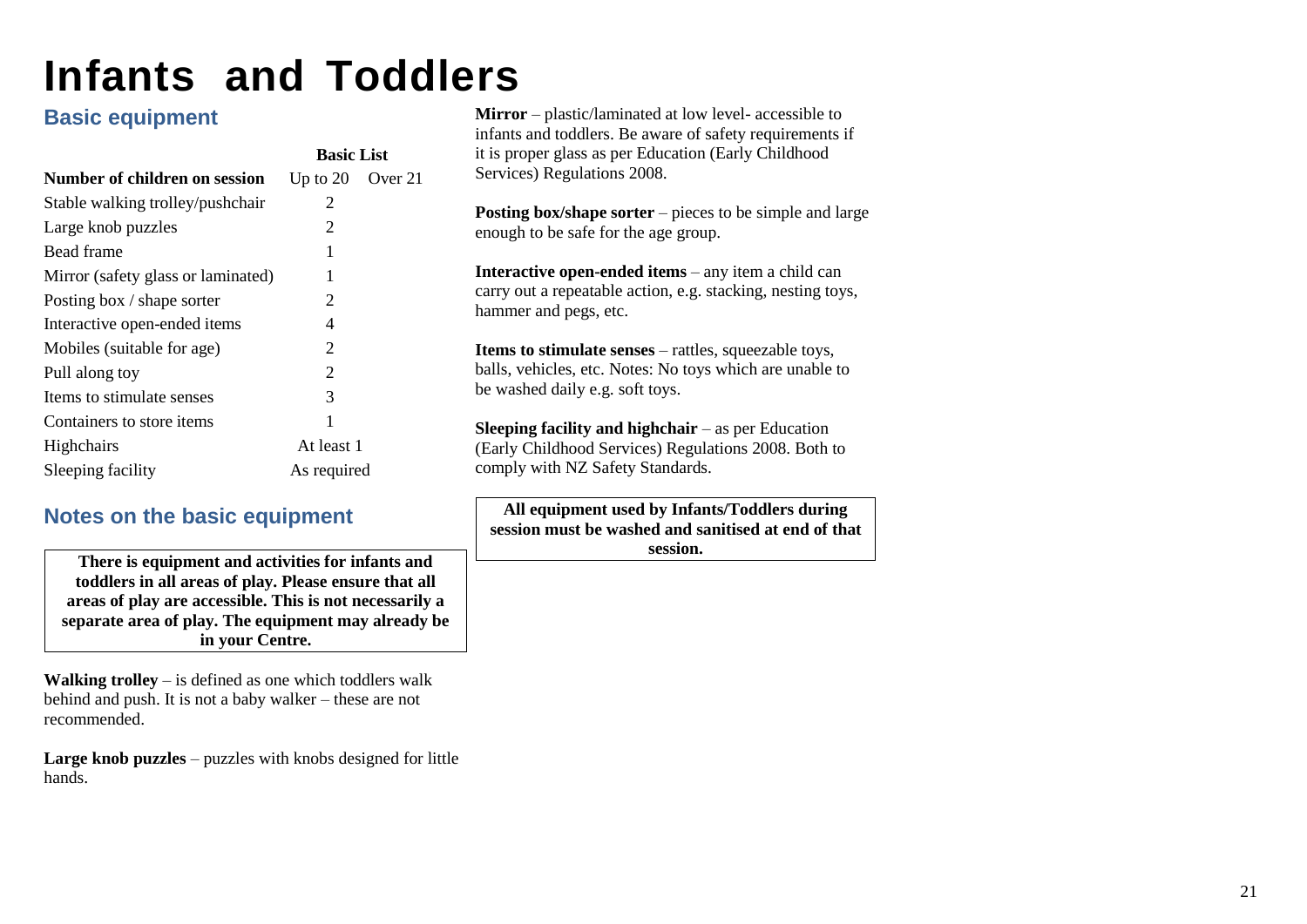## <span id="page-23-0"></span>**Infants and Toddlers**

## **Basic equipment**

|                                      |                      | <b>Basic List</b> |
|--------------------------------------|----------------------|-------------------|
| <b>Number of children on session</b> | Up to $20$ Over $21$ |                   |
| Stable walking trolley/pushchair     | 2                    |                   |
| Large knob puzzles                   | 2                    |                   |
| Bead frame                           | 1                    |                   |
| Mirror (safety glass or laminated)   | 1                    |                   |
| Posting box / shape sorter           | 2                    |                   |
| Interactive open-ended items         | 4                    |                   |
| Mobiles (suitable for age)           | 2                    |                   |
| Pull along toy                       | 2                    |                   |
| Items to stimulate senses            | 3                    |                   |
| Containers to store items            | 1                    |                   |
| Highchairs                           | At least 1           |                   |
| Sleeping facility                    | As required          |                   |

## **Notes on the basic equipment**

| There is equipment and activities for infants and       |
|---------------------------------------------------------|
| toddlers in all areas of play. Please ensure that all   |
| areas of play are accessible. This is not necessarily a |
| separate area of play. The equipment may already be     |
| in your Centre.                                         |

**Walking trolley** – is defined as one which toddlers walk behind and push. It is not a baby walker – these are not recommended.

Large knob puzzles – puzzles with knobs designed for little hands.

**Mirror** – plastic/laminated at low level- accessible to infants and toddlers. Be aware of safety requirements if it is proper glass as per Education (Early Childhood Services) Regulations 2008.

**Posting box/shape sorter** – pieces to be simple and large enough to be safe for the age group.

**Interactive open-ended items** – any item a child can carry out a repeatable action, e.g. stacking, nesting toys, hammer and pegs, etc.

**Items to stimulate senses** – rattles, squeezable toys, balls, vehicles, etc. Notes: No toys which are unable to be washed daily e.g. soft toys.

**Sleeping facility and highchair** – as per Education (Early Childhood Services) Regulations 2008. Both to comply with NZ Safety Standards.

**All equipment used by Infants/Toddlers during session must be washed and sanitised at end of that session.**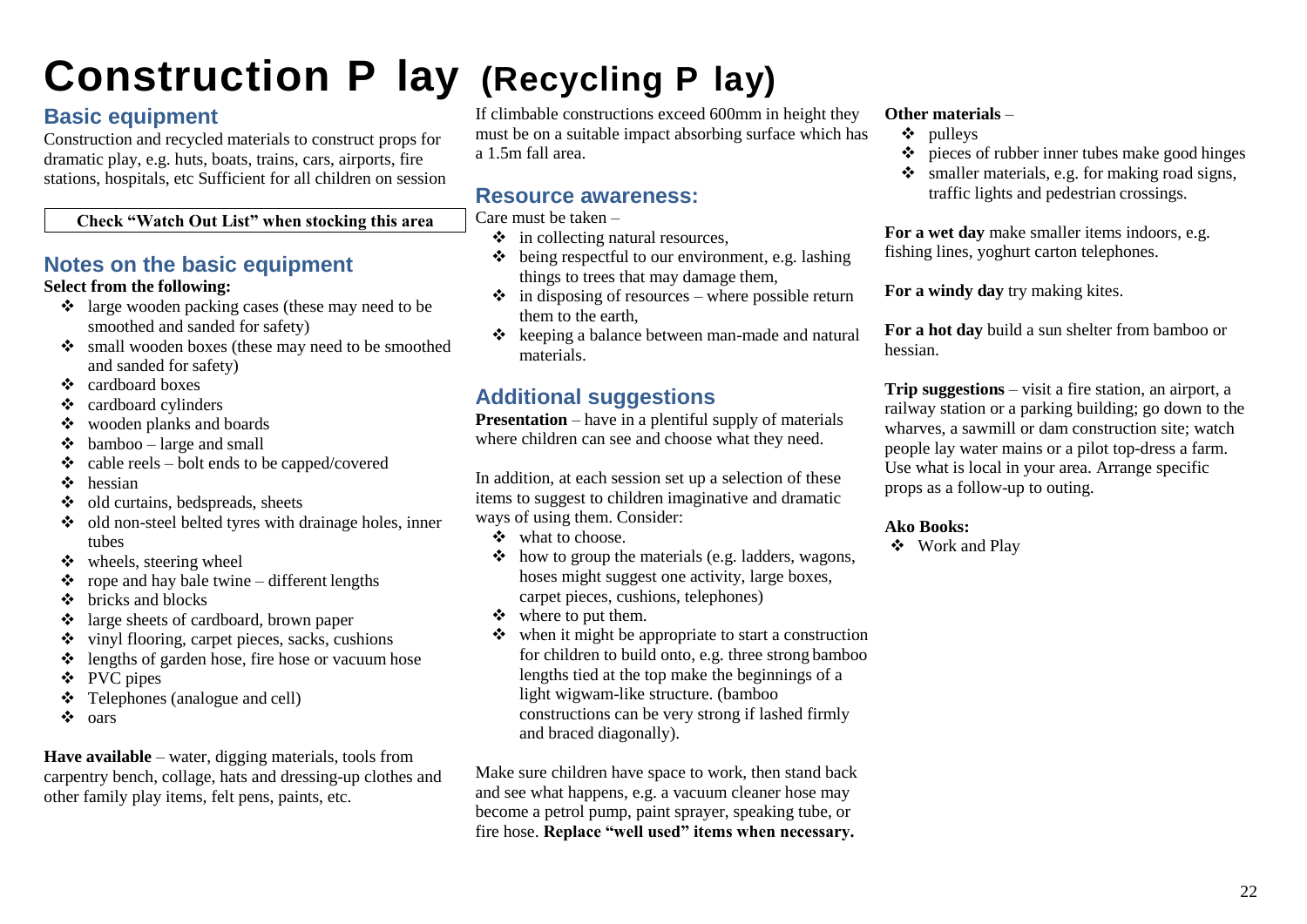## **Construction P lay (Recycling P lay)**

## **Basic equipment**

Construction and recycled materials to construct props for dramatic play, e.g. huts, boats, trains, cars, airports, fire stations, hospitals, etc Sufficient for all children on session

### **Check "Watch Out List" when stocking this area**

## **Notes on the basic equipment**

### **Select from the following:**

- ❖ large wooden packing cases (these may need to be smoothed and sanded for safety)
- ❖ small wooden boxes (these may need to be smoothed and sanded for safety)
- ❖ cardboard boxes
- ❖ cardboard cylinders
- ❖ wooden planks and boards
- $\triangleleft$  bamboo large and small
- $\triangleleft$  cable reels bolt ends to be capped/covered
- ❖ hessian
- ❖ old curtains, bedspreads, sheets
- ❖ old non-steel belted tyres with drainage holes, inner tubes
- ❖ wheels, steering wheel
- ❖ rope and hay bale twine different lengths
- ❖ bricks and blocks
- ❖ large sheets of cardboard, brown paper
- ❖ vinyl flooring, carpet pieces, sacks, cushions
- ❖ lengths of garden hose, fire hose or vacuum hose
- ❖ PVC pipes
- ❖ Telephones (analogue and cell)
- ❖ oars

**Have available** – water, digging materials, tools from carpentry bench, collage, hats and dressing-up clothes and other family play items, felt pens, paints, etc.

If climbable constructions exceed 600mm in height they must be on a suitable impact absorbing surface which has a 1.5m fall area.

## **Resource awareness:**

Care must be taken –

- ❖ in collecting natural resources,
- $\triangle$  being respectful to our environment, e.g. lashing things to trees that may damage them,
- $\cdot \cdot$  in disposing of resources where possible return them to the earth,
- ❖ keeping a balance between man-made and natural materials.

## **Additional suggestions**

**Presentation** – have in a plentiful supply of materials where children can see and choose what they need.

In addition, at each session set up a selection of these items to suggest to children imaginative and dramatic ways of using them. Consider:

- ❖ what to choose.
- ❖ how to group the materials (e.g. ladders, wagons, hoses might suggest one activity, large boxes, carpet pieces, cushions, telephones)
- ❖ where to put them.
- ❖ when it might be appropriate to start a construction for children to build onto, e.g. three strong bamboo lengths tied at the top make the beginnings of a light wigwam-like structure. (bamboo constructions can be very strong if lashed firmly and braced diagonally).

Make sure children have space to work, then stand back and see what happens, e.g. a vacuum cleaner hose may become a petrol pump, paint sprayer, speaking tube, or fire hose. **Replace "well used" items when necessary.**

### **Other materials** –

- ❖ pulleys
- ❖ pieces of rubber inner tubes make good hinges
- $\bullet$  smaller materials, e.g. for making road signs, traffic lights and pedestrian crossings.

**For a wet day** make smaller items indoors, e.g. fishing lines, yoghurt carton telephones.

**For a windy day** try making kites.

**For a hot day** build a sun shelter from bamboo or hessian.

**Trip suggestions** – visit a fire station, an airport, a railway station or a parking building; go down to the wharves, a sawmill or dam construction site; watch people lay water mains or a pilot top-dress a farm. Use what is local in your area. Arrange specific props as a follow-up to outing.

### **Ako Books:**

❖ Work and Play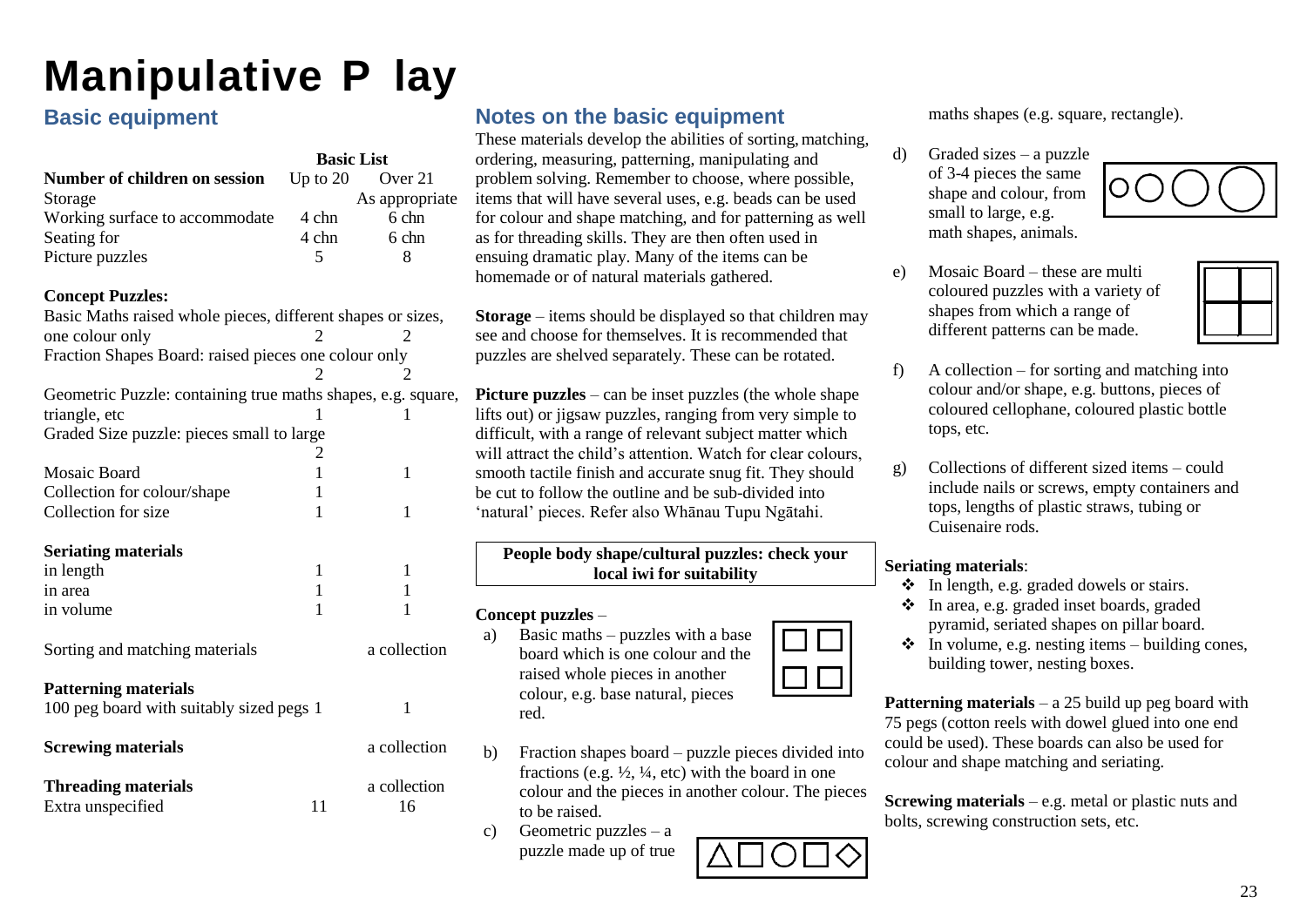## <span id="page-25-0"></span>**Manipulative P lay**

## **Basic equipment**

|                                                                                        | <b>Basic List</b> |                    |
|----------------------------------------------------------------------------------------|-------------------|--------------------|
| Number of children on session                                                          | Up to $20$        | Over 21            |
| Storage                                                                                |                   | As appropriate     |
| Working surface to accommodate                                                         | 4 chn             | 6 chn              |
| Seating for                                                                            | 4 chn             | 6 chn              |
| Picture puzzles                                                                        | 5                 | 8                  |
| <b>Concept Puzzles:</b><br>Basic Maths raised whole pieces, different shapes or sizes, |                   |                    |
| one colour only                                                                        |                   |                    |
| Fraction Shapes Board: raised pieces one colour only                                   |                   |                    |
|                                                                                        | 2                 | 2                  |
| Geometric Puzzle: containing true maths shapes, e.g. square,                           |                   |                    |
| triangle, etc                                                                          | 1                 | 1                  |
| Graded Size puzzle: pieces small to large                                              |                   |                    |
|                                                                                        | 2                 |                    |
| <b>Mosaic Board</b>                                                                    | $\mathbf{1}$      | $\mathbf{1}$       |
| Collection for colour/shape                                                            | 1                 |                    |
| Collection for size                                                                    | 1                 | 1                  |
|                                                                                        |                   |                    |
| <b>Seriating materials</b>                                                             |                   |                    |
| in length                                                                              | 1<br>$\mathbf{1}$ | 1                  |
| in area                                                                                | 1                 | 1<br>1             |
| in volume                                                                              |                   |                    |
| Sorting and matching materials                                                         |                   | a collection       |
| <b>Patterning materials</b><br>100 peg board with suitably sized pegs 1                |                   | $\mathbf{1}$       |
| <b>Screwing materials</b>                                                              |                   | a collection       |
| <b>Threading materials</b><br>Extra unspecified                                        | 11                | a collection<br>16 |

## **Notes on the basic equipment**

These materials develop the abilities of sorting, matching, ordering, measuring, patterning, manipulating and problem solving. Remember to choose, where possible, items that will have several uses, e.g. beads can be used for colour and shape matching, and for patterning as well as for threading skills. They are then often used in ensuing dramatic play. Many of the items can be homemade or of natural materials gathered.

**Storage** – items should be displayed so that children may see and choose for themselves. It is recommended that puzzles are shelved separately. These can be rotated.

**Picture puzzles** – can be inset puzzles (the whole shape lifts out) or jigsaw puzzles, ranging from very simple to difficult, with a range of relevant subject matter which will attract the child's attention. Watch for clear colours, smooth tactile finish and accurate snug fit. They should be cut to follow the outline and be sub-divided into 'natural' pieces. Refer also Whānau Tupu Ngātahi.

### **People body shape/cultural puzzles: check your local iwi for suitability**

### **Concept puzzles** –

- a) Basic maths puzzles with a base board which is one colour and the raised whole pieces in another colour, e.g. base natural, pieces red.
- b) Fraction shapes board puzzle pieces divided into fractions (e.g.  $\frac{1}{2}$ ,  $\frac{1}{4}$ , etc) with the board in one colour and the pieces in another colour. The pieces to be raised.
- c) Geometric puzzles a puzzle made up of true

maths shapes (e.g. square, rectangle).

d) Graded sizes – a puzzle of 3-4 pieces the same shape and colour, from small to large, e.g. math shapes, animals.



e) Mosaic Board – these are multi coloured puzzles with a variety of shapes from which a range of different patterns can be made.



- f) A collection for sorting and matching into colour and/or shape, e.g. buttons, pieces of coloured cellophane, coloured plastic bottle tops, etc.
- g) Collections of different sized items could include nails or screws, empty containers and tops, lengths of plastic straws, tubing or Cuisenaire rods.

### **Seriating materials**:

- ❖ In length, e.g. graded dowels or stairs.
- ❖ In area, e.g. graded inset boards, graded pyramid, seriated shapes on pillar board.
- $\bullet$  In volume, e.g. nesting items building cones, building tower, nesting boxes.

**Patterning materials** – a 25 build up peg board with 75 pegs (cotton reels with dowel glued into one end could be used). These boards can also be used for colour and shape matching and seriating.

**Screwing materials** – e.g. metal or plastic nuts and bolts, screwing construction sets, etc.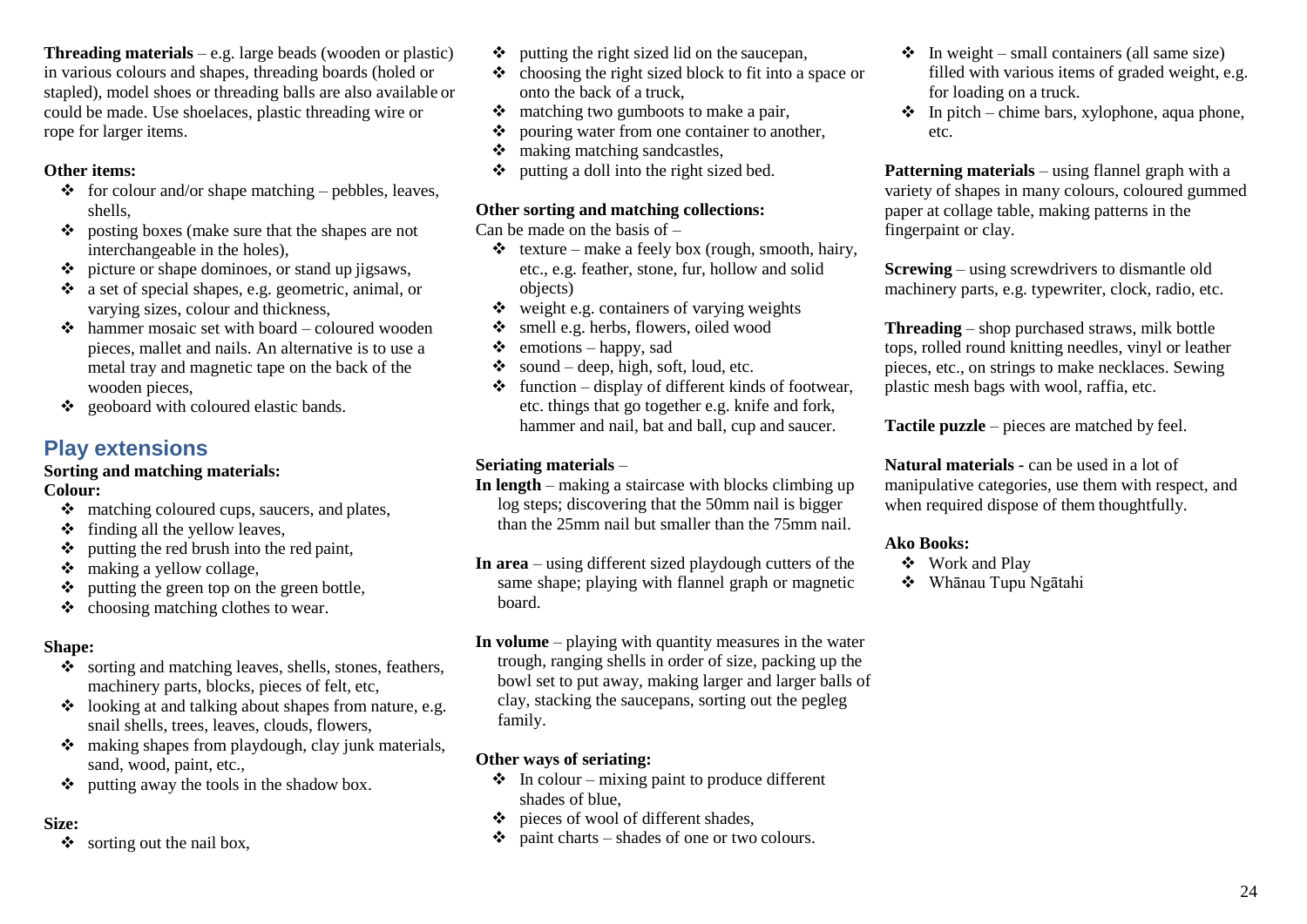**Threading materials** – e.g. large beads (wooden or plastic) in various colours and shapes, threading boards (holed or stapled), model shoes or threading balls are also available or could be made. Use shoelaces, plastic threading wire or rope for larger items.

### **Other items:**

- $\triangle$  for colour and/or shape matching pebbles, leaves, shells,
- ❖ posting boxes (make sure that the shapes are not interchangeable in the holes),
- ❖ picture or shape dominoes, or stand up jigsaws,
- ❖ a set of special shapes, e.g. geometric, animal, or varying sizes, colour and thickness,
- $\triangle$  hammer mosaic set with board coloured wooden pieces, mallet and nails. An alternative is to use a metal tray and magnetic tape on the back of the wooden pieces,
- ❖ geoboard with coloured elastic bands.

## **Play extensions**

### **Sorting and matching materials:**

### **Colour:**

- ❖ matching coloured cups, saucers, and plates,
- $\div$  finding all the yellow leaves,
- ❖ putting the red brush into the red paint,
- ❖ making a yellow collage,
- ❖ putting the green top on the green bottle,
- ❖ choosing matching clothes to wear.

### **Shape:**

- ❖ sorting and matching leaves, shells, stones, feathers, machinery parts, blocks, pieces of felt, etc,
- ❖ looking at and talking about shapes from nature, e.g. snail shells, trees, leaves, clouds, flowers,
- ❖ making shapes from playdough, clay junk materials, sand, wood, paint, etc.,
- ❖ putting away the tools in the shadow box.

### **Size:**

❖ sorting out the nail box,

- ❖ putting the right sized lid on the saucepan,
- ❖ choosing the right sized block to fit into a space or onto the back of a truck,
- ❖ matching two gumboots to make a pair,
- ❖ pouring water from one container to another,
- ❖ making matching sandcastles,
- ❖ putting a doll into the right sized bed.

### **Other sorting and matching collections:**

Can be made on the basis of  $-$ 

- $\triangleleft$  texture make a feely box (rough, smooth, hairy, etc., e.g. feather, stone, fur, hollow and solid objects)
- $\triangleleft$  weight e.g. containers of varying weights
- ❖ smell e.g. herbs, flowers, oiled wood
- $\div$  emotions happy, sad
- $\bullet$  sound deep, high, soft, loud, etc.
- $\triangleleft$  function display of different kinds of footwear, etc. things that go together e.g. knife and fork, hammer and nail, bat and ball, cup and saucer.

### **Seriating materials** –

- **In length**  making a staircase with blocks climbing up log steps; discovering that the 50mm nail is bigger than the 25mm nail but smaller than the 75mm nail.
- **In area**  using different sized playdough cutters of the same shape; playing with flannel graph or magnetic board.
- **In volume**  playing with quantity measures in the water trough, ranging shells in order of size, packing up the bowl set to put away, making larger and larger balls of clay, stacking the saucepans, sorting out the pegleg family.

### **Other ways of seriating:**

- $\bullet$  In colour mixing paint to produce different shades of blue,
- ❖ pieces of wool of different shades,
- $\dots$  paint charts shades of one or two colours.
- $\div$  In weight small containers (all same size) filled with various items of graded weight, e.g. for loading on a truck.
- $\triangleq$  In pitch chime bars, xylophone, aqua phone, etc.

**Patterning materials** – using flannel graph with a variety of shapes in many colours, coloured gummed paper at collage table, making patterns in the fingerpaint or clay.

**Screwing** – using screwdrivers to dismantle old machinery parts, e.g. typewriter, clock, radio, etc.

**Threading** – shop purchased straws, milk bottle tops, rolled round knitting needles, vinyl or leather pieces, etc., on strings to make necklaces. Sewing plastic mesh bags with wool, raffia, etc.

**Tactile puzzle** – pieces are matched by feel.

**Natural materials -** can be used in a lot of manipulative categories, use them with respect, and when required dispose of them thoughtfully.

- ❖ Work and Play
- ❖ Whānau Tupu Ngātahi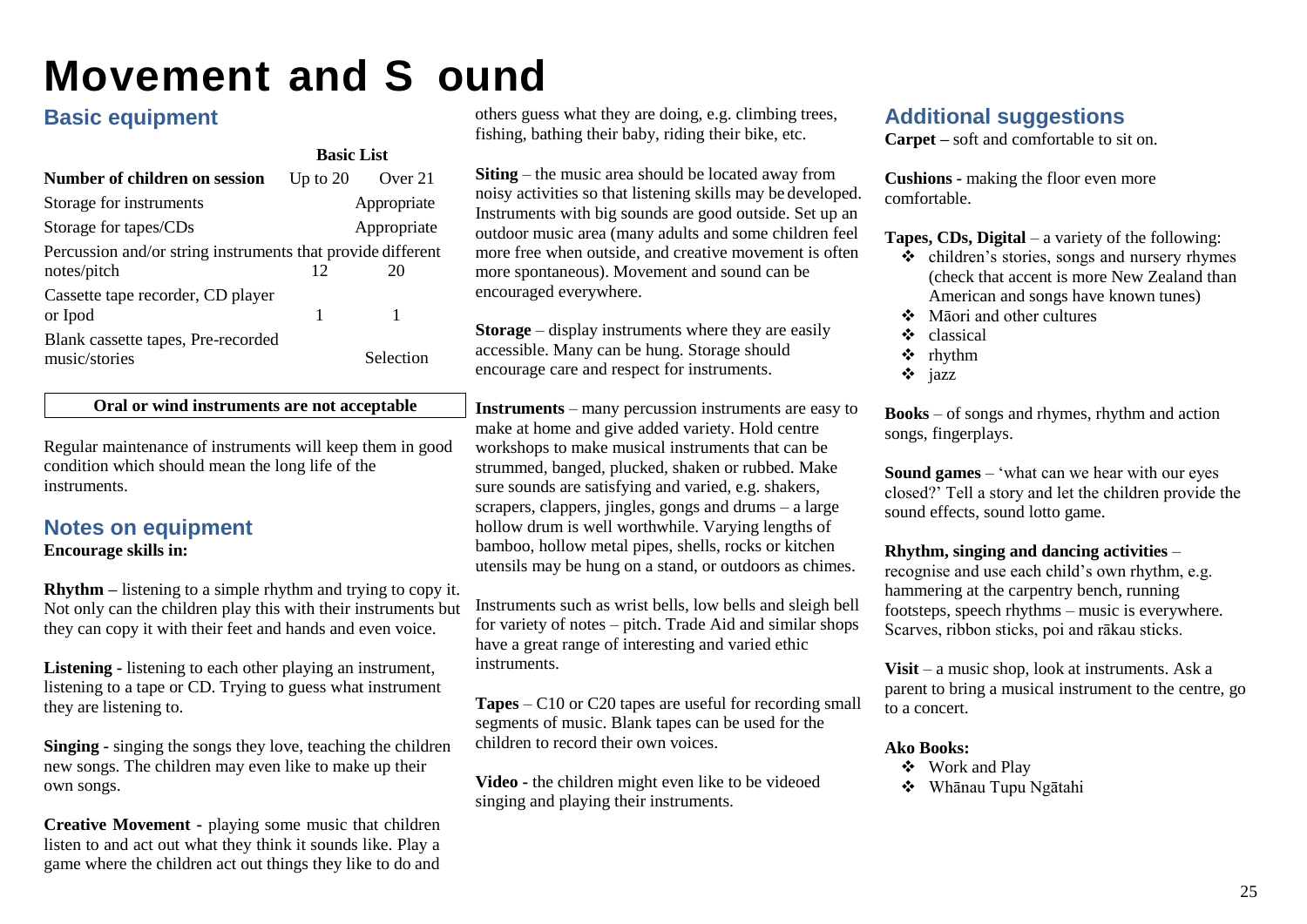## <span id="page-27-0"></span>**Movement and S ound**

## **Basic equipment**

|                                                             | <b>Basic List</b> |             |
|-------------------------------------------------------------|-------------------|-------------|
| <b>Number of children on session</b>                        | Up to $20$        | Over 21     |
| Storage for instruments                                     |                   | Appropriate |
| Storage for tapes/CDs                                       |                   | Appropriate |
| Percussion and/or string instruments that provide different |                   |             |
| notes/pitch                                                 | 12                | 20          |
| Cassette tape recorder, CD player<br>or Ipod                | 1                 |             |
| Blank cassette tapes, Pre-recorded<br>music/stories         |                   | Selection   |

### **Oral or wind instruments are not acceptable**

Regular maintenance of instruments will keep them in good condition which should mean the long life of the instruments.

## **Notes on equipment**

### **Encourage skills in:**

**Rhythm –** listening to a simple rhythm and trying to copy it. Not only can the children play this with their instruments but they can copy it with their feet and hands and even voice.

**Listening -** listening to each other playing an instrument, listening to a tape or CD. Trying to guess what instrument they are listening to.

**Singing -** singing the songs they love, teaching the children new songs. The children may even like to make up their own songs.

**Creative Movement -** playing some music that children listen to and act out what they think it sounds like. Play a game where the children act out things they like to do and

others guess what they are doing, e.g. climbing trees, fishing, bathing their baby, riding their bike, etc.

**Siting** – the music area should be located away from noisy activities so that listening skills may be developed. Instruments with big sounds are good outside. Set up an outdoor music area (many adults and some children feel more free when outside, and creative movement is often more spontaneous). Movement and sound can be encouraged everywhere.

**Storage** – display instruments where they are easily accessible. Many can be hung. Storage should encourage care and respect for instruments.

**Instruments** – many percussion instruments are easy to make at home and give added variety. Hold centre workshops to make musical instruments that can be strummed, banged, plucked, shaken or rubbed. Make sure sounds are satisfying and varied, e.g. shakers, scrapers, clappers, jingles, gongs and drums – a large hollow drum is well worthwhile. Varying lengths of bamboo, hollow metal pipes, shells, rocks or kitchen utensils may be hung on a stand, or outdoors as chimes.

Instruments such as wrist bells, low bells and sleigh bell for variety of notes – pitch. Trade Aid and similar shops have a great range of interesting and varied ethic instruments.

**Tapes** – C10 or C20 tapes are useful for recording small segments of music. Blank tapes can be used for the children to record their own voices.

**Video -** the children might even like to be videoed singing and playing their instruments.

## **Additional suggestions**

**Carpet –** soft and comfortable to sit on.

**Cushions -** making the floor even more comfortable.

**Tapes, CDs, Digital** – a variety of the following:

- ❖ children's stories, songs and nursery rhymes (check that accent is more New Zealand than American and songs have known tunes)
- ❖ Māori and other cultures
- ❖ classical
- ❖ rhythm
- ❖ jazz

**Books** – of songs and rhymes, rhythm and action songs, fingerplays.

**Sound games** – 'what can we hear with our eyes closed?' Tell a story and let the children provide the sound effects, sound lotto game.

**Rhythm, singing and dancing activities** –

recognise and use each child's own rhythm, e.g. hammering at the carpentry bench, running footsteps, speech rhythms – music is everywhere. Scarves, ribbon sticks, poi and rākau sticks.

**Visit** – a music shop, look at instruments. Ask a parent to bring a musical instrument to the centre, go to a concert.

- ❖ Work and Play
- ❖ Whānau Tupu Ngātahi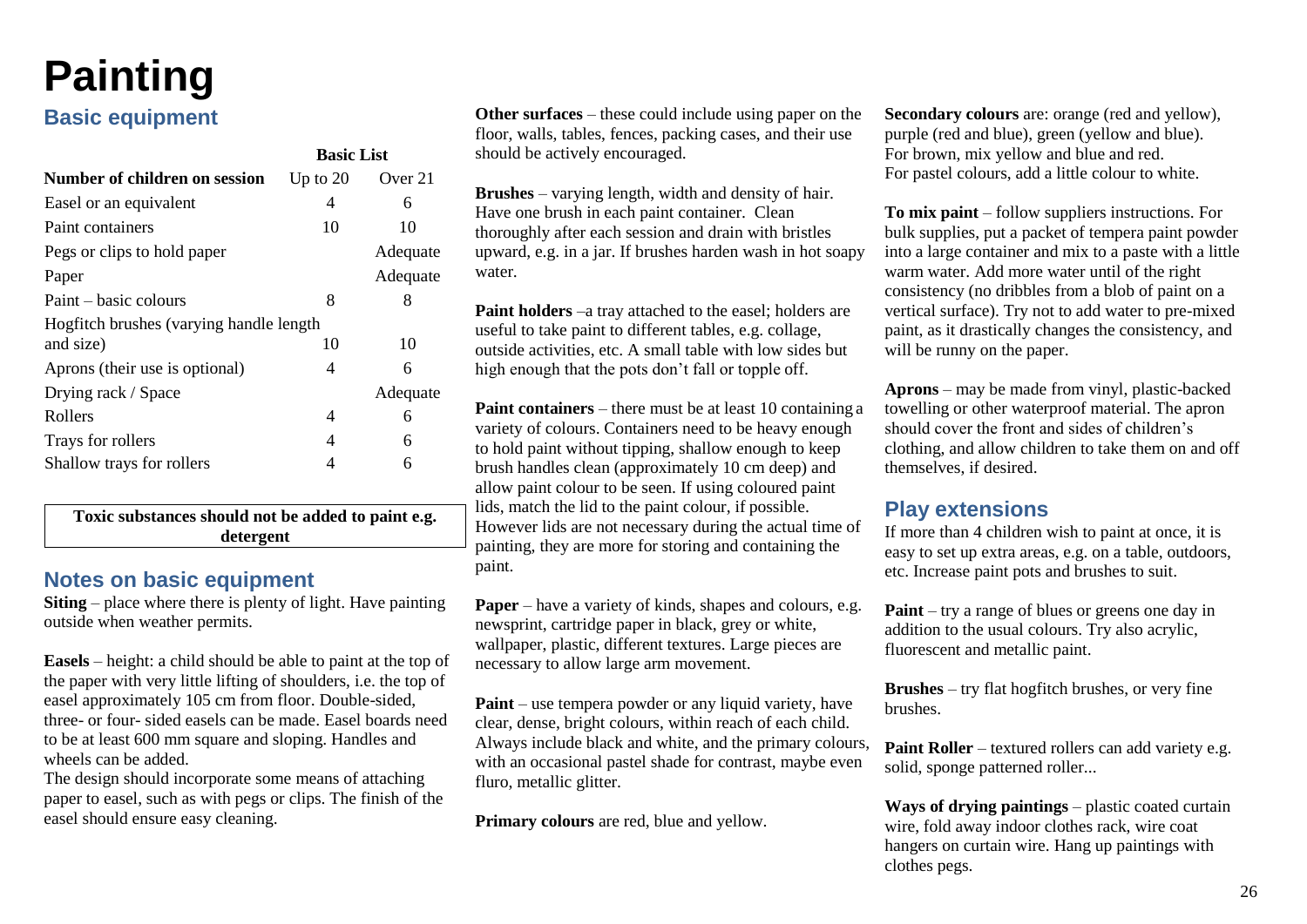## <span id="page-28-0"></span>**Painting**

## **Basic equipment**

|                                         | <b>Basic List</b> |          |
|-----------------------------------------|-------------------|----------|
| <b>Number of children on session</b>    | Up to $20$        | Over 21  |
| Easel or an equivalent                  | 4                 | 6        |
| Paint containers                        | 10                | 10       |
| Pegs or clips to hold paper             |                   | Adequate |
| Paper                                   |                   | Adequate |
| Paint – basic colours                   | 8                 | 8        |
| Hogfitch brushes (varying handle length |                   |          |
| and size)                               | 10                | 10       |
| Aprons (their use is optional)          | 4                 | 6        |
| Drying rack / Space                     |                   | Adequate |
| Rollers                                 | 4                 | 6        |
| Trays for rollers                       | 4                 | 6        |
| Shallow trays for rollers               | 4                 | 6        |
|                                         |                   |          |

**Toxic substances should not be added to paint e.g. detergent**

## **Notes on basic equipment**

**Siting** – place where there is plenty of light. Have painting outside when weather permits.

**Easels** – height: a child should be able to paint at the top of the paper with very little lifting of shoulders, i.e. the top of easel approximately 105 cm from floor. Double-sided, three- or four- sided easels can be made. Easel boards need to be at least 600 mm square and sloping. Handles and wheels can be added.

The design should incorporate some means of attaching paper to easel, such as with pegs or clips. The finish of the easel should ensure easy cleaning.

**Other surfaces** – these could include using paper on the floor, walls, tables, fences, packing cases, and their use should be actively encouraged.

**Brushes** – varying length, width and density of hair. Have one brush in each paint container. Clean thoroughly after each session and drain with bristles upward, e.g. in a jar. If brushes harden wash in hot soapy water.

**Paint holders** –a tray attached to the easel; holders are useful to take paint to different tables, e.g. collage, outside activities, etc. A small table with low sides but high enough that the pots don't fall or topple off.

**Paint containers** – there must be at least 10 containing a variety of colours. Containers need to be heavy enough to hold paint without tipping, shallow enough to keep brush handles clean (approximately 10 cm deep) and allow paint colour to be seen. If using coloured paint lids, match the lid to the paint colour, if possible. However lids are not necessary during the actual time of painting, they are more for storing and containing the paint.

**Paper** – have a variety of kinds, shapes and colours, e.g. newsprint, cartridge paper in black, grey or white, wallpaper, plastic, different textures. Large pieces are necessary to allow large arm movement.

**Paint** – use tempera powder or any liquid variety, have clear, dense, bright colours, within reach of each child. Always include black and white, and the primary colours, with an occasional pastel shade for contrast, maybe even fluro, metallic glitter.

**Primary colours** are red, blue and yellow.

**Secondary colours** are: orange (red and yellow), purple (red and blue), green (yellow and blue). For brown, mix yellow and blue and red. For pastel colours, add a little colour to white.

**To mix paint** – follow suppliers instructions. For bulk supplies, put a packet of tempera paint powder into a large container and mix to a paste with a little warm water. Add more water until of the right consistency (no dribbles from a blob of paint on a vertical surface). Try not to add water to pre-mixed paint, as it drastically changes the consistency, and will be runny on the paper.

**Aprons** – may be made from vinyl, plastic-backed towelling or other waterproof material. The apron should cover the front and sides of children's clothing, and allow children to take them on and off themselves, if desired.

### **Play extensions**

If more than 4 children wish to paint at once, it is easy to set up extra areas, e.g. on a table, outdoors, etc. Increase paint pots and brushes to suit.

**Paint** – try a range of blues or greens one day in addition to the usual colours. Try also acrylic, fluorescent and metallic paint.

**Brushes** – try flat hogfitch brushes, or very fine brushes.

**Paint Roller** – textured rollers can add variety e.g. solid, sponge patterned roller...

**Ways of drying paintings** – plastic coated curtain wire, fold away indoor clothes rack, wire coat hangers on curtain wire. Hang up paintings with clothes pegs.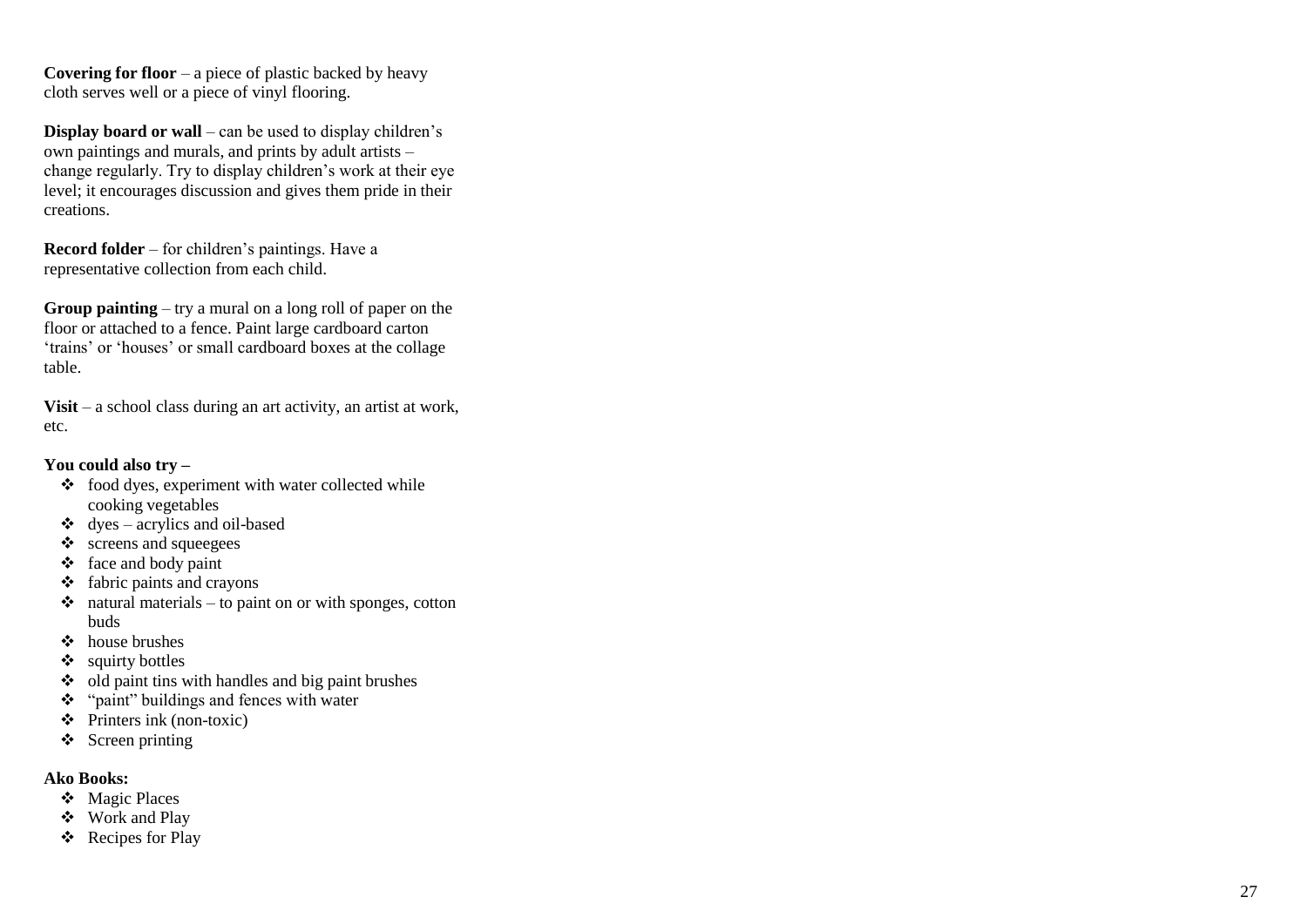**Covering for floor**  $-$  a piece of plastic backed by heavy cloth serves well or a piece of vinyl flooring.

**Display board or wall**  – can be used to display children's own paintings and murals, and prints by adult artists – change regularly. Try to display children's work at their eye level; it encourages discussion and gives them pride in their creations.

**Record folder**  – for children's paintings. Have a representative collection from each child.

**Group painting**  – try a mural on a long roll of paper on the floor or attached to a fence. Paint large cardboard carton 'trains' or 'houses' or small cardboard boxes at the collage table.

**Visit**  – a school class during an art activity, an artist at work, etc.

#### **You could also try –**

- ❖ food dyes, experiment with water collected while cooking vegetables
- $\triangleleft$  dyes acrylics and oil-based
- $\div$  screens and squeegees
- ❖ face and body paint
- $\triangleleft$  fabric paints and crayons
- $\dots$  natural materials to paint on or with sponges, cotton buds
- ❖ house brushes
- ❖ squirty bottles
- ❖ old paint tins with handles and big paint brushes
- ❖ "paint" buildings and fences with water
- $\triangle$  Printers ink (non-toxic)
- ❖ Screen printing

- ❖ Magic Places
- ❖ Work and Play
- ❖ Recipes for Play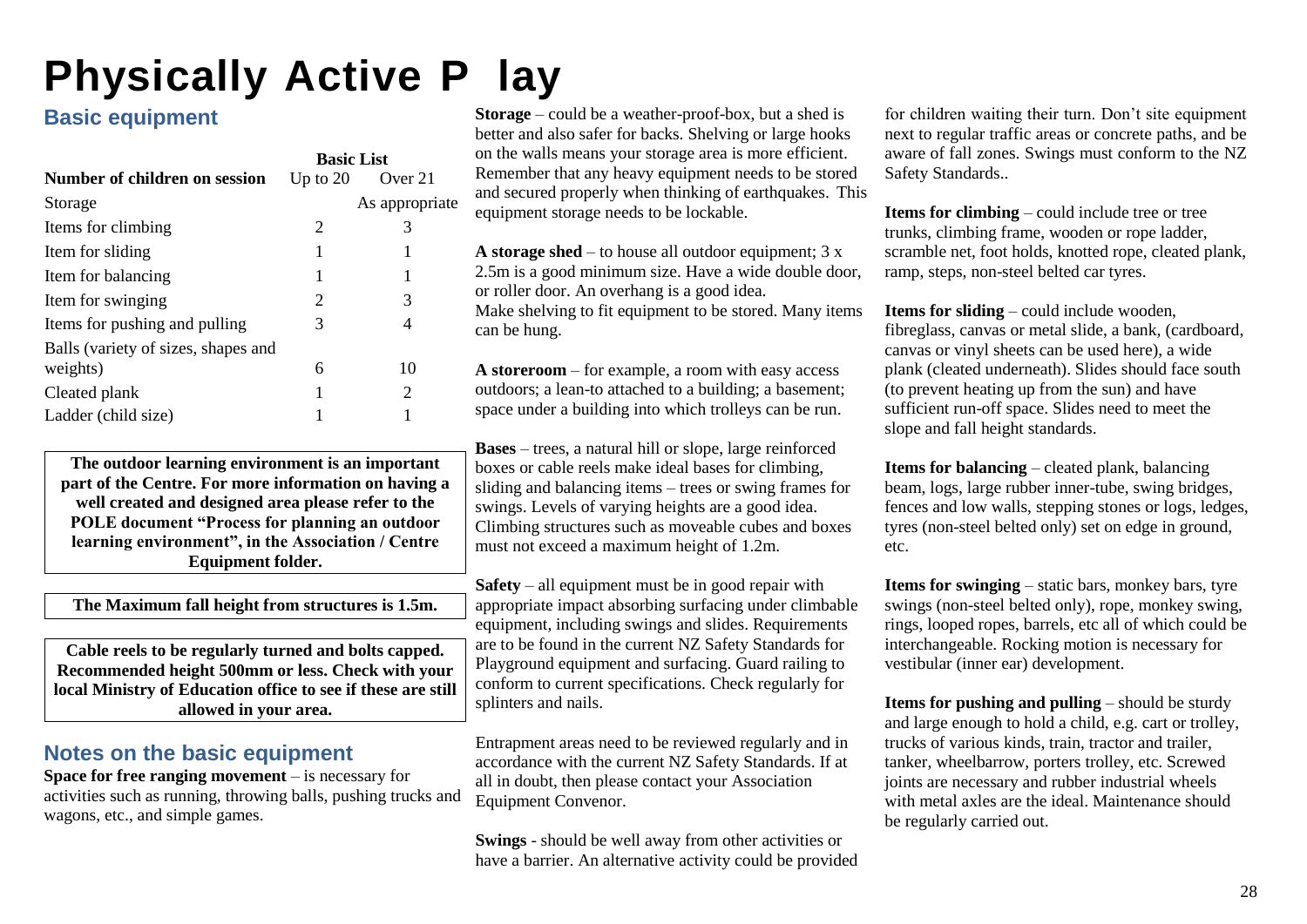## <span id="page-30-0"></span>**Physically Active P lay**

## **Basic equipment**

|                                     | <b>Basic List</b> |                |
|-------------------------------------|-------------------|----------------|
| Number of children on session       | Up to $20$        | Over 21        |
| Storage                             |                   | As appropriate |
| Items for climbing                  | 2                 | 3              |
| Item for sliding                    | 1                 | 1              |
| Item for balancing                  | 1                 | 1              |
| Item for swinging                   | 2                 | 3              |
| Items for pushing and pulling       | 3                 | 4              |
| Balls (variety of sizes, shapes and |                   |                |
| weights)                            | 6                 | 10             |
| Cleated plank                       |                   | 2              |
| Ladder (child size)                 |                   |                |

**The outdoor learning environment is an important part of the Centre. For more information on having a well created and designed area please refer to the POLE document "Process for planning an outdoor learning environment", in the Association / Centre Equipment folder.**

**The Maximum fall height from structures is 1.5m.**

**Cable reels to be regularly turned and bolts capped. Recommended height 500mm or less. Check with your local Ministry of Education office to see if these are still allowed in your area.**

## **Notes on the basic equipment**

**Space for free ranging movement** – is necessary for activities such as running, throwing balls, pushing trucks and wagons, etc., and simple games.

**Storage** – could be a weather-proof-box, but a shed is better and also safer for backs. Shelving or large hooks on the walls means your storage area is more efficient. Remember that any heavy equipment needs to be stored and secured properly when thinking of earthquakes. This equipment storage needs to be lockable.

**A storage shed** – to house all outdoor equipment; 3 x 2.5m is a good minimum size. Have a wide double door, or roller door. An overhang is a good idea. Make shelving to fit equipment to be stored. Many items can be hung.

**A storeroom** – for example, a room with easy access outdoors; a lean-to attached to a building; a basement; space under a building into which trolleys can be run.

**Bases** – trees, a natural hill or slope, large reinforced boxes or cable reels make ideal bases for climbing, sliding and balancing items – trees or swing frames for swings. Levels of varying heights are a good idea. Climbing structures such as moveable cubes and boxes must not exceed a maximum height of 1.2m.

**Safety** – all equipment must be in good repair with appropriate impact absorbing surfacing under climbable equipment, including swings and slides. Requirements are to be found in the current NZ Safety Standards for Playground equipment and surfacing. Guard railing to conform to current specifications. Check regularly for splinters and nails.

Entrapment areas need to be reviewed regularly and in accordance with the current NZ Safety Standards. If at all in doubt, then please contact your Association Equipment Convenor.

**Swings** - should be well away from other activities or have a barrier. An alternative activity could be provided for children waiting their turn. Don't site equipment next to regular traffic areas or concrete paths, and be aware of fall zones. Swings must conform to the NZ Safety Standards..

**Items for climbing** – could include tree or tree trunks, climbing frame, wooden or rope ladder, scramble net, foot holds, knotted rope, cleated plank, ramp, steps, non-steel belted car tyres.

**Items for sliding** – could include wooden, fibreglass, canvas or metal slide, a bank, (cardboard, canvas or vinyl sheets can be used here), a wide plank (cleated underneath). Slides should face south (to prevent heating up from the sun) and have sufficient run-off space. Slides need to meet the slope and fall height standards.

**Items for balancing** – cleated plank, balancing beam, logs, large rubber inner-tube, swing bridges, fences and low walls, stepping stones or logs, ledges, tyres (non-steel belted only) set on edge in ground, etc.

**Items for swinging** – static bars, monkey bars, tyre swings (non-steel belted only), rope, monkey swing, rings, looped ropes, barrels, etc all of which could be interchangeable. Rocking motion is necessary for vestibular (inner ear) development.

**Items for pushing and pulling** – should be sturdy and large enough to hold a child, e.g. cart or trolley, trucks of various kinds, train, tractor and trailer, tanker, wheelbarrow, porters trolley, etc. Screwed joints are necessary and rubber industrial wheels with metal axles are the ideal. Maintenance should be regularly carried out.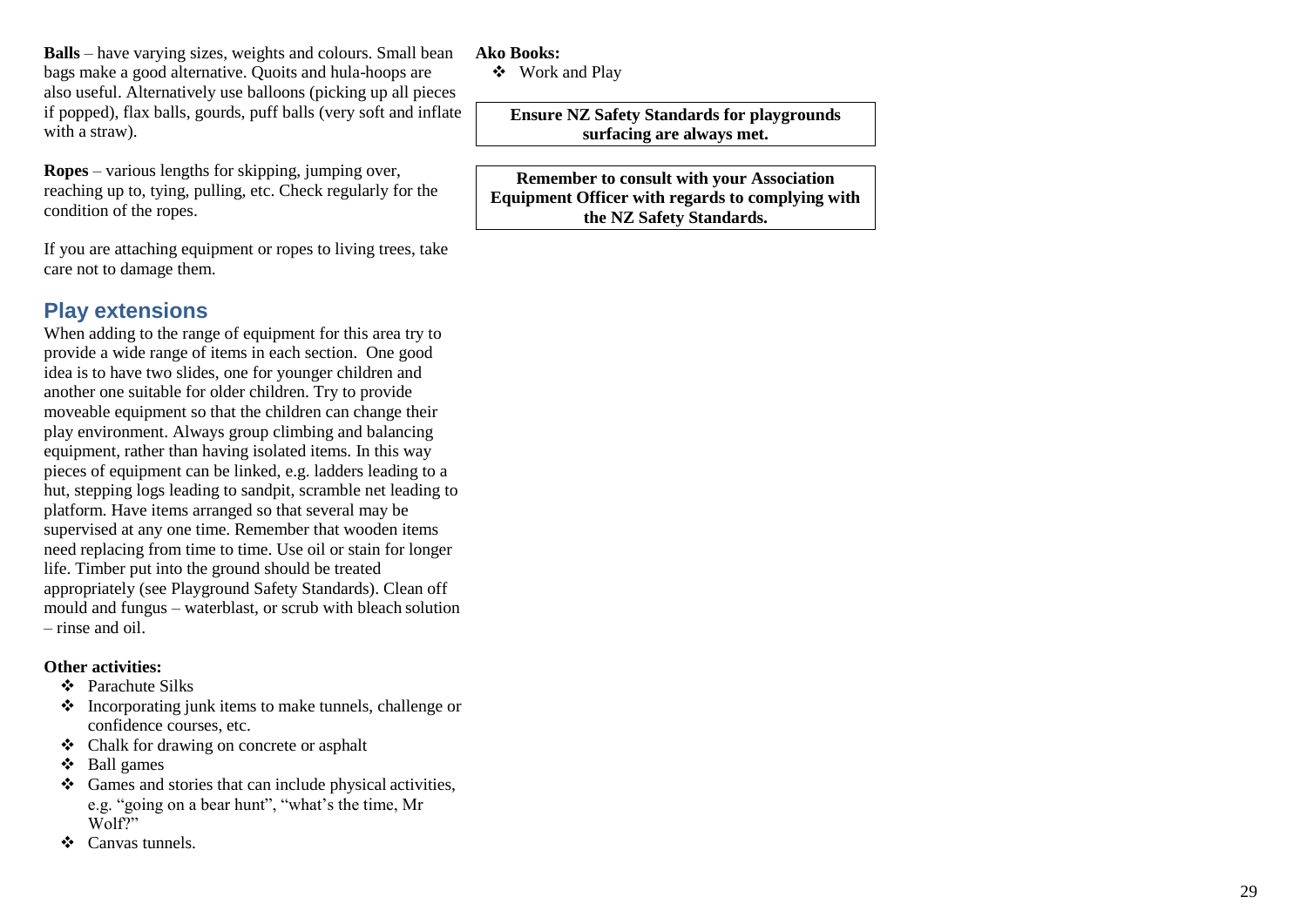**Balls**  – have varying sizes, weights and colours. Small bean bags make a good alternative. Quoits and hula -hoops are also useful. Alternatively use balloons (picking up all pieces if popped), flax balls, gourds, puff balls (very soft and inflate with a straw).

**Ropes**  – various lengths for skipping, jumping over, reaching up to, tying, pulling, etc. Check regularly for the condition of the ropes.

If you are attaching equipment or ropes to living trees, take care not to damage them.

## **Play extensions**

When adding to the range of equipment for this area try to provide a wide range of items in each section. One good idea is to have two slides, one for younger children and another one suitable for older children. Try to provide moveable equipment so that the children can change their play environment. Always group climbing and balancing equipment, rather than having isolated items. In this way pieces of equipment can be linked, e.g. ladders leading to a hut, stepping logs leading to sandpit, scramble net leading to platform. Have items arranged so that several may be supervised at any one time. Remember that wooden items need replacing from time to time. Use oil or stain for longer life. Timber put into the ground should be treated appropriately (see Playground Safety Standards). Clean off mould and fungus – waterblast, or scrub with bleach solution – rinse and oil.

### **Other activities:**

- ❖ Parachute Silks
- ❖ Incorporating junk items to make tunnels, challenge or confidence courses, etc.
- ❖ Chalk for drawing on concrete or asphalt
- ❖ Ball games
- ❖ Games and stories that can include physical activities, e.g. "going on a bear hunt", "what's the time, Mr Wolf?"
- ❖ Canvas tunnels.

### **Ako Books:**

❖ Work and Play

**Ensure NZ Safety Standards for playgrounds surfacing are always met.**

**Remember to consult with your Association Equipment Officer with regards to complying with the NZ Safety Standards.**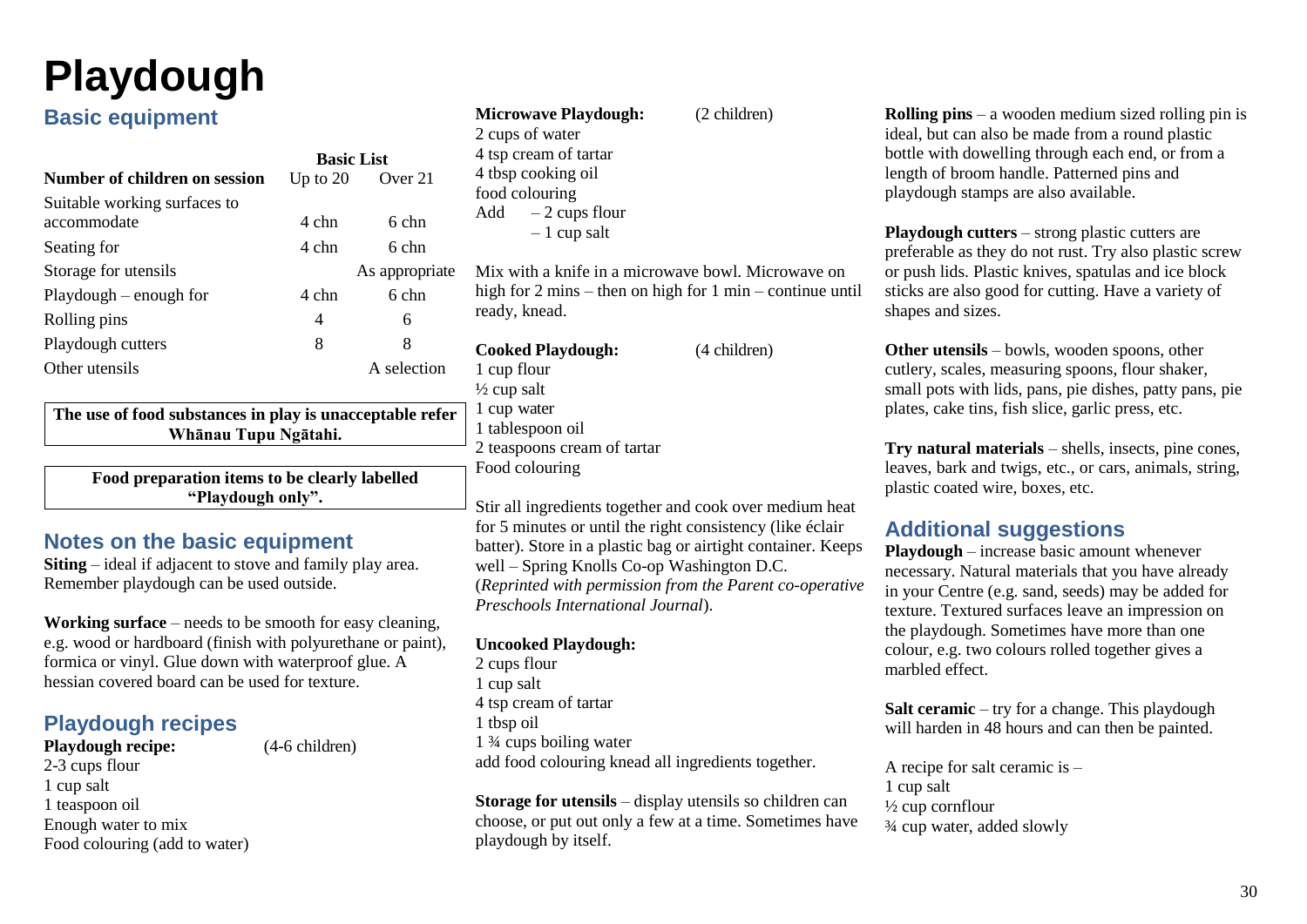## <span id="page-32-0"></span>**Playdough**

## **Basic equipment**

|                               | <b>Basic List</b> |                |
|-------------------------------|-------------------|----------------|
| Number of children on session | Up to $20$        | Over 21        |
| Suitable working surfaces to  |                   |                |
| accommodate                   | 4 chn             | 6 chn          |
| Seating for                   | 4 chn             | 6 chn          |
| Storage for utensils          |                   | As appropriate |
| $Playdough - enough for$      | 4 chn             | 6 chn          |
| Rolling pins                  | 4                 | 6              |
| Playdough cutters             | 8                 | 8              |
| Other utensils                |                   | A selection    |

**The use of food substances in play is unacceptable refer Whānau Tupu Ngātahi.**

**Food preparation items to be clearly labelled "Playdough only".**

## **Notes on the basic equipment**

**Siting** – ideal if adjacent to stove and family play area. Remember playdough can be used outside.

**Working surface** – needs to be smooth for easy cleaning, e.g. wood or hardboard (finish with polyurethane or paint), formica or vinyl. Glue down with waterproof glue. A hessian covered board can be used for texture.

## **Playdough recipes**

## **Playdough recipe:**  $(4-6 \text{ children})$

2-3 cups flour 1 cup salt 1 teaspoon oil Enough water to mix Food colouring (add to water)

| <b>Microwave Playdough:</b> | Ζ |
|-----------------------------|---|
| 2 cups of water             |   |
| 4 tsp cream of tartar       |   |
| 4 tbsp cooking oil          |   |
| food colouring              |   |
| $-2$ cups flour<br>Add      |   |
| $-1$ cup salt               |   |

Mix with a knife in a microwave bowl. Microwave on high for 2 mins – then on high for 1 min – continue until ready, knead.

children)

**Cooked Playdough:** (4 children) 1 cup flour  $\frac{1}{2}$  cup salt 1 cup water 1 tablespoon oil 2 teaspoons cream of tartar Food colouring

Stir all ingredients together and cook over medium heat for 5 minutes or until the right consistency (like éclair batter). Store in a plastic bag or airtight container. Keeps well – Spring Knolls Co-op Washington D.C. (*Reprinted with permission from the Parent co-operative Preschools International Journal*).

### **Uncooked Playdough:**

2 cups flour 1 cup salt 4 tsp cream of tartar 1 tbsp oil 1 ¾ cups boiling water add food colouring knead all ingredients together.

**Storage for utensils** – display utensils so children can choose, or put out only a few at a time. Sometimes have playdough by itself.

**Rolling pins** – a wooden medium sized rolling pin is ideal, but can also be made from a round plastic bottle with dowelling through each end, or from a length of broom handle. Patterned pins and playdough stamps are also available.

**Playdough cutters** – strong plastic cutters are preferable as they do not rust. Try also plastic screw or push lids. Plastic knives, spatulas and ice block sticks are also good for cutting. Have a variety of shapes and sizes.

**Other utensils** – bowls, wooden spoons, other cutlery, scales, measuring spoons, flour shaker, small pots with lids, pans, pie dishes, patty pans, pie plates, cake tins, fish slice, garlic press, etc.

**Try natural materials** – shells, insects, pine cones, leaves, bark and twigs, etc., or cars, animals, string, plastic coated wire, boxes, etc.

## **Additional suggestions**

**Playdough** – increase basic amount whenever necessary. Natural materials that you have already in your Centre (e.g. sand, seeds) may be added for texture. Textured surfaces leave an impression on the playdough. Sometimes have more than one colour, e.g. two colours rolled together gives a marbled effect.

**Salt ceramic** – try for a change. This playdough will harden in 48 hours and can then be painted.

A recipe for salt ceramic is  $-$ 1 cup salt ½ cup cornflour ¾ cup water, added slowly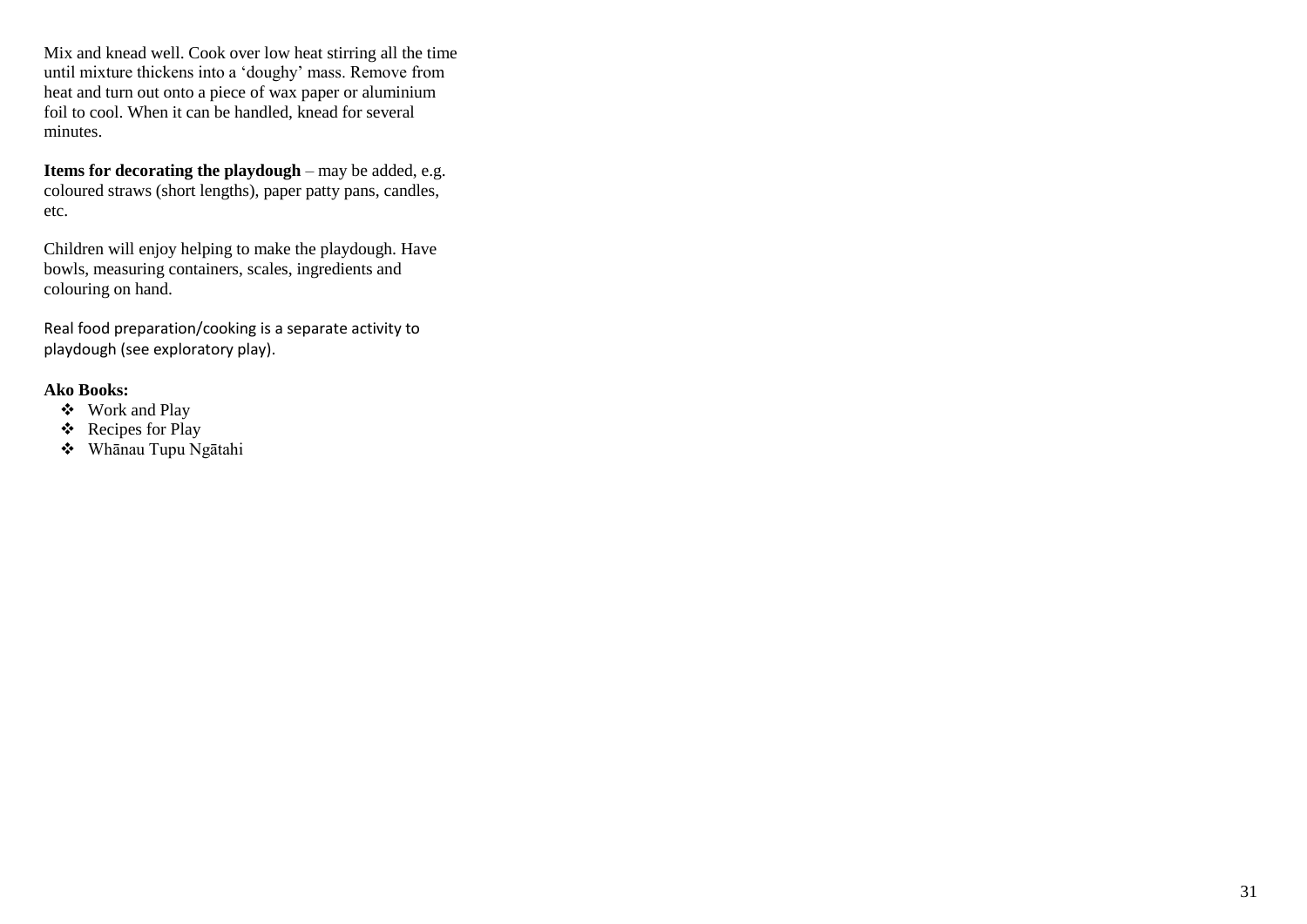Mix and knead well. Cook over low heat stirring all the time until mixture thickens into a 'doughy' mass. Remove from heat and turn out onto a piece of wax paper or aluminium foil to cool. When it can be handled, knead for several minutes.

**Items for decorating the playdough – may be added, e.g.** coloured straws (short lengths), paper patty pans, candles, etc.

Children will enjoy helping to make the playdough. Have bowls, measuring containers, scales, ingredients and colouring on hand.

Real food preparation/cooking is a separate activity to playdough (see exploratory play).

- ❖ Work and Play
- ❖ Recipes for Play
- ❖ Whānau Tupu Ngātahi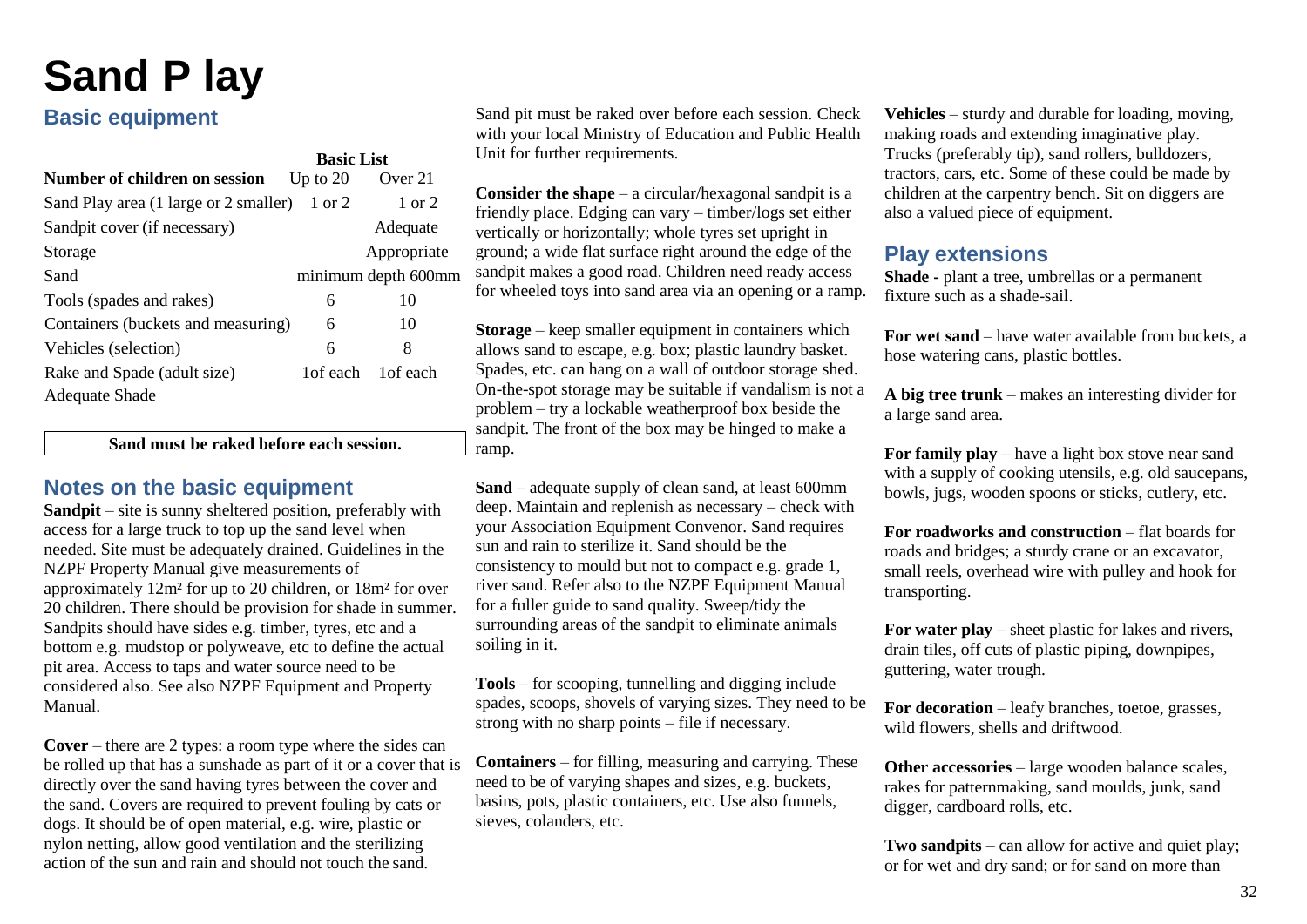## <span id="page-34-0"></span>**Sand P lay**

## **Basic equipment**

|                                              | <b>Basic List</b> |                     |
|----------------------------------------------|-------------------|---------------------|
| Number of children on session                | Up to $20$        | Over 21             |
| Sand Play area (1 large or 2 smaller) 1 or 2 |                   | 1 or 2              |
| Sandpit cover (if necessary)                 |                   | Adequate            |
| Storage                                      |                   | Appropriate         |
| Sand                                         |                   | minimum depth 600mm |
| Tools (spades and rakes)                     | 6                 | 10                  |
| Containers (buckets and measuring)           | 6                 | 10                  |
| Vehicles (selection)                         | 6                 | 8                   |
| Rake and Spade (adult size)                  | 1 of each         | 1 of each           |
| Adequate Shade                               |                   |                     |

**Sand must be raked before each session.**

### **Notes on the basic equipment**

**Sandpit** – site is sunny sheltered position, preferably with access for a large truck to top up the sand level when needed. Site must be adequately drained. Guidelines in the NZPF Property Manual give measurements of approximately 12m² for up to 20 children, or 18m² for over 20 children. There should be provision for shade in summer. Sandpits should have sides e.g. timber, tyres, etc and a bottom e.g. mudstop or polyweave, etc to define the actual pit area. Access to taps and water source need to be considered also. See also NZPF Equipment and Property Manual.

**Cover** – there are 2 types: a room type where the sides can be rolled up that has a sunshade as part of it or a cover that is directly over the sand having tyres between the cover and the sand. Covers are required to prevent fouling by cats or dogs. It should be of open material, e.g. wire, plastic or nylon netting, allow good ventilation and the sterilizing action of the sun and rain and should not touch the sand.

Sand pit must be raked over before each session. Check with your local Ministry of Education and Public Health Unit for further requirements.

**Consider the shape** – a circular/hexagonal sandpit is a friendly place. Edging can vary – timber/logs set either vertically or horizontally; whole tyres set upright in ground; a wide flat surface right around the edge of the sandpit makes a good road. Children need ready access for wheeled toys into sand area via an opening or a ramp.

**Storage** – keep smaller equipment in containers which allows sand to escape, e.g. box; plastic laundry basket. Spades, etc. can hang on a wall of outdoor storage shed. On-the-spot storage may be suitable if vandalism is not a problem – try a lockable weatherproof box beside the sandpit. The front of the box may be hinged to make a ramp.

**Sand** – adequate supply of clean sand, at least 600mm deep. Maintain and replenish as necessary – check with your Association Equipment Convenor. Sand requires sun and rain to sterilize it. Sand should be the consistency to mould but not to compact e.g. grade 1, river sand. Refer also to the NZPF Equipment Manual for a fuller guide to sand quality. Sweep/tidy the surrounding areas of the sandpit to eliminate animals soiling in it.

**Tools** – for scooping, tunnelling and digging include spades, scoops, shovels of varying sizes. They need to be strong with no sharp points – file if necessary.

**Containers** – for filling, measuring and carrying. These need to be of varying shapes and sizes, e.g. buckets, basins, pots, plastic containers, etc. Use also funnels, sieves, colanders, etc.

**Vehicles** – sturdy and durable for loading, moving, making roads and extending imaginative play. Trucks (preferably tip), sand rollers, bulldozers, tractors, cars, etc. Some of these could be made by children at the carpentry bench. Sit on diggers are also a valued piece of equipment.

## **Play extensions**

**Shade -** plant a tree, umbrellas or a permanent fixture such as a shade-sail.

**For wet sand** – have water available from buckets, a hose watering cans, plastic bottles.

**A big tree trunk** – makes an interesting divider for a large sand area.

**For family play** – have a light box stove near sand with a supply of cooking utensils, e.g. old saucepans, bowls, jugs, wooden spoons or sticks, cutlery, etc.

**For roadworks and construction** – flat boards for roads and bridges; a sturdy crane or an excavator, small reels, overhead wire with pulley and hook for transporting.

**For water play** – sheet plastic for lakes and rivers, drain tiles, off cuts of plastic piping, downpipes, guttering, water trough.

**For decoration** – leafy branches, toetoe, grasses, wild flowers, shells and driftwood.

**Other accessories** – large wooden balance scales, rakes for patternmaking, sand moulds, junk, sand digger, cardboard rolls, etc.

**Two sandpits** – can allow for active and quiet play; or for wet and dry sand; or for sand on more than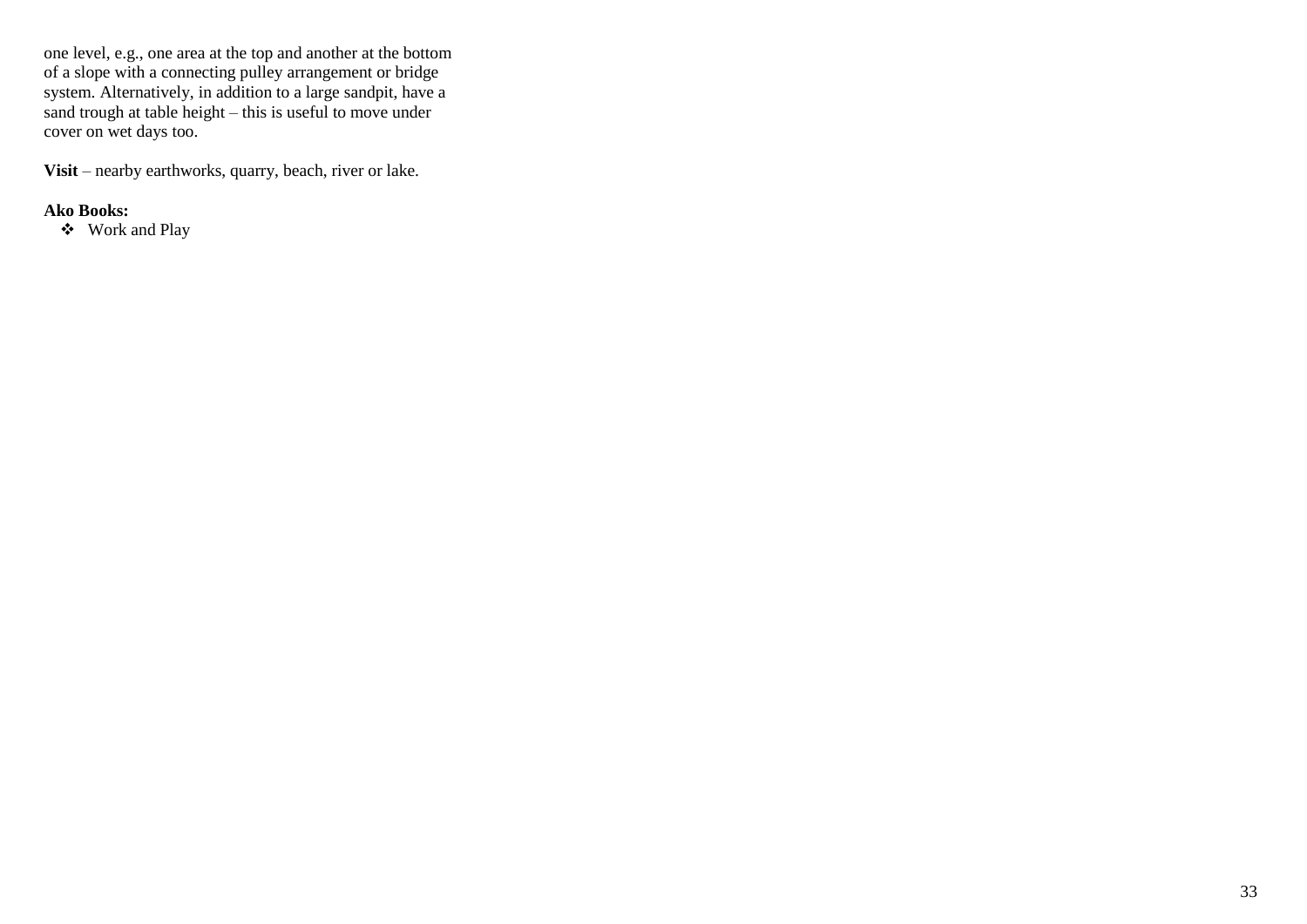one level, e.g., one area at the top and another at the bottom of a slope with a connecting pulley arrangement or bridge system. Alternatively, in addition to a large sandpit, have a sand trough at table height – this is useful to move under cover on wet days too.

**Visit** – nearby earthworks, quarry, beach, river or lake.

### **Ako Books:**

❖ Work and Play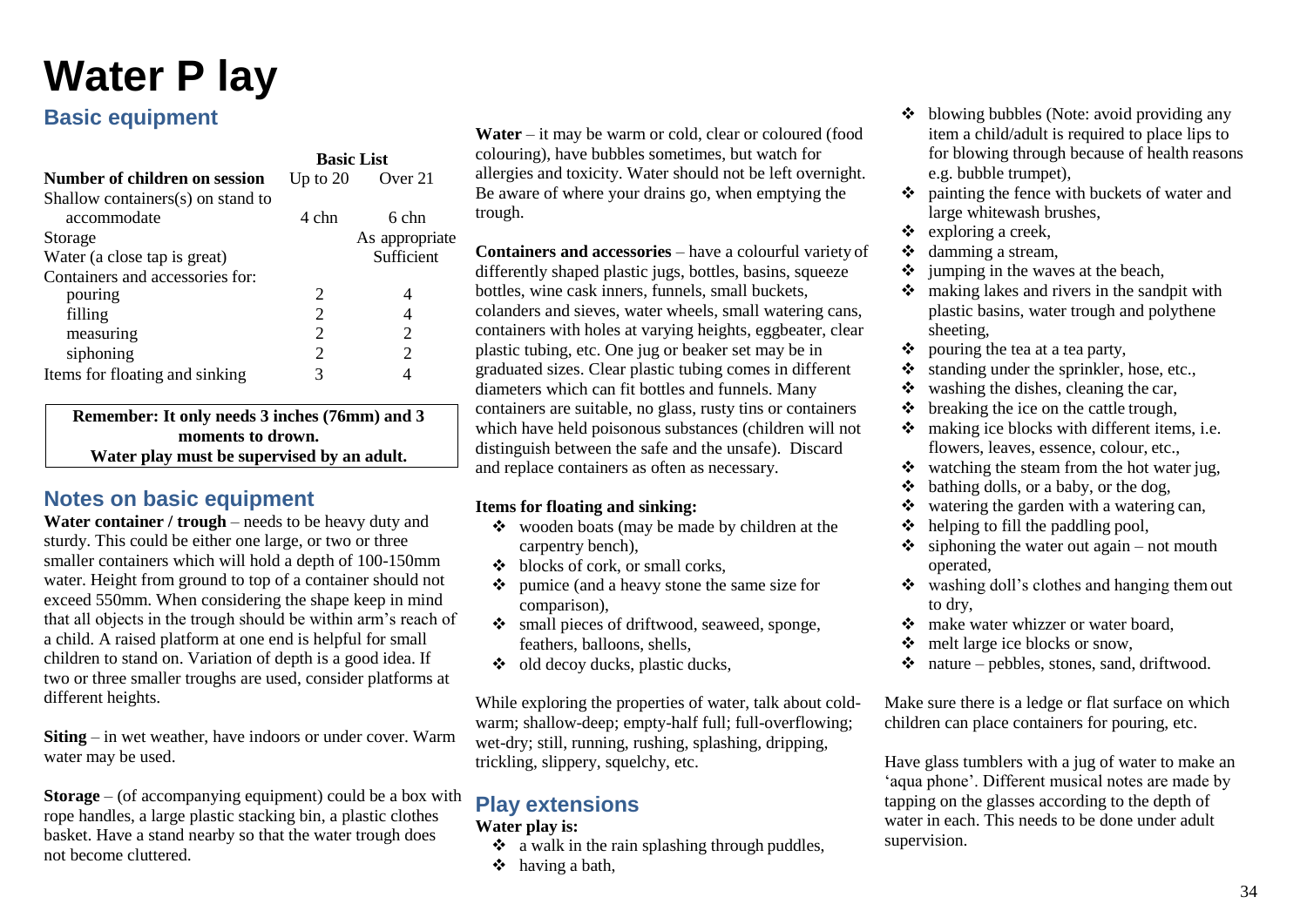## <span id="page-36-0"></span>**Water P lay**

## **Basic equipment**

|                                   | <b>Basic List</b>           |                       |
|-----------------------------------|-----------------------------|-----------------------|
| Number of children on session     | Up to $20$                  | Over 21               |
| Shallow containers(s) on stand to |                             |                       |
| accommodate                       | 4 chn                       | 6 chn                 |
| Storage                           |                             | As appropriate        |
| Water (a close tap is great)      |                             | Sufficient            |
| Containers and accessories for:   |                             |                       |
| pouring                           | $\mathcal{D}_{\cdot}$       |                       |
| filling                           | $\mathfrak{D}$              |                       |
| measuring                         | $\mathfrak{D}$              | 2                     |
| siphoning                         | $\mathcal{D}_{\mathcal{A}}$ | $\mathcal{D}_{\cdot}$ |
| Items for floating and sinking    | 3                           |                       |

**Remember: It only needs 3 inches (76mm) and 3 moments to drown. Water play must be supervised by an adult.**

## **Notes on basic equipment**

**Water container / trough** – needs to be heavy duty and sturdy. This could be either one large, or two or three smaller containers which will hold a depth of 100-150mm water. Height from ground to top of a container should not exceed 550mm. When considering the shape keep in mind that all objects in the trough should be within arm's reach of a child. A raised platform at one end is helpful for small children to stand on. Variation of depth is a good idea. If two or three smaller troughs are used, consider platforms at different heights.

**Siting** – in wet weather, have indoors or under cover. Warm water may be used.

**Storage** – (of accompanying equipment) could be a box with rope handles, a large plastic stacking bin, a plastic clothes basket. Have a stand nearby so that the water trough does not become cluttered.

Water – it may be warm or cold, clear or coloured (food) colouring), have bubbles sometimes, but watch for allergies and toxicity. Water should not be left overnight. Be aware of where your drains go, when emptying the trough.

**Containers and accessories** – have a colourful variety of differently shaped plastic jugs, bottles, basins, squeeze bottles, wine cask inners, funnels, small buckets, colanders and sieves, water wheels, small watering cans, containers with holes at varying heights, eggbeater, clear plastic tubing, etc. One jug or beaker set may be in graduated sizes. Clear plastic tubing comes in different diameters which can fit bottles and funnels. Many containers are suitable, no glass, rusty tins or containers which have held poisonous substances (children will not distinguish between the safe and the unsafe). Discard and replace containers as often as necessary.

### **Items for floating and sinking:**

- ❖ wooden boats (may be made by children at the carpentry bench),
- ❖ blocks of cork, or small corks,
- ❖ pumice (and a heavy stone the same size for comparison),
- ❖ small pieces of driftwood, seaweed, sponge, feathers, balloons, shells,
- ❖ old decoy ducks, plastic ducks,

While exploring the properties of water, talk about coldwarm; shallow-deep; empty-half full; full-overflowing; wet-dry; still, running, rushing, splashing, dripping, trickling, slippery, squelchy, etc.

## **Play extensions**

#### **Water play is:**

- ❖ a walk in the rain splashing through puddles,
- ❖ having a bath,
- ❖ blowing bubbles (Note: avoid providing any item a child/adult is required to place lips to for blowing through because of health reasons e.g. bubble trumpet),
- ❖ painting the fence with buckets of water and large whitewash brushes,
- $\div$  exploring a creek.
- ❖ damming a stream,
- $\div$  jumping in the waves at the beach,
- ❖ making lakes and rivers in the sandpit with plastic basins, water trough and polythene sheeting,
- ❖ pouring the tea at a tea party,
- ❖ standing under the sprinkler, hose, etc.,
- $\dots$  washing the dishes, cleaning the car,
- $\triangleleft$  breaking the ice on the cattle trough,
- ❖ making ice blocks with different items, i.e. flowers, leaves, essence, colour, etc.,
- ❖ watching the steam from the hot water jug,
- $\triangleleft$  bathing dolls, or a baby, or the dog,
- ❖ watering the garden with a watering can,
- $\triangleleft$  helping to fill the paddling pool,
- $\div$  siphoning the water out again not mouth operated,
- ❖ washing doll's clothes and hanging them out to dry,
- ❖ make water whizzer or water board,
- melt large ice blocks or snow,
- $\bullet$  nature pebbles, stones, sand, driftwood.

Make sure there is a ledge or flat surface on which children can place containers for pouring, etc.

Have glass tumblers with a jug of water to make an 'aqua phone'. Different musical notes are made by tapping on the glasses according to the depth of water in each. This needs to be done under adult supervision.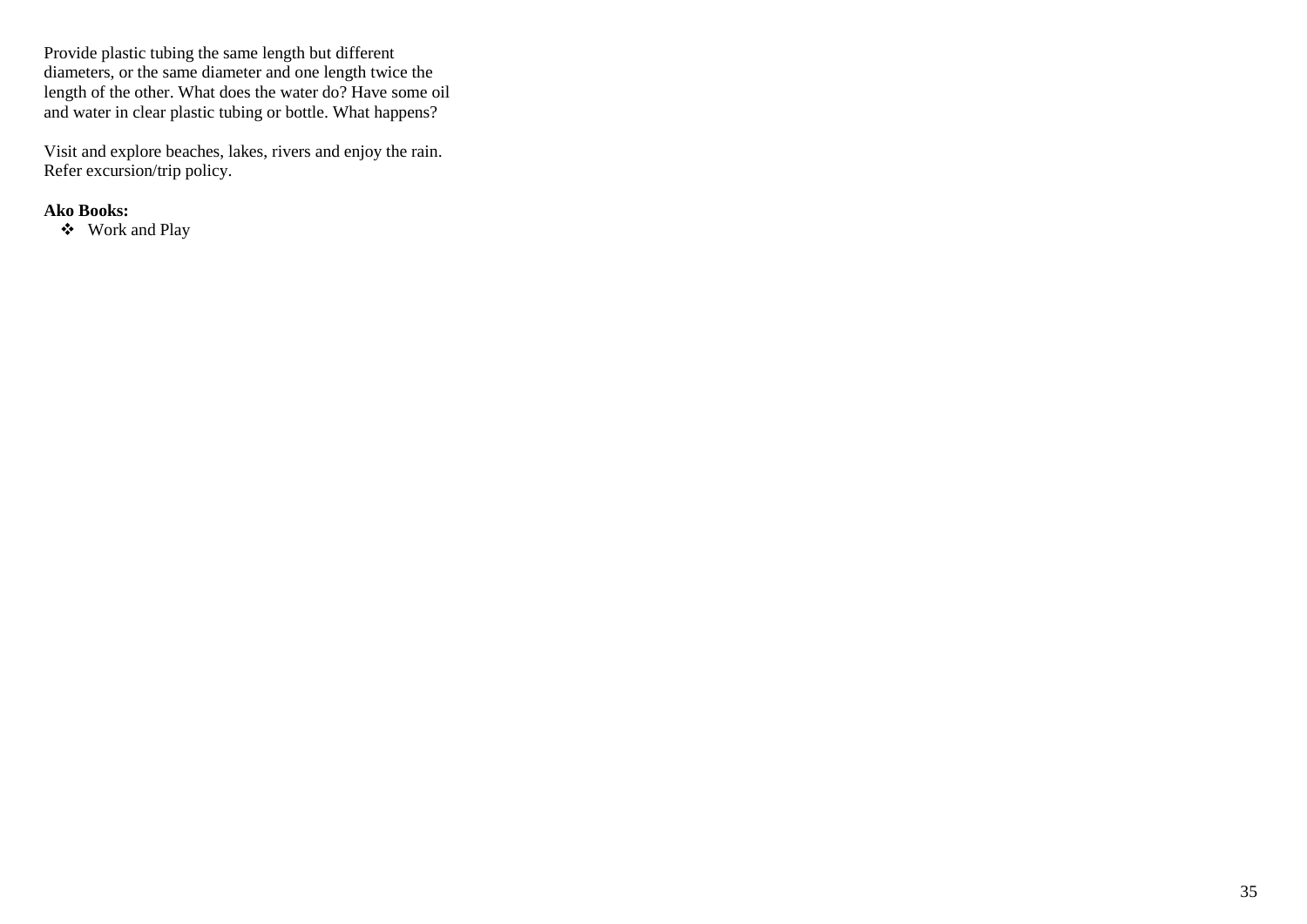Provide plastic tubing the same length but different diameters, or the same diameter and one length twice the length of the other. What does the water do? Have some oil and water in clear plastic tubing or bottle. What happens?

Visit and explore beaches, lakes, rivers and enjoy the rain. Refer excursion/trip policy.

### **Ako Books:**

❖ Work and Play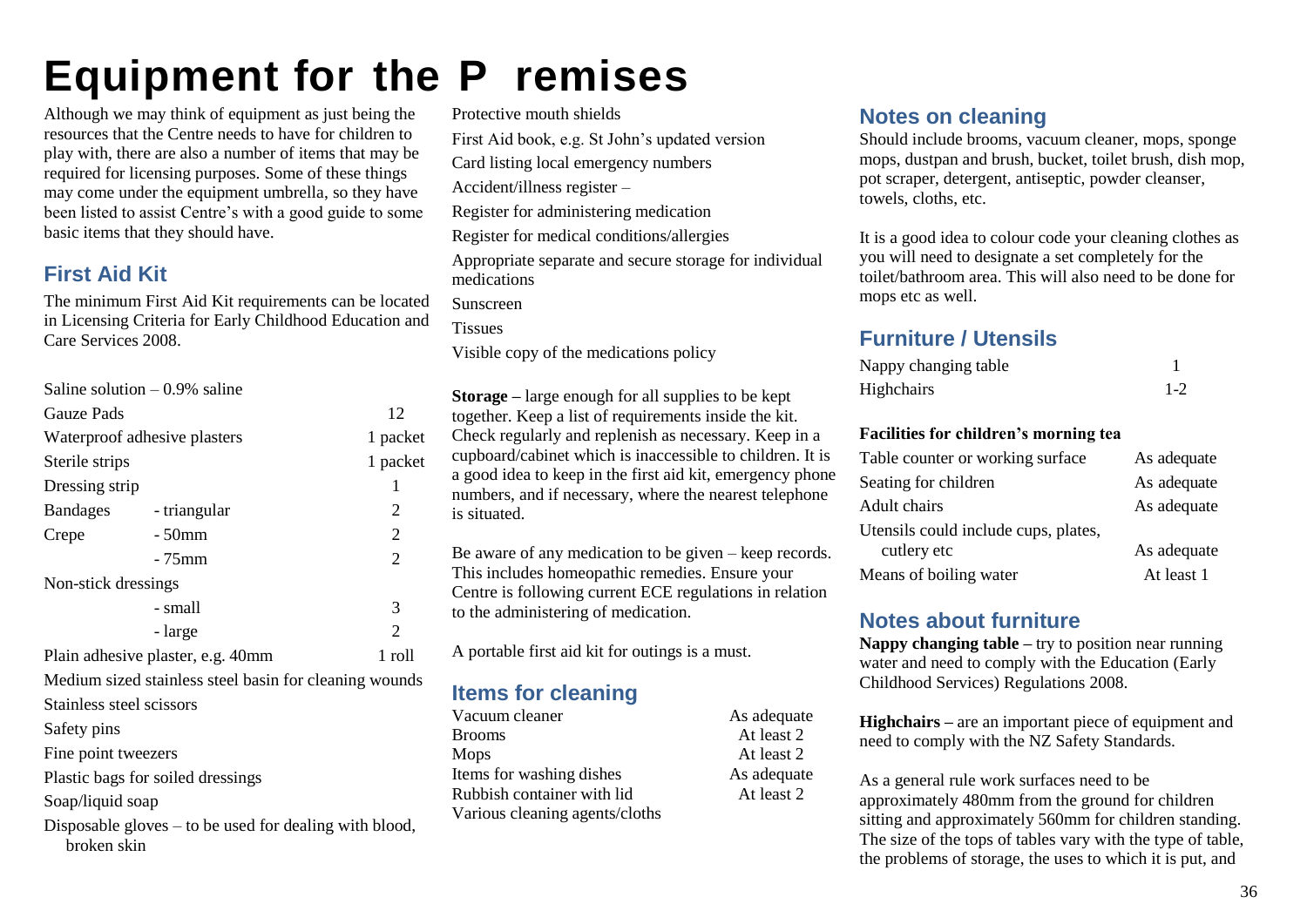## <span id="page-38-0"></span>**Equipment for the P remises**

Although we may think of equipment as just being the resources that the Centre needs to have for children to play with, there are also a number of items that may be required for licensing purposes. Some of these things may come under the equipment umbrella, so they have been listed to assist Centre's with a good guide to some basic items that they should have.

## <span id="page-38-1"></span>**First Aid Kit**

The minimum First Aid Kit requirements can be located in Licensing Criteria for Early Childhood Education and Care Services 2008.

|                                                                         | Saline solution $-0.9\%$ saline |                |  |
|-------------------------------------------------------------------------|---------------------------------|----------------|--|
| <b>Gauze Pads</b>                                                       |                                 | 12             |  |
|                                                                         | Waterproof adhesive plasters    | 1 packet       |  |
| Sterile strips                                                          |                                 | 1 packet       |  |
| Dressing strip                                                          |                                 | 1              |  |
| Bandages - triangular                                                   |                                 | $\overline{2}$ |  |
| Crepe                                                                   | $-50$ mm                        | 2              |  |
|                                                                         | - 75mm                          | $\overline{2}$ |  |
| Non-stick dressings                                                     |                                 |                |  |
|                                                                         | - small                         | 3              |  |
|                                                                         | - large                         | $\mathfrak{D}$ |  |
| $1$ roll<br>Plain adhesive plaster, e.g. 40mm                           |                                 |                |  |
| Medium sized stainless steel basin for cleaning wounds                  |                                 |                |  |
| Stainless steel scissors                                                |                                 |                |  |
| Safety pins                                                             |                                 |                |  |
| Fine point tweezers                                                     |                                 |                |  |
| Plastic bags for soiled dressings                                       |                                 |                |  |
| Soap/liquid soap                                                        |                                 |                |  |
| Disposable gloves $-$ to be used for dealing with blood,<br>broken skin |                                 |                |  |

Protective mouth shields First Aid book, e.g. St John's updated version Card listing local emergency numbers

Accident/illness register –

Register for administering medication

Register for medical conditions/allergies

Appropriate separate and secure storage for individual medications

Sunscreen

**Tissues** 

Visible copy of the medications policy

**Storage –** large enough for all supplies to be kept together. Keep a list of requirements inside the kit. Check regularly and replenish as necessary. Keep in a cupboard/cabinet which is inaccessible to children. It is a good idea to keep in the first aid kit, emergency phone numbers, and if necessary, where the nearest telephone is situated.

Be aware of any medication to be given – keep records. This includes homeopathic remedies. Ensure your Centre is following current ECE regulations in relation to the administering of medication.

A portable first aid kit for outings is a must.

## <span id="page-38-2"></span>**Items for cleaning**

<span id="page-38-3"></span>Vacuum cleaner As adequate Brooms At least 2 Mops At least 2 Items for washing dishes As adequate Rubbish container with lid At least 2 Various cleaning agents/cloths

## **Notes on cleaning**

Should include brooms, vacuum cleaner, mops, sponge mops, dustpan and brush, bucket, toilet brush, dish mop, pot scraper, detergent, antiseptic, powder cleanser, towels, cloths, etc.

It is a good idea to colour code your cleaning clothes as you will need to designate a set completely for the toilet/bathroom area. This will also need to be done for mops etc as well.

## <span id="page-38-4"></span>**Furniture / Utensils**

| Nappy changing table |       |
|----------------------|-------|
| Highchairs           | $1-2$ |

### **Facilities for children's morning tea**

| Table counter or working surface     | As adequate |
|--------------------------------------|-------------|
| Seating for children                 | As adequate |
| Adult chairs                         | As adequate |
| Utensils could include cups, plates, |             |
| cutlery etc                          | As adequate |
| Means of boiling water               | At least 1  |

### <span id="page-38-5"></span>**Notes about furniture**

**Nappy changing table –** try to position near running water and need to comply with the Education (Early Childhood Services) Regulations 2008.

**Highchairs –** are an important piece of equipment and need to comply with the NZ Safety Standards.

As a general rule work surfaces need to be approximately 480mm from the ground for children sitting and approximately 560mm for children standing. The size of the tops of tables vary with the type of table, the problems of storage, the uses to which it is put, and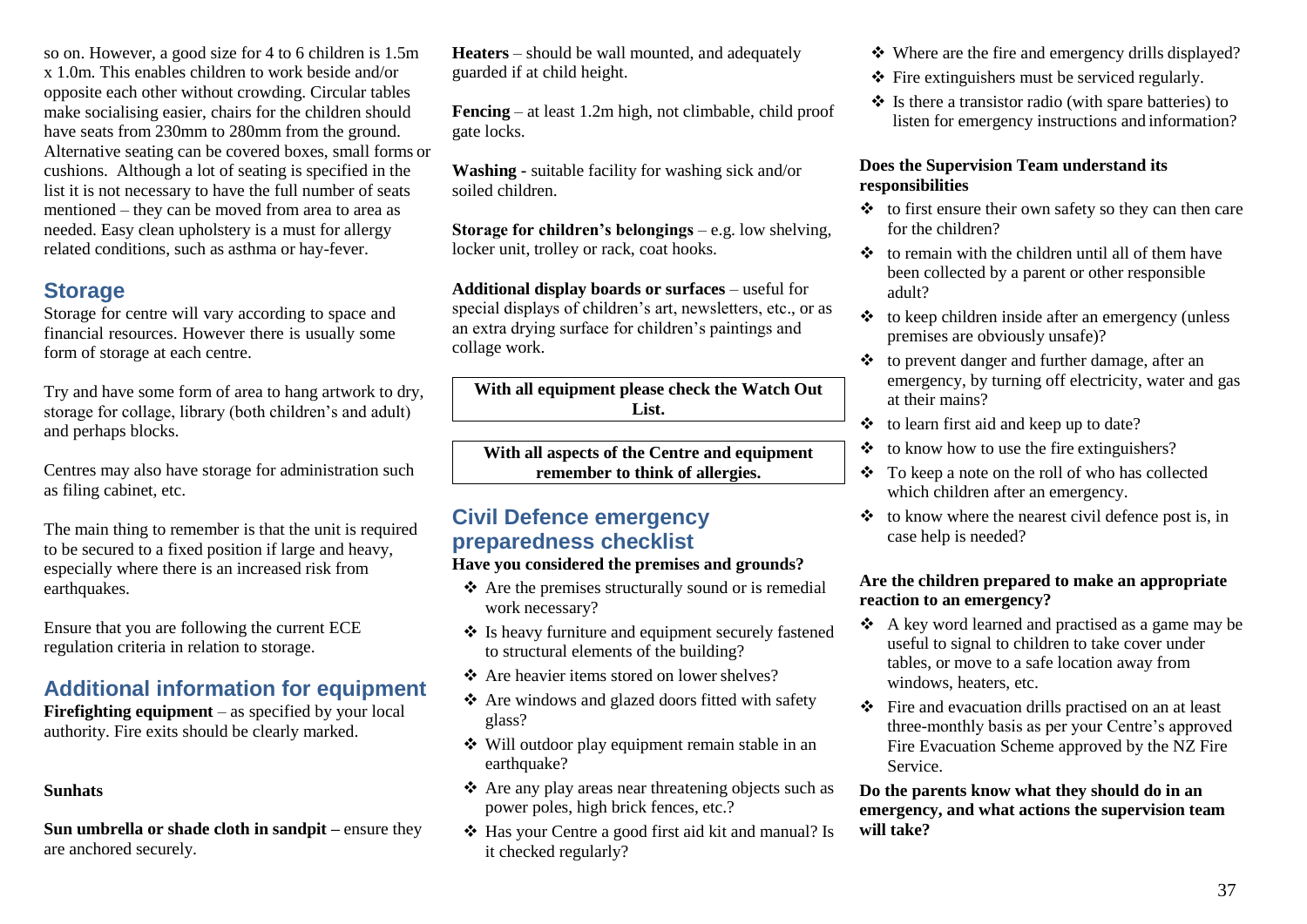so on. However, a good size for 4 to 6 children is 1.5m x 1.0m. This enables children to work beside and/or opposite each other without crowding. Circular tables make socialising easier, chairs for the children should have seats from 230mm to 280mm from the ground. Alternative seating can be covered boxes, small forms or cushions. Although a lot of seating is specified in the list it is not necessary to have the full number of seats mentioned – they can be moved from area to area as needed. Easy clean upholstery is a must for allergy related conditions, such as asthma or hay-fever.

## <span id="page-39-0"></span>**Storage**

Storage for centre will vary according to space and financial resources. However there is usually some form of storage at each centre.

Try and have some form of area to hang artwork to dry, storage for collage, library (both children's and adult) and perhaps blocks.

Centres may also have storage for administration such as filing cabinet, etc.

The main thing to remember is that the unit is required to be secured to a fixed position if large and heavy, especially where there is an increased risk from earthquakes.

Ensure that you are following the current ECE regulation criteria in relation to storage.

## <span id="page-39-1"></span>**Additional information for equipment**

**Firefighting equipment** – as specified by your local authority. Fire exits should be clearly marked.

### **Sunhats**

**Sun umbrella or shade cloth in sandpit –** ensure they are anchored securely.

**Heaters** – should be wall mounted, and adequately guarded if at child height.

**Fencing** – at least 1.2m high, not climbable, child proof gate locks.

**Washing -** suitable facility for washing sick and/or soiled children.

**Storage for children's belongings** – e.g. low shelving, locker unit, trolley or rack, coat hooks.

**Additional display boards or surfaces** – useful for special displays of children's art, newsletters, etc., or as an extra drying surface for children's paintings and collage work.

**With all equipment please check the Watch Out List.**

**With all aspects of the Centre and equipment remember to think of allergies.**

## <span id="page-39-2"></span>**Civil Defence emergency preparedness checklist**

## **Have you considered the premises and grounds?**

- ❖ Are the premises structurally sound or is remedial work necessary?
- ❖ Is heavy furniture and equipment securely fastened to structural elements of the building?
- ❖ Are heavier items stored on lower shelves?
- ❖ Are windows and glazed doors fitted with safety glass?
- ❖ Will outdoor play equipment remain stable in an earthquake?
- ❖ Are any play areas near threatening objects such as power poles, high brick fences, etc.?
- ❖ Has your Centre a good first aid kit and manual? Is it checked regularly?
- ❖ Where are the fire and emergency drills displayed?
- ❖ Fire extinguishers must be serviced regularly.
- ❖ Is there a transistor radio (with spare batteries) to listen for emergency instructions and information?

### **Does the Supervision Team understand its responsibilities**

- ❖ to first ensure their own safety so they can then care for the children?
- $\div$  to remain with the children until all of them have been collected by a parent or other responsible adult?
- ❖ to keep children inside after an emergency (unless premises are obviously unsafe)?
- ❖ to prevent danger and further damage, after an emergency, by turning off electricity, water and gas at their mains?
- ❖ to learn first aid and keep up to date?
- ❖ to know how to use the fire extinguishers?
- ❖ To keep a note on the roll of who has collected which children after an emergency.
- $\bullet$  to know where the nearest civil defence post is, in case help is needed?

### **Are the children prepared to make an appropriate reaction to an emergency?**

- ❖ A key word learned and practised as a game may be useful to signal to children to take cover under tables, or move to a safe location away from windows, heaters, etc.
- ❖ Fire and evacuation drills practised on an at least three-monthly basis as per your Centre's approved Fire Evacuation Scheme approved by the NZ Fire Service.

**Do the parents know what they should do in an emergency, and what actions the supervision team will take?**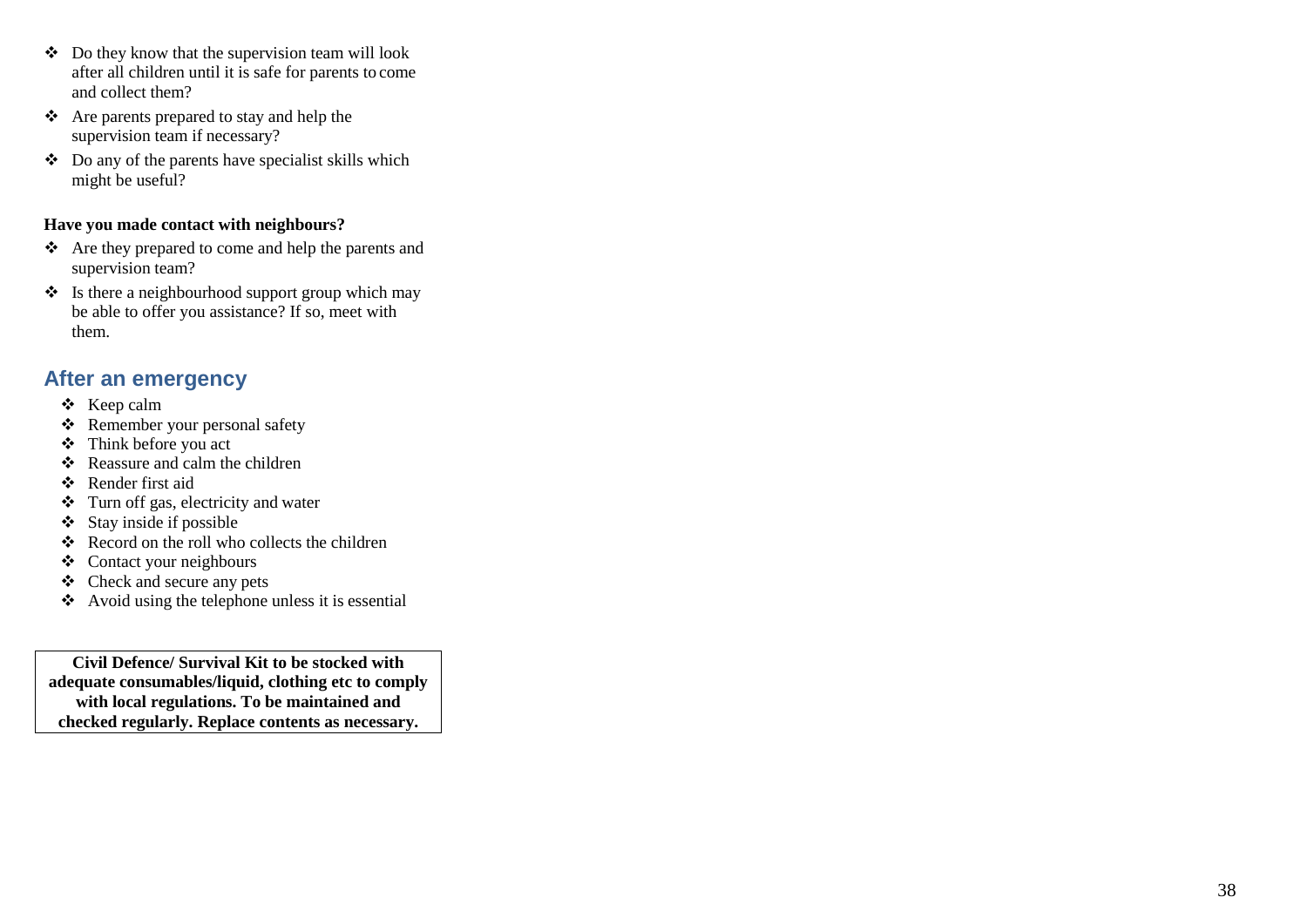- ❖ Do they know that the supervision team will look after all children until it is safe for parents to come and collect them?
- ❖ Are parents prepared to stay and help the supervision team if necessary?
- ❖ Do any of the parents have specialist skills which might be useful?

### **Have you made contact with neighbours?**

- ❖ Are they prepared to come and help the parents and supervision team?
- $\triangleq$  Is there a neighbourhood support group which may be able to offer you assistance? If so, meet with them.

## <span id="page-40-0"></span>**After an emergency**

- ❖ Keep calm
- ❖ Remember your personal safety
- ❖ Think before you act
- ❖ Reassure and calm the children
- ❖ Render first aid
- ❖ Turn off gas, electricity and water
- ❖ Stay inside if possible
- ❖ Record on the roll who collects the children
- ❖ Contact your neighbours
- ❖ Check and secure any pets
- ❖ Avoid using the telephone unless it is essential

**Civil Defence/ Survival Kit to be stocked with adequate consumables/liquid, clothing etc to comply with local regulations. To be maintained and checked regularly. Replace contents as necessary.**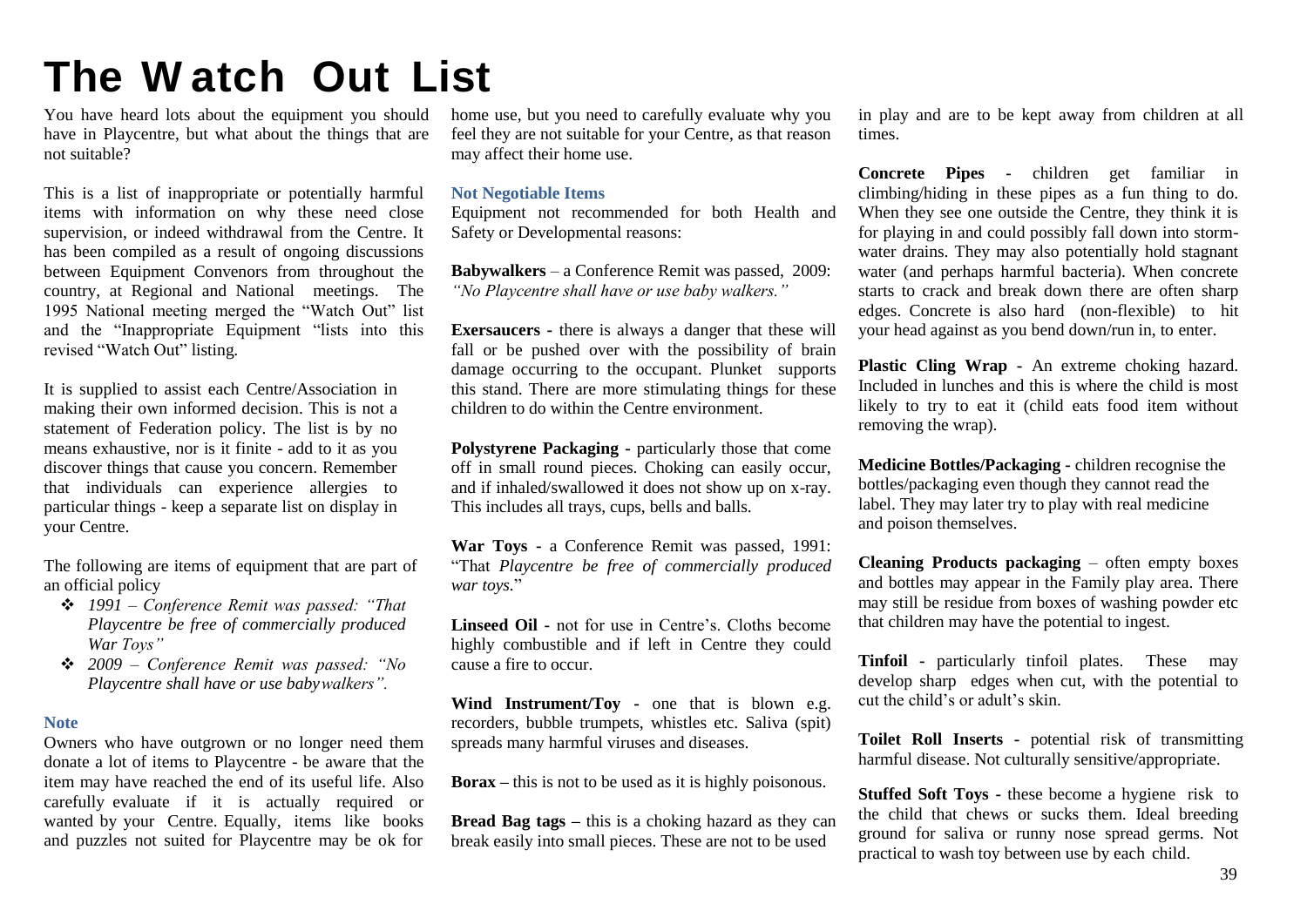## <span id="page-41-0"></span>**The W atch Out List**

You have heard lots about the equipment you should have in Playcentre, but what about the things that are not suitable?

This is a list of inappropriate or potentially harmful items with information on why these need close supervision, or indeed withdrawal from the Centre. It has been compiled as a result of ongoing discussions between Equipment Convenors from throughout the country, at Regional and National meetings. The 1995 National meeting merged the "Watch Out" list and the "Inappropriate Equipment "lists into this revised "Watch Out" listing.

It is supplied to assist each Centre/Association in making their own informed decision. This is not a statement of Federation policy. The list is by no means exhaustive, nor is it finite - add to it as you discover things that cause you concern. Remember that individuals can experience allergies to particular things - keep a separate list on display in your Centre.

The following are items of equipment that are part of an official policy

- ❖ *1991 – Conference Remit was passed: "That Playcentre be free of commercially produced War Toys"*
- ❖ *2009 – Conference Remit was passed: "No Playcentre shall have or use babywalkers".*

#### <span id="page-41-1"></span>**Note**

Owners who have outgrown or no longer need them donate a lot of items to Playcentre - be aware that the item may have reached the end of its useful life. Also carefully evaluate if it is actually required or wanted by your Centre. Equally, items like books and puzzles not suited for Playcentre may be ok for

home use, but you need to carefully evaluate why you feel they are not suitable for your Centre, as that reason may affect their home use.

#### <span id="page-41-2"></span>**Not Negotiable Items**

Equipment not recommended for both Health and Safety or Developmental reasons:

**Babywalkers** – a Conference Remit was passed, 2009: *"No Playcentre shall have or use baby walkers."*

**Exersaucers -** there is always a danger that these will fall or be pushed over with the possibility of brain damage occurring to the occupant. Plunket supports this stand. There are more stimulating things for these children to do within the Centre environment.

**Polystyrene Packaging -** particularly those that come off in small round pieces. Choking can easily occur, and if inhaled/swallowed it does not show up on x-ray. This includes all trays, cups, bells and balls.

**War Toys -** a Conference Remit was passed, 1991: "That *Playcentre be free of commercially produced war toys.*"

**Linseed Oil -** not for use in Centre's. Cloths become highly combustible and if left in Centre they could cause a fire to occur.

**Wind Instrument/Toy -** one that is blown e.g. recorders, bubble trumpets, whistles etc. Saliva (spit) spreads many harmful viruses and diseases.

**Borax –** this is not to be used as it is highly poisonous.

**Bread Bag tags –** this is a choking hazard as they can break easily into small pieces. These are not to be used

in play and are to be kept away from children at all times.

**Concrete Pipes -** children get familiar in climbing/hiding in these pipes as a fun thing to do. When they see one outside the Centre, they think it is for playing in and could possibly fall down into stormwater drains. They may also potentially hold stagnant water (and perhaps harmful bacteria). When concrete starts to crack and break down there are often sharp edges. Concrete is also hard (non-flexible) to hit your head against as you bend down/run in, to enter.

**Plastic Cling Wrap -** An extreme choking hazard. Included in lunches and this is where the child is most likely to try to eat it (child eats food item without removing the wrap).

**Medicine Bottles/Packaging -** children recognise the bottles/packaging even though they cannot read the label. They may later try to play with real medicine and poison themselves.

**Cleaning Products packaging** – often empty boxes and bottles may appear in the Family play area. There may still be residue from boxes of washing powder etc that children may have the potential to ingest.

**Tinfoil -** particularly tinfoil plates. These may develop sharp edges when cut, with the potential to cut the child's or adult's skin.

**Toilet Roll Inserts -** potential risk of transmitting harmful disease. Not culturally sensitive/appropriate.

**Stuffed Soft Toys -** these become a hygiene risk to the child that chews or sucks them. Ideal breeding ground for saliva or runny nose spread germs. Not practical to wash toy between use by each child.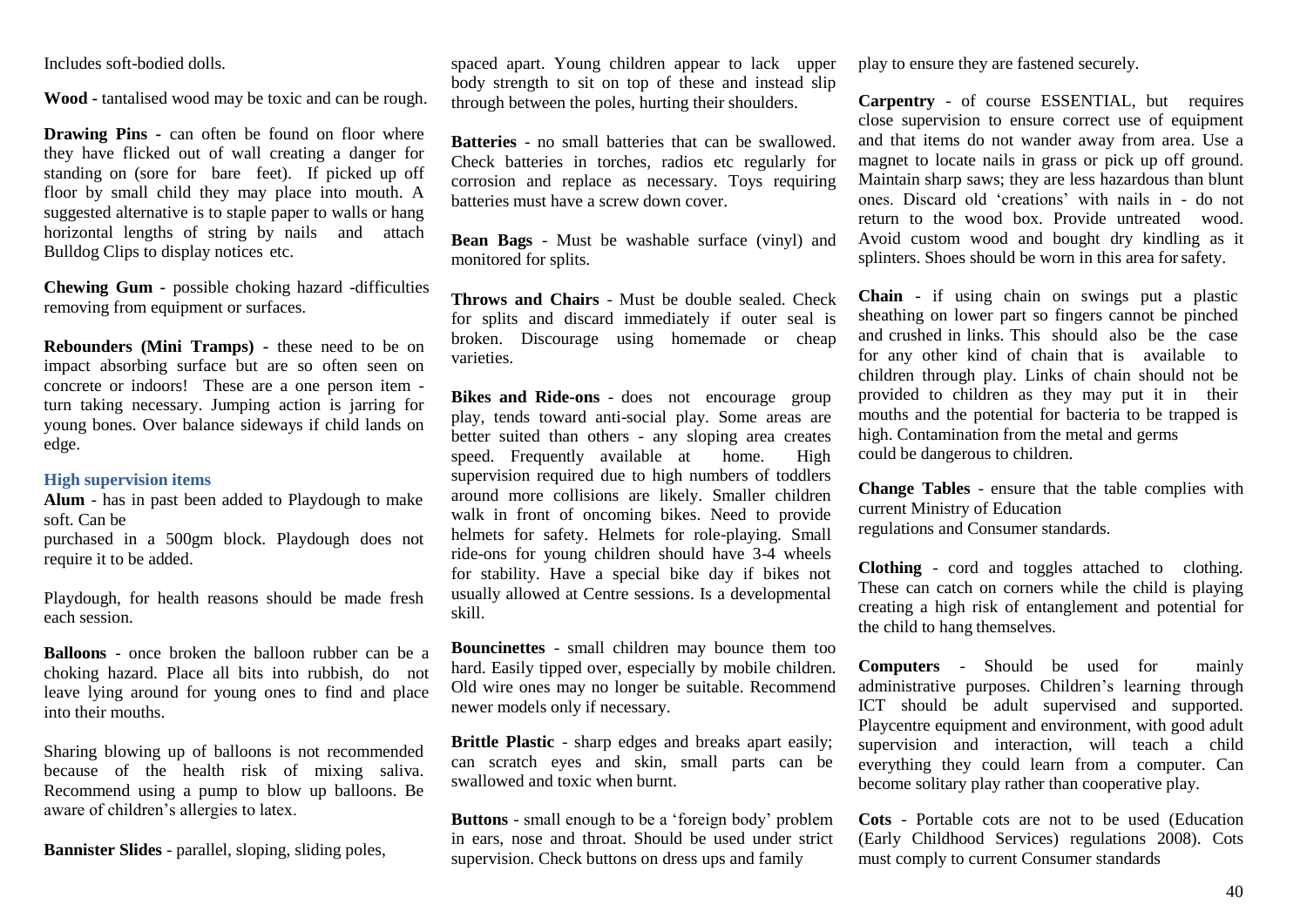Includes soft-bodied dolls.

**Wood -** tantalised wood may be toxic and can be rough.

**Drawing Pins -** can often be found on floor where they have flicked out of wall creating a danger for standing on (sore for bare feet). If picked up off floor by small child they may place into mouth. A suggested alternative is to staple paper to walls or hang horizontal lengths of string by nails and attach Bulldog Clips to display notices etc.

**Chewing Gum -** possible choking hazard -difficulties removing from equipment or surfaces.

**Rebounders (Mini Tramps) -** these need to be on impact absorbing surface but are so often seen on concrete or indoors! These are a one person item turn taking necessary. Jumping action is jarring for young bones. Over balance sideways if child lands on edge.

#### <span id="page-42-0"></span>**High supervision items**

**Alum** - has in past been added to Playdough to make soft. Can be

purchased in a 500gm block. Playdough does not require it to be added.

Playdough, for health reasons should be made fresh each session.

**Balloons** - once broken the balloon rubber can be a choking hazard. Place all bits into rubbish, do not leave lying around for young ones to find and place into their mouths.

Sharing blowing up of balloons is not recommended because of the health risk of mixing saliva. Recommend using a pump to blow up balloons. Be aware of children's allergies to latex.

**Bannister Slides** - parallel, sloping, sliding poles,

spaced apart. Young children appear to lack upper body strength to sit on top of these and instead slip through between the poles, hurting their shoulders.

**Batteries** - no small batteries that can be swallowed. Check batteries in torches, radios etc regularly for corrosion and replace as necessary. Toys requiring batteries must have a screw down cover.

**Bean Bags** - Must be washable surface (vinyl) and monitored for splits.

**Throws and Chairs** - Must be double sealed. Check for splits and discard immediately if outer seal is broken. Discourage using homemade or cheap varieties.

**Bikes and Ride-ons** - does not encourage group play, tends toward anti-social play. Some areas are better suited than others - any sloping area creates speed. Frequently available at home. High supervision required due to high numbers of toddlers around more collisions are likely. Smaller children walk in front of oncoming bikes. Need to provide helmets for safety. Helmets for role-playing. Small ride-ons for young children should have 3-4 wheels for stability. Have a special bike day if bikes not usually allowed at Centre sessions. Is a developmental skill.

**Bouncinettes** - small children may bounce them too hard. Easily tipped over, especially by mobile children. Old wire ones may no longer be suitable. Recommend newer models only if necessary.

**Brittle Plastic** - sharp edges and breaks apart easily; can scratch eyes and skin, small parts can be swallowed and toxic when burnt.

**Buttons** - small enough to be a 'foreign body' problem in ears, nose and throat. Should be used under strict supervision. Check buttons on dress ups and family

play to ensure they are fastened securely.

**Carpentry** - of course ESSENTIAL, but requires close supervision to ensure correct use of equipment and that items do not wander away from area. Use a magnet to locate nails in grass or pick up off ground. Maintain sharp saws; they are less hazardous than blunt ones. Discard old 'creations' with nails in - do not return to the wood box. Provide untreated wood. Avoid custom wood and bought dry kindling as it splinters. Shoes should be worn in this area forsafety.

**Chain** - if using chain on swings put a plastic sheathing on lower part so fingers cannot be pinched and crushed in links. This should also be the case for any other kind of chain that is available to children through play. Links of chain should not be provided to children as they may put it in their mouths and the potential for bacteria to be trapped is high. Contamination from the metal and germs could be dangerous to children.

**Change Tables** - ensure that the table complies with current Ministry of Education regulations and Consumer standards.

**Clothing** - cord and toggles attached to clothing. These can catch on corners while the child is playing creating a high risk of entanglement and potential for the child to hang themselves.

**Computers** - Should be used for mainly administrative purposes. Children's learning through ICT should be adult supervised and supported. Playcentre equipment and environment, with good adult supervision and interaction, will teach a child everything they could learn from a computer. Can become solitary play rather than cooperative play.

**Cots** - Portable cots are not to be used (Education (Early Childhood Services) regulations 2008). Cots must comply to current Consumer standards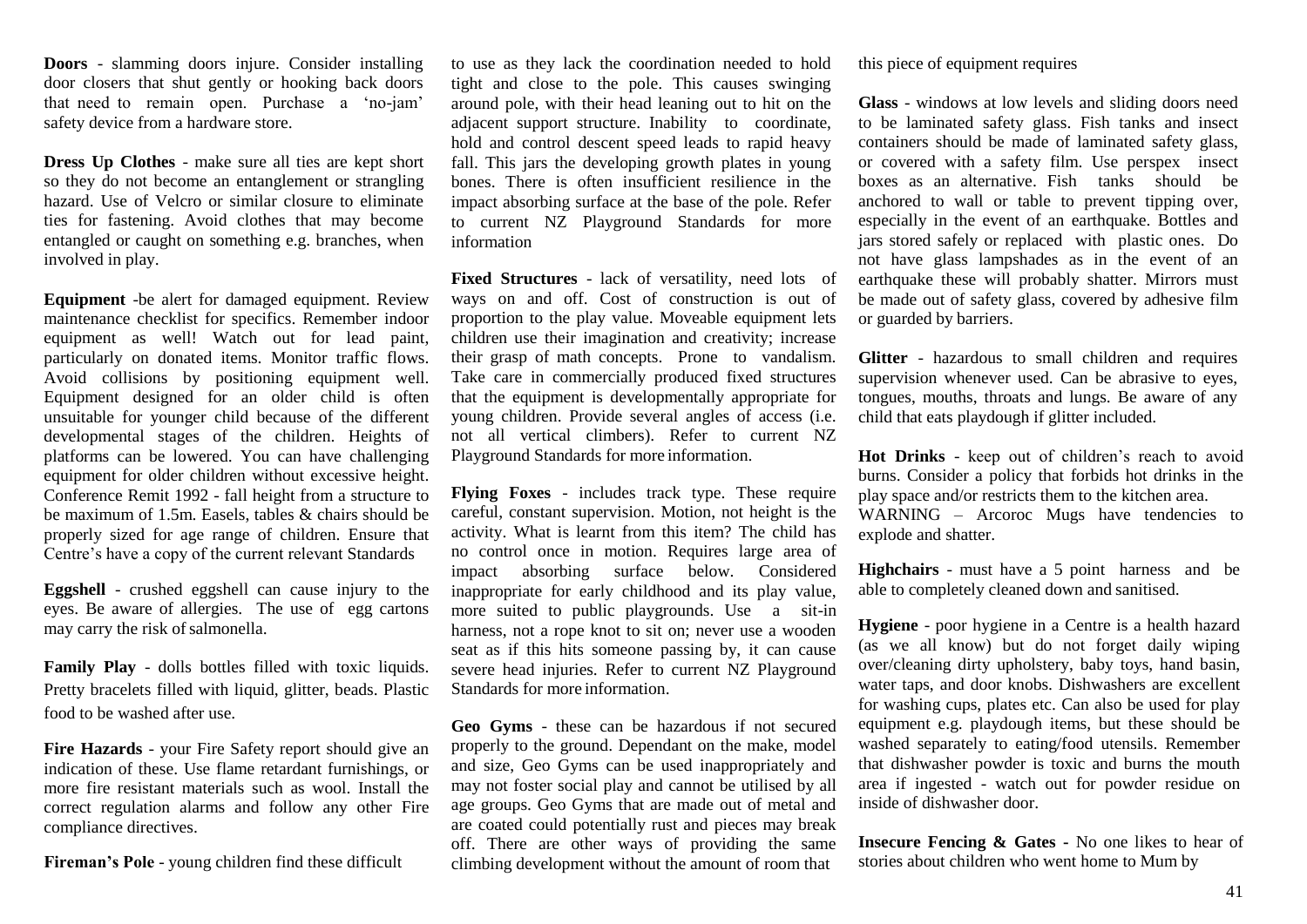**Doors** - slamming doors injure. Consider installing door closers that shut gently or hooking back doors that need to remain open. Purchase a 'no-jam' safety device from a hardware store.

**Dress Up Clothes** - make sure all ties are kept short so they do not become an entanglement or strangling hazard. Use of Velcro or similar closure to eliminate ties for fastening. Avoid clothes that may become entangled or caught on something e.g. branches, when involved in play.

**Equipment** -be alert for damaged equipment. Review maintenance checklist for specifics. Remember indoor equipment as well! Watch out for lead paint, particularly on donated items. Monitor traffic flows. Avoid collisions by positioning equipment well. Equipment designed for an older child is often unsuitable for younger child because of the different developmental stages of the children. Heights of platforms can be lowered. You can have challenging equipment for older children without excessive height. Conference Remit 1992 - fall height from a structure to be maximum of 1.5m. Easels, tables & chairs should be properly sized for age range of children. Ensure that Centre's have a copy of the current relevant Standards

**Eggshell** - crushed eggshell can cause injury to the eyes. Be aware of allergies. The use of egg cartons may carry the risk of salmonella.

**Family Play** - dolls bottles filled with toxic liquids. Pretty bracelets filled with liquid, glitter, beads. Plastic food to be washed after use.

**Fire Hazards** - your Fire Safety report should give an indication of these. Use flame retardant furnishings, or more fire resistant materials such as wool. Install the correct regulation alarms and follow any other Fire compliance directives.

**Fireman's Pole** - young children find these difficult

to use as they lack the coordination needed to hold tight and close to the pole. This causes swinging around pole, with their head leaning out to hit on the adjacent support structure. Inability to coordinate, hold and control descent speed leads to rapid heavy fall. This jars the developing growth plates in young bones. There is often insufficient resilience in the impact absorbing surface at the base of the pole. Refer to current NZ Playground Standards for more information

**Fixed Structures** - lack of versatility, need lots of ways on and off. Cost of construction is out of proportion to the play value. Moveable equipment lets children use their imagination and creativity; increase their grasp of math concepts. Prone to vandalism. Take care in commercially produced fixed structures that the equipment is developmentally appropriate for young children. Provide several angles of access (i.e. not all vertical climbers). Refer to current NZ Playground Standards for more information.

**Flying Foxes** - includes track type. These require careful, constant supervision. Motion, not height is the activity. What is learnt from this item? The child has no control once in motion. Requires large area of impact absorbing surface below. Considered inappropriate for early childhood and its play value, more suited to public playgrounds. Use a sit-in harness, not a rope knot to sit on; never use a wooden seat as if this hits someone passing by, it can cause severe head injuries. Refer to current NZ Playground Standards for more information.

**Geo Gyms** - these can be hazardous if not secured properly to the ground. Dependant on the make, model and size, Geo Gyms can be used inappropriately and may not foster social play and cannot be utilised by all age groups. Geo Gyms that are made out of metal and are coated could potentially rust and pieces may break off. There are other ways of providing the same climbing development without the amount of room that

this piece of equipment requires

**Glass** - windows at low levels and sliding doors need to be laminated safety glass. Fish tanks and insect containers should be made of laminated safety glass, or covered with a safety film. Use perspex insect boxes as an alternative. Fish tanks should be anchored to wall or table to prevent tipping over, especially in the event of an earthquake. Bottles and jars stored safely or replaced with plastic ones. Do not have glass lampshades as in the event of an earthquake these will probably shatter. Mirrors must be made out of safety glass, covered by adhesive film or guarded by barriers.

**Glitter** - hazardous to small children and requires supervision whenever used. Can be abrasive to eyes, tongues, mouths, throats and lungs. Be aware of any child that eats playdough if glitter included.

**Hot Drinks** - keep out of children's reach to avoid burns. Consider a policy that forbids hot drinks in the play space and/or restricts them to the kitchen area. WARNING – Arcoroc Mugs have tendencies to explode and shatter.

**Highchairs** - must have a 5 point harness and be able to completely cleaned down and sanitised.

**Hygiene** - poor hygiene in a Centre is a health hazard (as we all know) but do not forget daily wiping over/cleaning dirty upholstery, baby toys, hand basin, water taps, and door knobs. Dishwashers are excellent for washing cups, plates etc. Can also be used for play equipment e.g. playdough items, but these should be washed separately to eating/food utensils. Remember that dishwasher powder is toxic and burns the mouth area if ingested - watch out for powder residue on inside of dishwasher door.

**Insecure Fencing & Gates -** No one likes to hear of stories about children who went home to Mum by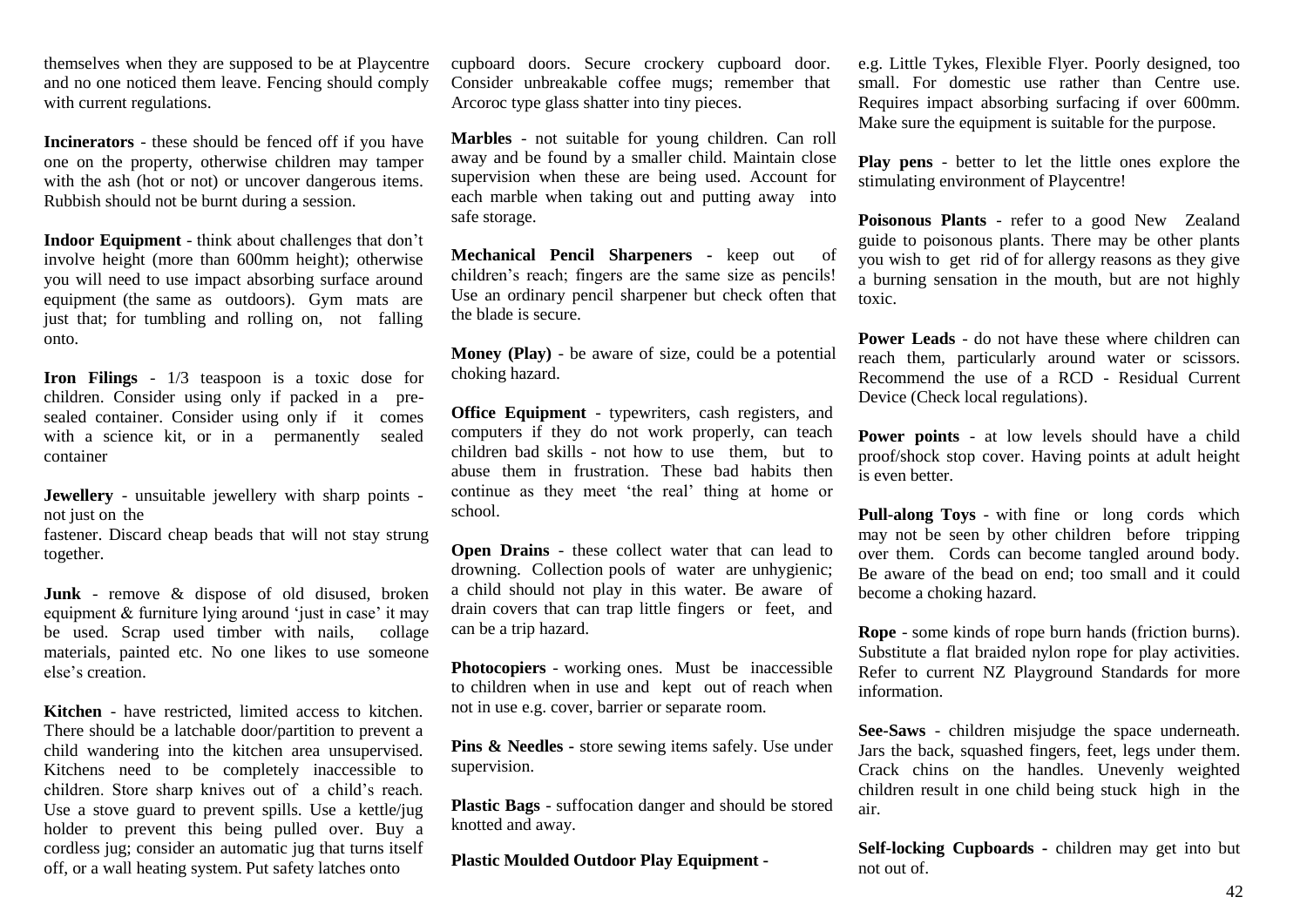themselves when they are supposed to be at Playcentre and no one noticed them leave. Fencing should comply with current regulations.

**Incinerators** - these should be fenced off if you have one on the property, otherwise children may tamper with the ash (hot or not) or uncover dangerous items. Rubbish should not be burnt during a session.

**Indoor Equipment** - think about challenges that don't involve height (more than 600mm height); otherwise you will need to use impact absorbing surface around equipment (the same as outdoors). Gym mats are just that; for tumbling and rolling on, not falling onto.

**Iron Filings** - 1/3 teaspoon is a toxic dose for children. Consider using only if packed in a presealed container. Consider using only if it comes with a science kit, or in a permanently sealed container

**Jewellery** - unsuitable jewellery with sharp points not just on the

fastener. Discard cheap beads that will not stay strung together.

**Junk** - remove & dispose of old disused, broken equipment & furniture lying around 'just in case' it may be used. Scrap used timber with nails, collage materials, painted etc. No one likes to use someone else's creation.

**Kitchen** - have restricted, limited access to kitchen. There should be a latchable door/partition to prevent a child wandering into the kitchen area unsupervised. Kitchens need to be completely inaccessible to children. Store sharp knives out of a child's reach. Use a stove guard to prevent spills. Use a kettle/jug holder to prevent this being pulled over. Buy a cordless jug; consider an automatic jug that turns itself off, or a wall heating system. Put safety latches onto

cupboard doors. Secure crockery cupboard door. Consider unbreakable coffee mugs; remember that Arcoroc type glass shatter into tiny pieces.

**Marbles** - not suitable for young children. Can roll away and be found by a smaller child. Maintain close supervision when these are being used. Account for each marble when taking out and putting away into safe storage.

**Mechanical Pencil Sharpeners -** keep out of children's reach; fingers are the same size as pencils! Use an ordinary pencil sharpener but check often that the blade is secure.

**Money (Play)** - be aware of size, could be a potential choking hazard.

**Office Equipment** - typewriters, cash registers, and computers if they do not work properly, can teach children bad skills - not how to use them, but to abuse them in frustration. These bad habits then continue as they meet 'the real' thing at home or school.

**Open Drains** - these collect water that can lead to drowning. Collection pools of water are unhygienic; a child should not play in this water. Be aware of drain covers that can trap little fingers or feet, and can be a trip hazard.

**Photocopiers** - working ones. Must be inaccessible to children when in use and kept out of reach when not in use e.g. cover, barrier or separate room.

**Pins & Needles -** store sewing items safely. Use under supervision.

**Plastic Bags** - suffocation danger and should be stored knotted and away.

**Plastic Moulded Outdoor Play Equipment -**

e.g. Little Tykes, Flexible Flyer. Poorly designed, too small. For domestic use rather than Centre use. Requires impact absorbing surfacing if over 600mm. Make sure the equipment is suitable for the purpose.

**Play pens** - better to let the little ones explore the stimulating environment of Playcentre!

**Poisonous Plants** - refer to a good New Zealand guide to poisonous plants. There may be other plants you wish to get rid of for allergy reasons as they give a burning sensation in the mouth, but are not highly toxic.

**Power Leads** - do not have these where children can reach them, particularly around water or scissors. Recommend the use of a RCD - Residual Current Device (Check local regulations).

**Power points** - at low levels should have a child proof/shock stop cover. Having points at adult height is even better.

**Pull-along Toys** - with fine or long cords which may not be seen by other children before tripping over them. Cords can become tangled around body. Be aware of the bead on end; too small and it could become a choking hazard.

**Rope** - some kinds of rope burn hands (friction burns). Substitute a flat braided nylon rope for play activities. Refer to current NZ Playground Standards for more information.

**See-Saws** - children misjudge the space underneath. Jars the back, squashed fingers, feet, legs under them. Crack chins on the handles. Unevenly weighted children result in one child being stuck high in the air.

**Self-locking Cupboards -** children may get into but not out of.